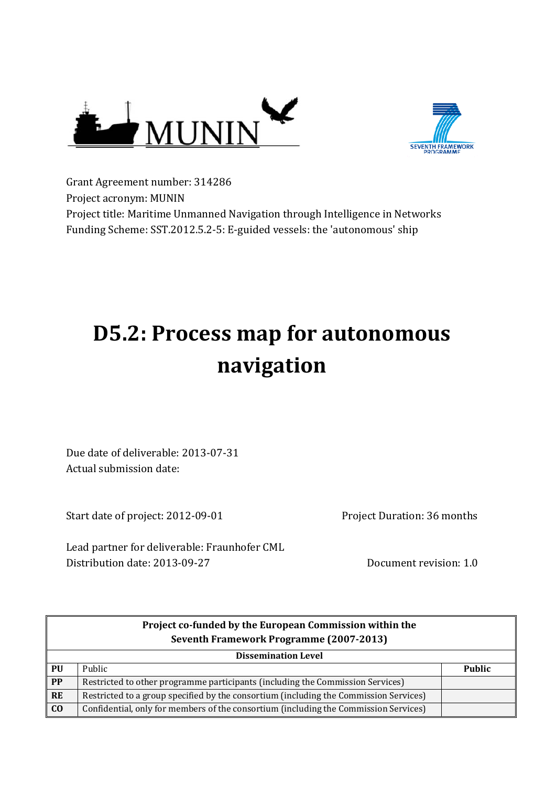



Grant Agreement number: 314286 Project acronym: MUNIN Project title: Maritime Unmanned Navigation through Intelligence in Networks Funding Scheme: SST.2012.5.2-5: E-guided vessels: the 'autonomous' ship

# **D5.2: Process map for autonomous navigation**

Due date of deliverable: 2013-07-31 Actual submission date:

Start date of project: 2012-09-01

Lead partner for deliverable: Fraunhofer CML Distribution date: 2013-09-27 Document revision: 1.0

Project Duration: 36 months

|                | Project co-funded by the European Commission within the<br><b>Seventh Framework Programme (2007-2013)</b> |               |  |  |  |  |  |  |
|----------------|-----------------------------------------------------------------------------------------------------------|---------------|--|--|--|--|--|--|
|                | <b>Dissemination Level</b>                                                                                |               |  |  |  |  |  |  |
| PU             | Public                                                                                                    | <b>Public</b> |  |  |  |  |  |  |
| PP             | Restricted to other programme participants (including the Commission Services)                            |               |  |  |  |  |  |  |
| <b>RE</b>      | Restricted to a group specified by the consortium (including the Commission Services)                     |               |  |  |  |  |  |  |
| C <sub>0</sub> | Confidential, only for members of the consortium (including the Commission Services)                      |               |  |  |  |  |  |  |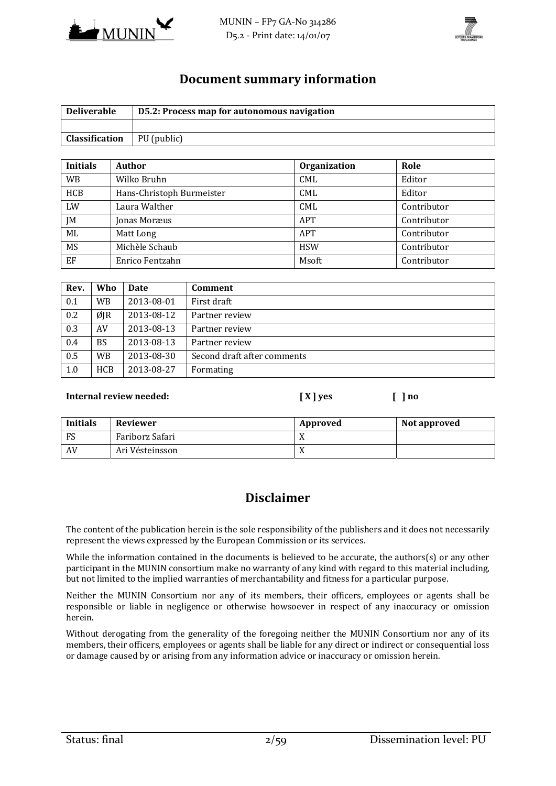



#### **Document summary information**

| <b>Deliverable</b> | D5.2: Process map for autonomous navigation |
|--------------------|---------------------------------------------|
|                    |                                             |
| Classification     | $\vert$ PU (public)                         |

| <b>Initials</b> | <b>Author</b>             | Organization | Role        |
|-----------------|---------------------------|--------------|-------------|
| <b>WB</b>       | Wilko Bruhn               | <b>CML</b>   | Editor      |
| HCB             | Hans-Christoph Burmeister | CML          | Editor      |
| LW              | Laura Walther             | <b>CML</b>   | Contributor |
| JM              | Jonas Moræus              | APT          | Contributor |
| ML              | Matt Long                 | <b>APT</b>   | Contributor |
| MS              | Michèle Schaub            | <b>HSW</b>   | Contributor |
| EF              | Enrico Fentzahn           | Msoft        | Contributor |

| Rev. | Who       | <b>Date</b> | Comment                     |
|------|-----------|-------------|-----------------------------|
| 0.1  | WB.       | 2013-08-01  | First draft                 |
| 0.2  | ØIR       | 2013-08-12  | Partner review              |
| 0.3  | AV        | 2013-08-13  | Partner review              |
| 0.4  | <b>BS</b> | 2013-08-13  | Partner review              |
| 0.5  | <b>WB</b> | 2013-08-30  | Second draft after comments |
| 1.0  | HCB       | 2013-08-27  | Formating                   |

#### **Internal review needed: [ X ] yes [ ] no**

| <b>Initials</b> | <b>Reviewer</b> | Approved                | Not approved |
|-----------------|-----------------|-------------------------|--------------|
| FS              | Fariborz Safari | $\overline{\mathbf{A}}$ |              |
| AV              | Ari Vésteinsson | $\Lambda$               |              |

## **Disclaimer**

The content of the publication herein is the sole responsibility of the publishers and it does not necessarily represent the views expressed by the European Commission or its services.

While the information contained in the documents is believed to be accurate, the authors(s) or any other participant in the MUNIN consortium make no warranty of any kind with regard to this material including, but not limited to the implied warranties of merchantability and fitness for a particular purpose.

Neither the MUNIN Consortium nor any of its members, their officers, employees or agents shall be responsible or liable in negligence or otherwise howsoever in respect of any inaccuracy or omission herein. 

Without derogating from the generality of the foregoing neither the MUNIN Consortium nor any of its members, their officers, employees or agents shall be liable for any direct or indirect or consequential loss or damage caused by or arising from any information advice or inaccuracy or omission herein.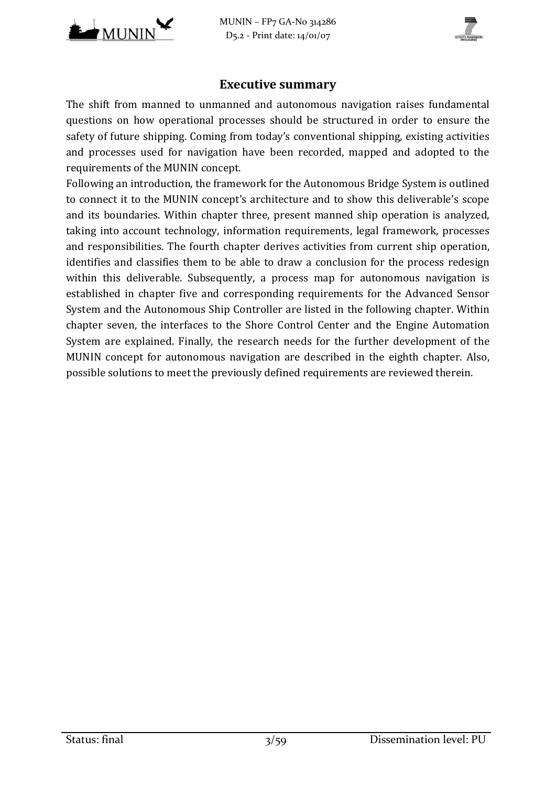



## **Executive summary**

The shift from manned to unmanned and autonomous navigation raises fundamental questions on how operational processes should be structured in order to ensure the safety of future shipping. Coming from today's conventional shipping, existing activities and processes used for navigation have been recorded, mapped and adopted to the requirements of the MUNIN concept.

Following an introduction, the framework for the Autonomous Bridge System is outlined to connect it to the MUNIN concept's architecture and to show this deliverable's scope and its boundaries. Within chapter three, present manned ship operation is analyzed, taking into account technology, information requirements, legal framework, processes and responsibilities. The fourth chapter derives activities from current ship operation, identifies and classifies them to be able to draw a conclusion for the process redesign within this deliverable. Subsequently, a process map for autonomous navigation is established in chapter five and corresponding requirements for the Advanced Sensor System and the Autonomous Ship Controller are listed in the following chapter. Within chapter seven, the interfaces to the Shore Control Center and the Engine Automation System are explained. Finally, the research needs for the further development of the MUNIN concept for autonomous navigation are described in the eighth chapter. Also, possible solutions to meet the previously defined requirements are reviewed therein.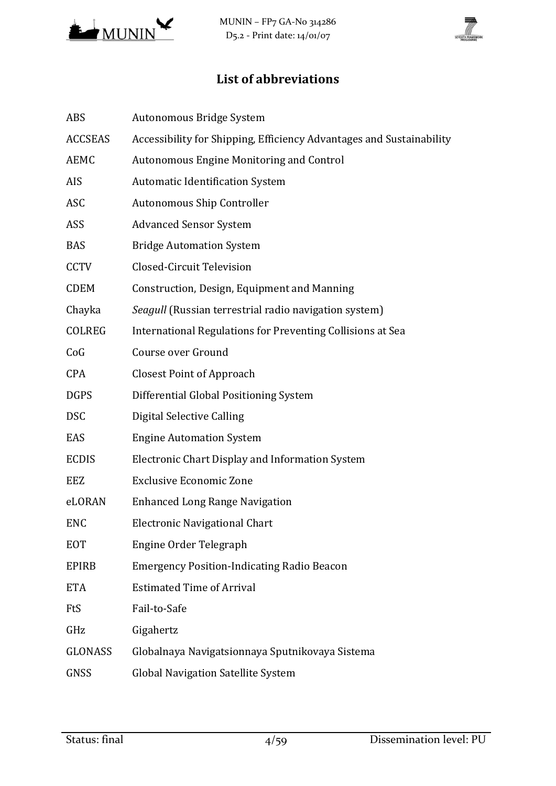

# **List of abbreviations**

| <b>ABS</b>     | Autonomous Bridge System                                             |
|----------------|----------------------------------------------------------------------|
| <b>ACCSEAS</b> | Accessibility for Shipping, Efficiency Advantages and Sustainability |
| <b>AEMC</b>    | <b>Autonomous Engine Monitoring and Control</b>                      |
| AIS            | <b>Automatic Identification System</b>                               |
| <b>ASC</b>     | <b>Autonomous Ship Controller</b>                                    |
| ASS            | <b>Advanced Sensor System</b>                                        |
| <b>BAS</b>     | <b>Bridge Automation System</b>                                      |
| <b>CCTV</b>    | Closed-Circuit Television                                            |
| <b>CDEM</b>    | Construction, Design, Equipment and Manning                          |
| Chayka         | Seagull (Russian terrestrial radio navigation system)                |
| <b>COLREG</b>  | International Regulations for Preventing Collisions at Sea           |
| CoG            | Course over Ground                                                   |
| <b>CPA</b>     | <b>Closest Point of Approach</b>                                     |
| <b>DGPS</b>    | Differential Global Positioning System                               |
| <b>DSC</b>     | <b>Digital Selective Calling</b>                                     |
| EAS            | <b>Engine Automation System</b>                                      |
| <b>ECDIS</b>   | Electronic Chart Display and Information System                      |
| EEZ            | <b>Exclusive Economic Zone</b>                                       |
| eLORAN         | <b>Enhanced Long Range Navigation</b>                                |
| <b>ENC</b>     | <b>Electronic Navigational Chart</b>                                 |
| <b>EOT</b>     | Engine Order Telegraph                                               |
| <b>EPIRB</b>   | <b>Emergency Position-Indicating Radio Beacon</b>                    |
| <b>ETA</b>     | <b>Estimated Time of Arrival</b>                                     |
| FtS            | Fail-to-Safe                                                         |
| GHz            | Gigahertz                                                            |
| <b>GLONASS</b> | Globalnaya Navigatsionnaya Sputnikovaya Sistema                      |
| <b>GNSS</b>    | <b>Global Navigation Satellite System</b>                            |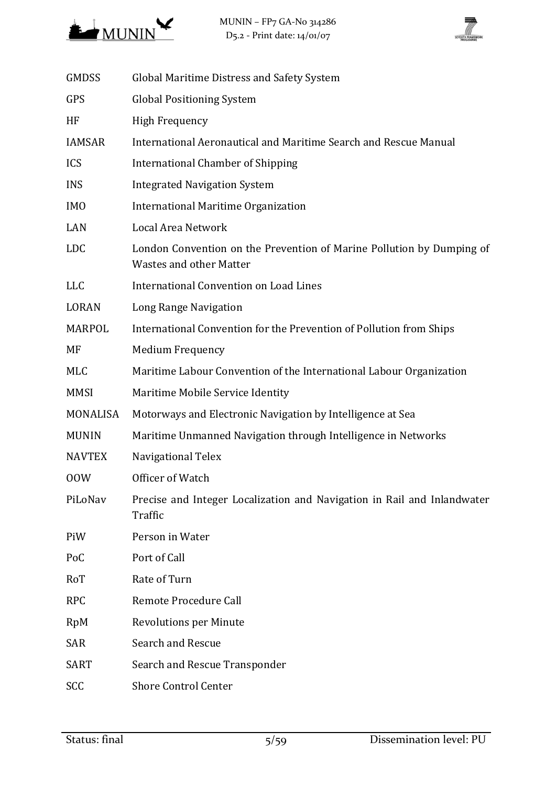



| GMDSS           | Global Maritime Distress and Safety System                                                              |
|-----------------|---------------------------------------------------------------------------------------------------------|
| GPS             | <b>Global Positioning System</b>                                                                        |
| HF              | <b>High Frequency</b>                                                                                   |
| IAMSAR          | International Aeronautical and Maritime Search and Rescue Manual                                        |
| ICS             | <b>International Chamber of Shipping</b>                                                                |
| INS             | <b>Integrated Navigation System</b>                                                                     |
| IM <sub>0</sub> | <b>International Maritime Organization</b>                                                              |
| LAN             | Local Area Network                                                                                      |
| <b>LDC</b>      | London Convention on the Prevention of Marine Pollution by Dumping of<br><b>Wastes and other Matter</b> |
| LLC             | <b>International Convention on Load Lines</b>                                                           |
| LORAN           | Long Range Navigation                                                                                   |
| MARPOL          | International Convention for the Prevention of Pollution from Ships                                     |
| MF              | <b>Medium Frequency</b>                                                                                 |
| MLC             | Maritime Labour Convention of the International Labour Organization                                     |
| MMSI            | Maritime Mobile Service Identity                                                                        |
| <b>MONALISA</b> | Motorways and Electronic Navigation by Intelligence at Sea                                              |
| <b>MUNIN</b>    | Maritime Unmanned Navigation through Intelligence in Networks                                           |
| <b>NAVTEX</b>   | Navigational Telex                                                                                      |
| 00W             | Officer of Watch                                                                                        |
| PiLoNav         | Precise and Integer Localization and Navigation in Rail and Inlandwater<br>Traffic                      |
| PiW             | Person in Water                                                                                         |
| PoC             | Port of Call                                                                                            |
| RoT             | Rate of Turn                                                                                            |
| <b>RPC</b>      | Remote Procedure Call                                                                                   |
| RpM             | <b>Revolutions per Minute</b>                                                                           |
| SAR             | Search and Rescue                                                                                       |
| SART            | Search and Rescue Transponder                                                                           |
| SCC             | <b>Shore Control Center</b>                                                                             |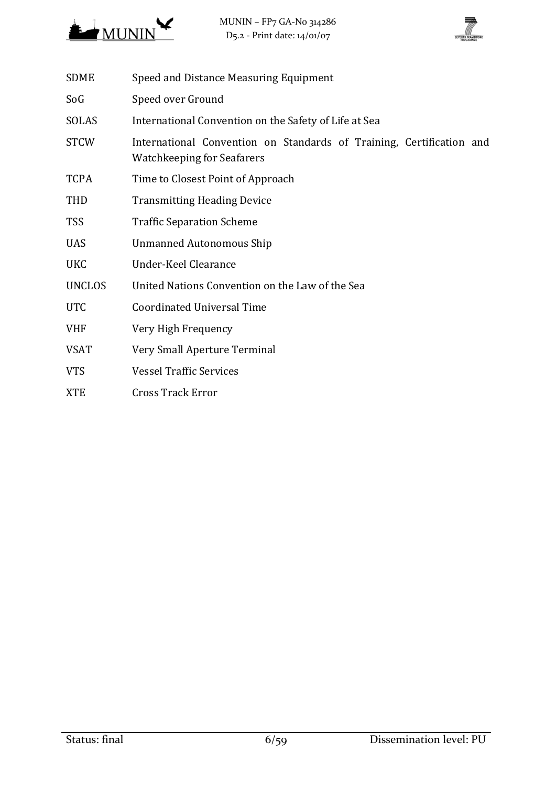



| <b>SDME</b>   | Speed and Distance Measuring Equipment                                                                    |
|---------------|-----------------------------------------------------------------------------------------------------------|
| SoG           | Speed over Ground                                                                                         |
| <b>SOLAS</b>  | International Convention on the Safety of Life at Sea                                                     |
| <b>STCW</b>   | International Convention on Standards of Training, Certification and<br><b>Watchkeeping for Seafarers</b> |
| <b>TCPA</b>   | Time to Closest Point of Approach                                                                         |
| <b>THD</b>    | <b>Transmitting Heading Device</b>                                                                        |
| <b>TSS</b>    | <b>Traffic Separation Scheme</b>                                                                          |
| <b>UAS</b>    | <b>Unmanned Autonomous Ship</b>                                                                           |
| <b>UKC</b>    | Under-Keel Clearance                                                                                      |
| <b>UNCLOS</b> | United Nations Convention on the Law of the Sea                                                           |
| <b>UTC</b>    | <b>Coordinated Universal Time</b>                                                                         |
| <b>VHF</b>    | Very High Frequency                                                                                       |
| <b>VSAT</b>   | Very Small Aperture Terminal                                                                              |
| <b>VTS</b>    | <b>Vessel Traffic Services</b>                                                                            |
| <b>XTE</b>    | <b>Cross Track Error</b>                                                                                  |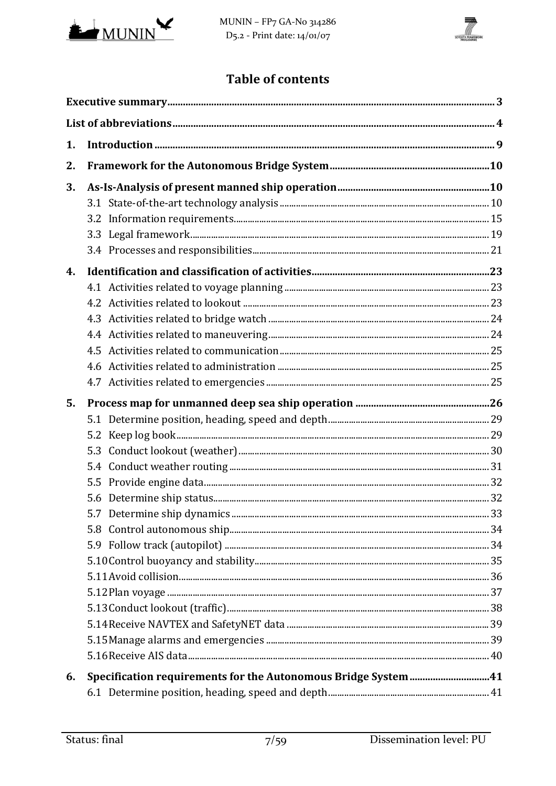



# **Table of contents**

| 1. |                                                                       |  |
|----|-----------------------------------------------------------------------|--|
| 2. |                                                                       |  |
|    |                                                                       |  |
| 3. |                                                                       |  |
|    |                                                                       |  |
|    |                                                                       |  |
|    |                                                                       |  |
| 4. |                                                                       |  |
|    |                                                                       |  |
|    |                                                                       |  |
|    |                                                                       |  |
|    |                                                                       |  |
|    |                                                                       |  |
|    |                                                                       |  |
|    |                                                                       |  |
| 5. |                                                                       |  |
|    |                                                                       |  |
|    |                                                                       |  |
|    |                                                                       |  |
|    |                                                                       |  |
|    |                                                                       |  |
|    |                                                                       |  |
|    |                                                                       |  |
|    |                                                                       |  |
|    |                                                                       |  |
|    |                                                                       |  |
|    |                                                                       |  |
|    |                                                                       |  |
|    |                                                                       |  |
|    |                                                                       |  |
|    |                                                                       |  |
|    |                                                                       |  |
| 6. | <b>Specification requirements for the Autonomous Bridge System 41</b> |  |
|    |                                                                       |  |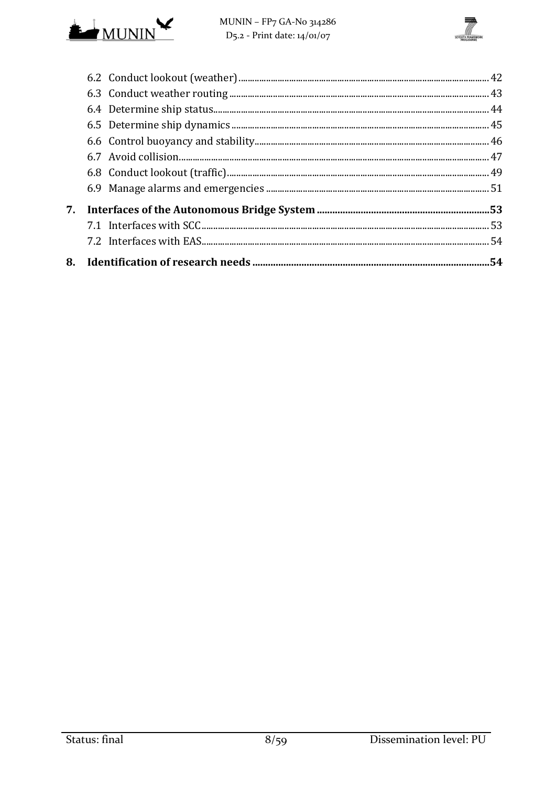



| 7. |  |  |
|----|--|--|
|    |  |  |
|    |  |  |
|    |  |  |
|    |  |  |
|    |  |  |
|    |  |  |
|    |  |  |
|    |  |  |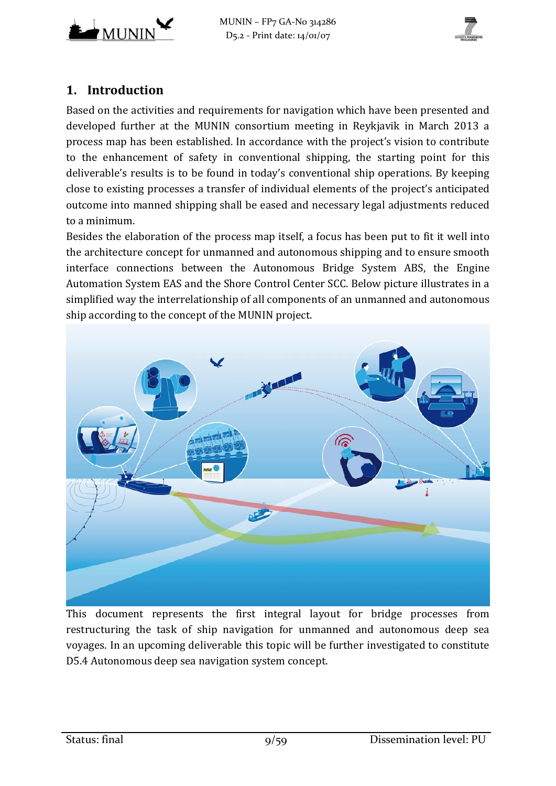



# **1. Introduction**

Based on the activities and requirements for navigation which have been presented and developed further at the MUNIN consortium meeting in Reykjavik in March 2013 a process map has been established. In accordance with the project's vision to contribute to the enhancement of safety in conventional shipping, the starting point for this deliverable's results is to be found in today's conventional ship operations. By keeping close to existing processes a transfer of individual elements of the project's anticipated outcome into manned shipping shall be eased and necessary legal adjustments reduced to a minimum.

Besides the elaboration of the process map itself, a focus has been put to fit it well into the architecture concept for unmanned and autonomous shipping and to ensure smooth interface connections between the Autonomous Bridge System ABS, the Engine Automation System EAS and the Shore Control Center SCC. Below picture illustrates in a simplified way the interrelationship of all components of an unmanned and autonomous ship according to the concept of the MUNIN project.



This document represents the first integral layout for bridge processes from restructuring the task of ship navigation for unmanned and autonomous deep sea voyages. In an upcoming deliverable this topic will be further investigated to constitute D5.4 Autonomous deep sea navigation system concept.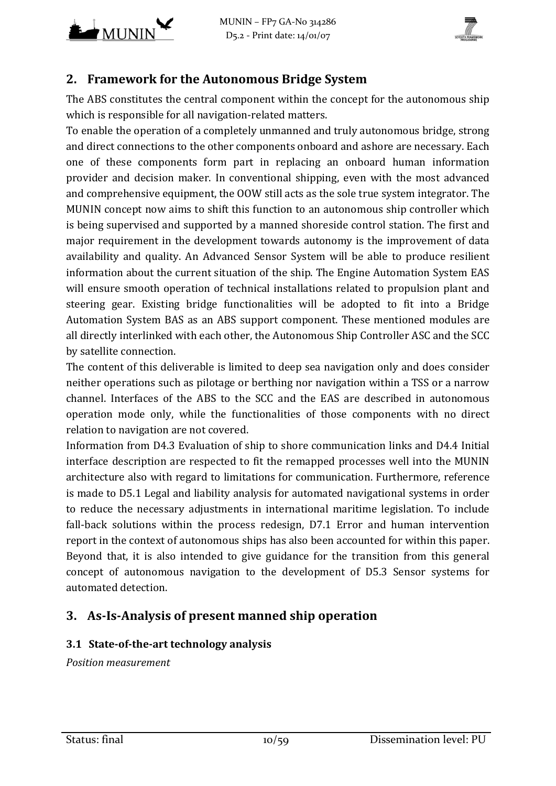



# **2. Framework for the Autonomous Bridge System**

The ABS constitutes the central component within the concept for the autonomous ship which is responsible for all navigation-related matters.

To enable the operation of a completely unmanned and truly autonomous bridge, strong and direct connections to the other components onboard and ashore are necessary. Each one of these components form part in replacing an onboard human information provider and decision maker. In conventional shipping, even with the most advanced and comprehensive equipment, the OOW still acts as the sole true system integrator. The MUNIN concept now aims to shift this function to an autonomous ship controller which is being supervised and supported by a manned shoreside control station. The first and major requirement in the development towards autonomy is the improvement of data availability and quality. An Advanced Sensor System will be able to produce resilient information about the current situation of the ship. The Engine Automation System EAS will ensure smooth operation of technical installations related to propulsion plant and steering gear. Existing bridge functionalities will be adopted to fit into a Bridge Automation System BAS as an ABS support component. These mentioned modules are all directly interlinked with each other, the Autonomous Ship Controller ASC and the SCC by satellite connection.

The content of this deliverable is limited to deep sea navigation only and does consider neither operations such as pilotage or berthing nor navigation within a TSS or a narrow channel. Interfaces of the ABS to the SCC and the EAS are described in autonomous operation mode only, while the functionalities of those components with no direct relation to navigation are not covered.

Information from D4.3 Evaluation of ship to shore communication links and D4.4 Initial interface description are respected to fit the remapped processes well into the MUNIN architecture also with regard to limitations for communication. Furthermore, reference is made to D5.1 Legal and liability analysis for automated navigational systems in order to reduce the necessary adjustments in international maritime legislation. To include fall-back solutions within the process redesign, D7.1 Error and human intervention report in the context of autonomous ships has also been accounted for within this paper. Beyond that, it is also intended to give guidance for the transition from this general concept of autonomous navigation to the development of D5.3 Sensor systems for automated detection.

# **3. As‐Is‐Analysis of present manned ship operation**

## **3.1 State‐of‐the‐art technology analysis**

*Position measurement*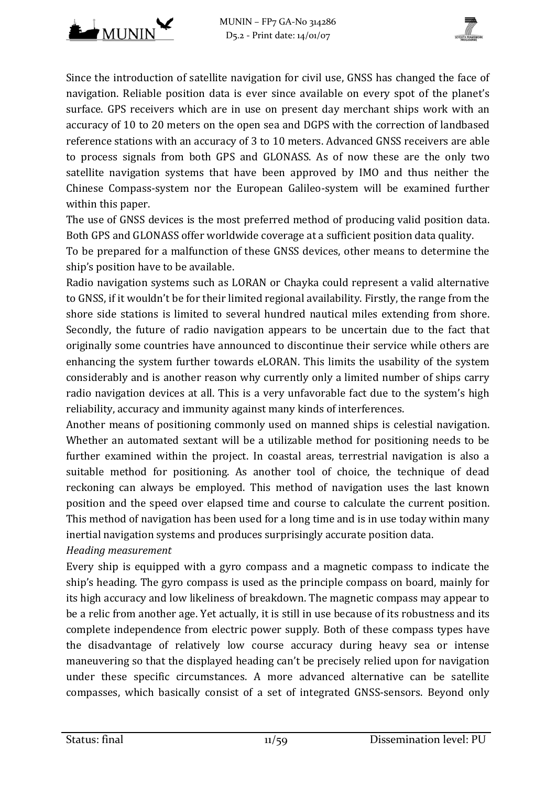



Since the introduction of satellite navigation for civil use, GNSS has changed the face of navigation. Reliable position data is ever since available on every spot of the planet's surface. GPS receivers which are in use on present day merchant ships work with an accuracy of 10 to 20 meters on the open sea and DGPS with the correction of landbased reference stations with an accuracy of 3 to 10 meters. Advanced GNSS receivers are able to process signals from both GPS and GLONASS. As of now these are the only two satellite navigation systems that have been approved by IMO and thus neither the Chinese Compass-system nor the European Galileo-system will be examined further within this paper.

The use of GNSS devices is the most preferred method of producing valid position data. Both GPS and GLONASS offer worldwide coverage at a sufficient position data quality.

To be prepared for a malfunction of these GNSS devices, other means to determine the ship's position have to be available.

Radio navigation systems such as LORAN or Chayka could represent a valid alternative to GNSS, if it wouldn't be for their limited regional availability. Firstly, the range from the shore side stations is limited to several hundred nautical miles extending from shore. Secondly, the future of radio navigation appears to be uncertain due to the fact that originally some countries have announced to discontinue their service while others are enhancing the system further towards eLORAN. This limits the usability of the system considerably and is another reason why currently only a limited number of ships carry radio navigation devices at all. This is a very unfavorable fact due to the system's high reliability, accuracy and immunity against many kinds of interferences.

Another means of positioning commonly used on manned ships is celestial navigation. Whether an automated sextant will be a utilizable method for positioning needs to be further examined within the project. In coastal areas, terrestrial navigation is also a suitable method for positioning. As another tool of choice, the technique of dead reckoning can always be employed. This method of navigation uses the last known position and the speed over elapsed time and course to calculate the current position. This method of navigation has been used for a long time and is in use today within many inertial navigation systems and produces surprisingly accurate position data.

*Heading measurement*

Every ship is equipped with a gyro compass and a magnetic compass to indicate the ship's heading. The gyro compass is used as the principle compass on board, mainly for its high accuracy and low likeliness of breakdown. The magnetic compass may appear to be a relic from another age. Yet actually, it is still in use because of its robustness and its complete independence from electric power supply. Both of these compass types have the disadvantage of relatively low course accuracy during heavy sea or intense maneuvering so that the displayed heading can't be precisely relied upon for navigation under these specific circumstances. A more advanced alternative can be satellite compasses, which basically consist of a set of integrated GNSS-sensors. Beyond only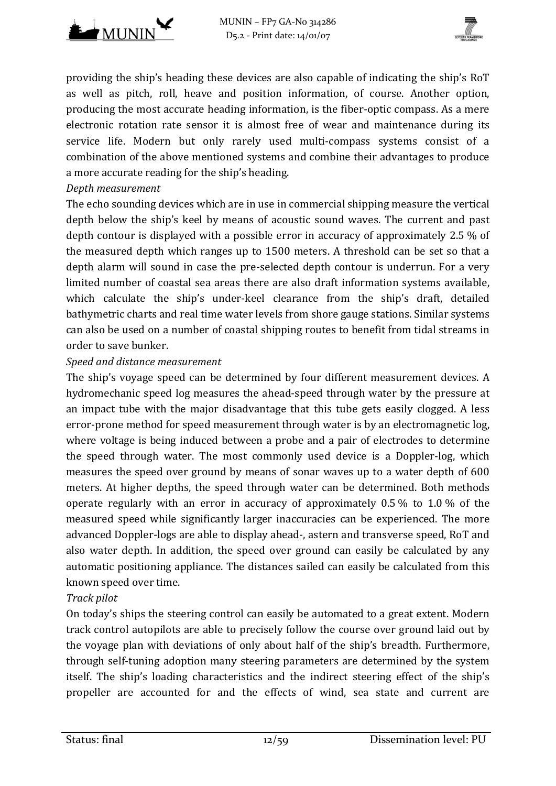



providing the ship's heading these devices are also capable of indicating the ship's RoT as well as pitch, roll, heave and position information, of course. Another option, producing the most accurate heading information, is the fiber-optic compass. As a mere electronic rotation rate sensor it is almost free of wear and maintenance during its service life. Modern but only rarely used multi-compass systems consist of a combination of the above mentioned systems and combine their advantages to produce a more accurate reading for the ship's heading.

#### *Depth measurement*

The echo sounding devices which are in use in commercial shipping measure the vertical depth below the ship's keel by means of acoustic sound waves. The current and past depth contour is displayed with a possible error in accuracy of approximately 2.5  $\%$  of the measured depth which ranges up to  $1500$  meters. A threshold can be set so that a depth alarm will sound in case the pre-selected depth contour is underrun. For a very limited number of coastal sea areas there are also draft information systems available. which calculate the ship's under-keel clearance from the ship's draft, detailed bathymetric charts and real time water levels from shore gauge stations. Similar systems can also be used on a number of coastal shipping routes to benefit from tidal streams in order to save bunker.

#### *Speed and distance measurement*

The ship's voyage speed can be determined by four different measurement devices. A hydromechanic speed log measures the ahead-speed through water by the pressure at an impact tube with the major disadvantage that this tube gets easily clogged. A less error-prone method for speed measurement through water is by an electromagnetic log, where voltage is being induced between a probe and a pair of electrodes to determine the speed through water. The most commonly used device is a Doppler-log, which measures the speed over ground by means of sonar waves up to a water depth of 600 meters. At higher depths, the speed through water can be determined. Both methods operate regularly with an error in accuracy of approximately  $0.5\%$  to  $1.0\%$  of the measured speed while significantly larger inaccuracies can be experienced. The more advanced Doppler-logs are able to display ahead-, astern and transverse speed, RoT and also water depth. In addition, the speed over ground can easily be calculated by any automatic positioning appliance. The distances sailed can easily be calculated from this known speed over time.

#### *Track pilot*

On today's ships the steering control can easily be automated to a great extent. Modern track control autopilots are able to precisely follow the course over ground laid out by the voyage plan with deviations of only about half of the ship's breadth. Furthermore, through self-tuning adoption many steering parameters are determined by the system itself. The ship's loading characteristics and the indirect steering effect of the ship's propeller are accounted for and the effects of wind, sea state and current are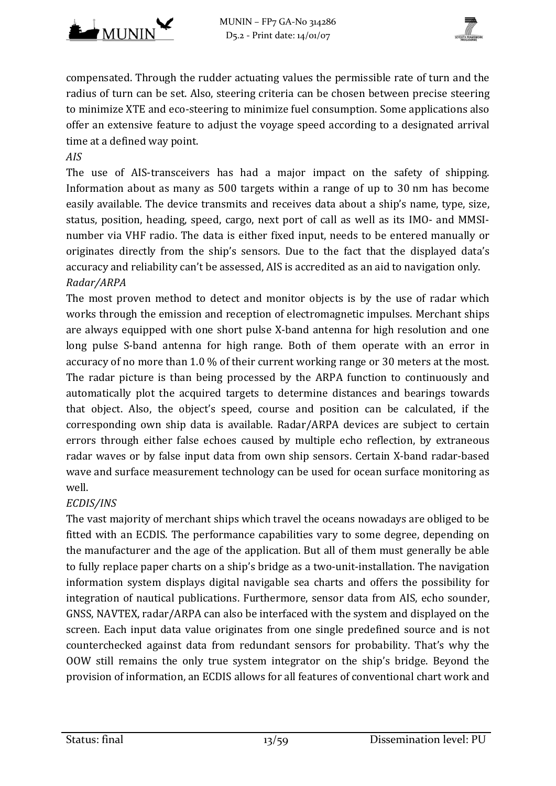



compensated. Through the rudder actuating values the permissible rate of turn and the radius of turn can be set. Also, steering criteria can be chosen between precise steering to minimize XTE and eco-steering to minimize fuel consumption. Some applications also offer an extensive feature to adjust the voyage speed according to a designated arrival time at a defined way point.

*AIS*

The use of AIS-transceivers has had a major impact on the safety of shipping. Information about as many as 500 targets within a range of up to 30 nm has become easily available. The device transmits and receives data about a ship's name, type, size, status, position, heading, speed, cargo, next port of call as well as its IMO- and MMSInumber via VHF radio. The data is either fixed input, needs to be entered manually or originates directly from the ship's sensors. Due to the fact that the displayed data's accuracy and reliability can't be assessed, AIS is accredited as an aid to navigation only. *Radar/ARPA*

The most proven method to detect and monitor objects is by the use of radar which works through the emission and reception of electromagnetic impulses. Merchant ships are always equipped with one short pulse X-band antenna for high resolution and one long pulse S-band antenna for high range. Both of them operate with an error in accuracy of no more than 1.0 % of their current working range or 30 meters at the most. The radar picture is than being processed by the ARPA function to continuously and automatically plot the acquired targets to determine distances and bearings towards that object. Also, the object's speed, course and position can be calculated, if the corresponding own ship data is available. Radar/ARPA devices are subject to certain errors through either false echoes caused by multiple echo reflection, by extraneous radar waves or by false input data from own ship sensors. Certain X-band radar-based wave and surface measurement technology can be used for ocean surface monitoring as well. 

#### *ECDIS/INS*

The vast majority of merchant ships which travel the oceans nowadays are obliged to be fitted with an ECDIS. The performance capabilities vary to some degree, depending on the manufacturer and the age of the application. But all of them must generally be able to fully replace paper charts on a ship's bridge as a two-unit-installation. The navigation information system displays digital navigable sea charts and offers the possibility for integration of nautical publications. Furthermore, sensor data from AIS, echo sounder, GNSS, NAVTEX, radar/ARPA can also be interfaced with the system and displayed on the screen. Each input data value originates from one single predefined source and is not counterchecked against data from redundant sensors for probability. That's why the OOW still remains the only true system integrator on the ship's bridge. Beyond the provision of information, an ECDIS allows for all features of conventional chart work and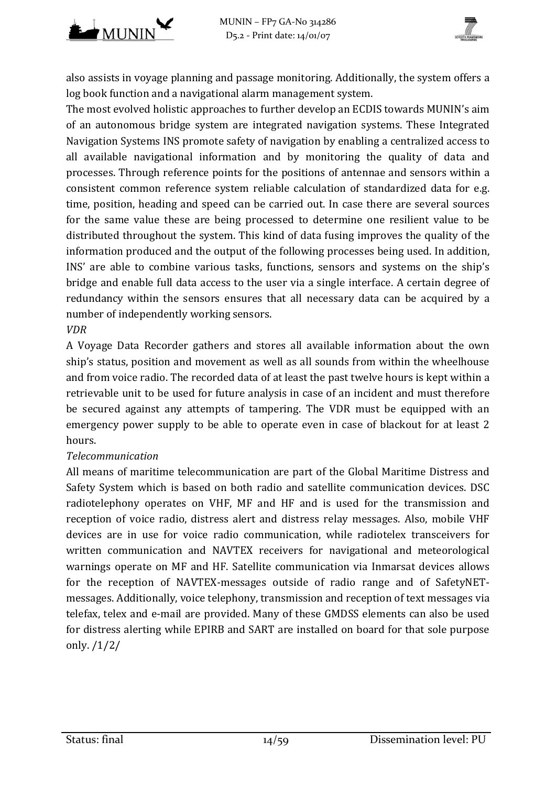



also assists in voyage planning and passage monitoring. Additionally, the system offers a log book function and a navigational alarm management system.

The most evolved holistic approaches to further develop an ECDIS towards MUNIN's aim of an autonomous bridge system are integrated navigation systems. These Integrated Navigation Systems INS promote safety of navigation by enabling a centralized access to all available navigational information and by monitoring the quality of data and processes. Through reference points for the positions of antennae and sensors within a consistent common reference system reliable calculation of standardized data for e.g. time, position, heading and speed can be carried out. In case there are several sources for the same value these are being processed to determine one resilient value to be distributed throughout the system. This kind of data fusing improves the quality of the information produced and the output of the following processes being used. In addition, INS' are able to combine various tasks, functions, sensors and systems on the ship's bridge and enable full data access to the user via a single interface. A certain degree of redundancy within the sensors ensures that all necessary data can be acquired by a number of independently working sensors.

#### *VDR*

A Voyage Data Recorder gathers and stores all available information about the own ship's status, position and movement as well as all sounds from within the wheelhouse and from voice radio. The recorded data of at least the past twelve hours is kept within a retrievable unit to be used for future analysis in case of an incident and must therefore be secured against any attempts of tampering. The VDR must be equipped with an emergency power supply to be able to operate even in case of blackout for at least 2 hours. 

#### *Telecommunication*

All means of maritime telecommunication are part of the Global Maritime Distress and Safety System which is based on both radio and satellite communication devices. DSC radiotelephony operates on VHF, MF and HF and is used for the transmission and reception of voice radio, distress alert and distress relay messages. Also, mobile VHF devices are in use for voice radio communication, while radiotelex transceivers for written communication and NAVTEX receivers for navigational and meteorological warnings operate on MF and HF. Satellite communication via Inmarsat devices allows for the reception of NAVTEX-messages outside of radio range and of SafetyNETmessages. Additionally, voice telephony, transmission and reception of text messages via telefax, telex and e-mail are provided. Many of these GMDSS elements can also be used for distress alerting while EPIRB and SART are installed on board for that sole purpose only.  $/1/2/$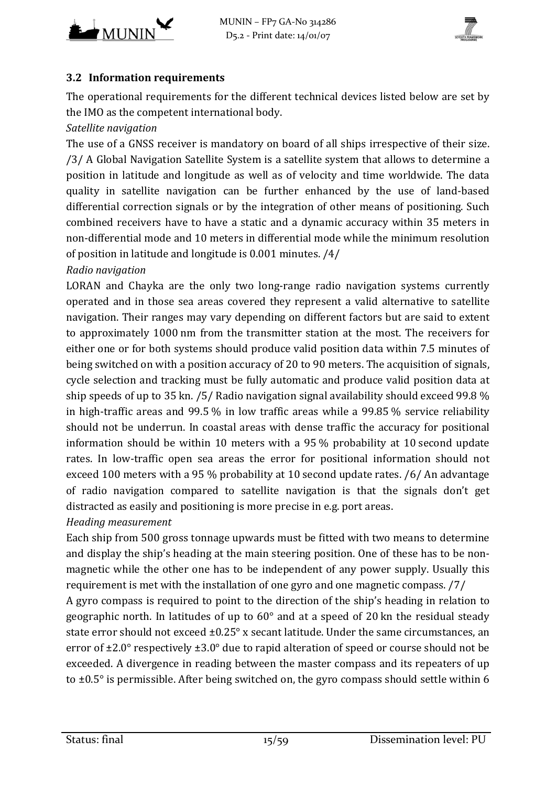



#### **3.2 Information requirements**

The operational requirements for the different technical devices listed below are set by the IMO as the competent international body.

*Satellite navigation*

The use of a GNSS receiver is mandatory on board of all ships irrespective of their size. /3/ A Global Navigation Satellite System is a satellite system that allows to determine a position in latitude and longitude as well as of velocity and time worldwide. The data quality in satellite navigation can be further enhanced by the use of land-based differential correction signals or by the integration of other means of positioning. Such combined receivers have to have a static and a dynamic accuracy within 35 meters in non-differential mode and 10 meters in differential mode while the minimum resolution of position in latitude and longitude is  $0.001$  minutes.  $/4/$ 

#### *Radio navigation*

LORAN and Chayka are the only two long-range radio navigation systems currently operated and in those sea areas covered they represent a valid alternative to satellite navigation. Their ranges may vary depending on different factors but are said to extent to approximately 1000 nm from the transmitter station at the most. The receivers for either one or for both systems should produce valid position data within 7.5 minutes of being switched on with a position accuracy of 20 to 90 meters. The acquisition of signals, cycle selection and tracking must be fully automatic and produce valid position data at ship speeds of up to 35 kn.  $/5/$  Radio navigation signal availability should exceed 99.8 % in high-traffic areas and  $99.5\%$  in low traffic areas while a  $99.85\%$  service reliability should not be underrun. In coastal areas with dense traffic the accuracy for positional information should be within 10 meters with a 95  $\%$  probability at 10 second update rates. In low-traffic open sea areas the error for positional information should not exceed 100 meters with a 95 % probability at 10 second update rates. /6/ An advantage of radio navigation compared to satellite navigation is that the signals don't get distracted as easily and positioning is more precise in e.g. port areas.

#### *Heading measurement*

Each ship from 500 gross tonnage upwards must be fitted with two means to determine and display the ship's heading at the main steering position. One of these has to be nonmagnetic while the other one has to be independent of any power supply. Usually this requirement is met with the installation of one gyro and one magnetic compass.  $/7/$ 

A gyro compass is required to point to the direction of the ship's heading in relation to geographic north. In latitudes of up to  $60^\circ$  and at a speed of 20 kn the residual steady state error should not exceed  $\pm 0.25^\circ$  x secant latitude. Under the same circumstances, an error of  $\pm 2.0^{\circ}$  respectively  $\pm 3.0^{\circ}$  due to rapid alteration of speed or course should not be exceeded. A divergence in reading between the master compass and its repeaters of up to  $\pm 0.5^\circ$  is permissible. After being switched on, the gyro compass should settle within 6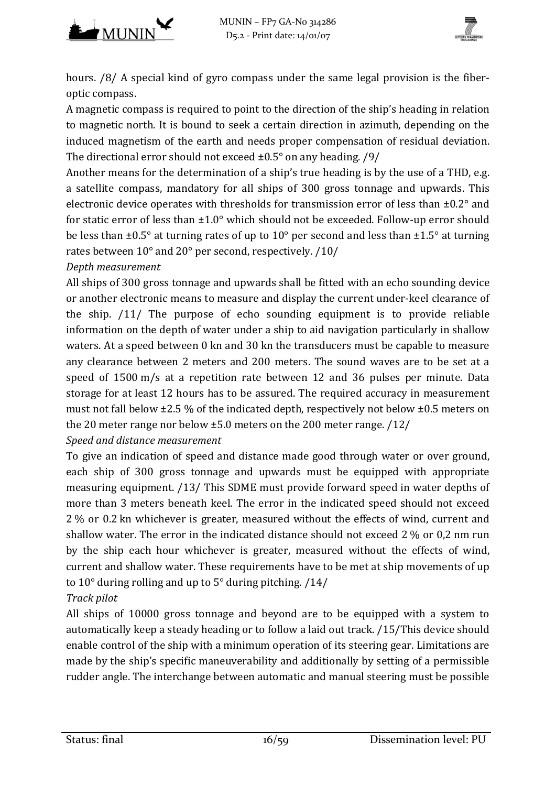



hours.  $/8/$  A special kind of gyro compass under the same legal provision is the fiberoptic compass.

A magnetic compass is required to point to the direction of the ship's heading in relation to magnetic north. It is bound to seek a certain direction in azimuth, depending on the induced magnetism of the earth and needs proper compensation of residual deviation. The directional error should not exceed  $\pm 0.5^{\circ}$  on any heading. /9/

Another means for the determination of a ship's true heading is by the use of a THD, e.g. a satellite compass, mandatory for all ships of 300 gross tonnage and upwards. This electronic device operates with thresholds for transmission error of less than  $\pm 0.2^{\circ}$  and for static error of less than  $\pm 1.0^{\circ}$  which should not be exceeded. Follow-up error should be less than  $\pm 0.5^{\circ}$  at turning rates of up to 10° per second and less than  $\pm 1.5^{\circ}$  at turning rates between  $10^{\circ}$  and  $20^{\circ}$  per second, respectively.  $/10/$ 

## *Depth measurement*

All ships of 300 gross tonnage and upwards shall be fitted with an echo sounding device or another electronic means to measure and display the current under-keel clearance of the ship.  $/11/$  The purpose of echo sounding equipment is to provide reliable information on the depth of water under a ship to aid navigation particularly in shallow waters. At a speed between  $0 \text{ km}$  and  $30 \text{ km}$  the transducers must be capable to measure any clearance between 2 meters and 200 meters. The sound waves are to be set at a speed of 1500 m/s at a repetition rate between 12 and 36 pulses per minute. Data storage for at least 12 hours has to be assured. The required accuracy in measurement must not fall below  $\pm 2.5$  % of the indicated depth, respectively not below  $\pm 0.5$  meters on the 20 meter range nor below  $\pm 5.0$  meters on the 200 meter range. /12/

*Speed and distance measurement*

To give an indication of speed and distance made good through water or over ground, each ship of 300 gross tonnage and upwards must be equipped with appropriate measuring equipment. /13/ This SDME must provide forward speed in water depths of more than 3 meters beneath keel. The error in the indicated speed should not exceed 2 % or 0.2 kn whichever is greater, measured without the effects of wind, current and shallow water. The error in the indicated distance should not exceed  $2\%$  or 0,2 nm run by the ship each hour whichever is greater, measured without the effects of wind, current and shallow water. These requirements have to be met at ship movements of up to  $10^{\circ}$  during rolling and up to  $5^{\circ}$  during pitching. /14/

## *Track pilot*

All ships of 10000 gross tonnage and beyond are to be equipped with a system to automatically keep a steady heading or to follow a laid out track. /15/This device should enable control of the ship with a minimum operation of its steering gear. Limitations are made by the ship's specific maneuverability and additionally by setting of a permissible rudder angle. The interchange between automatic and manual steering must be possible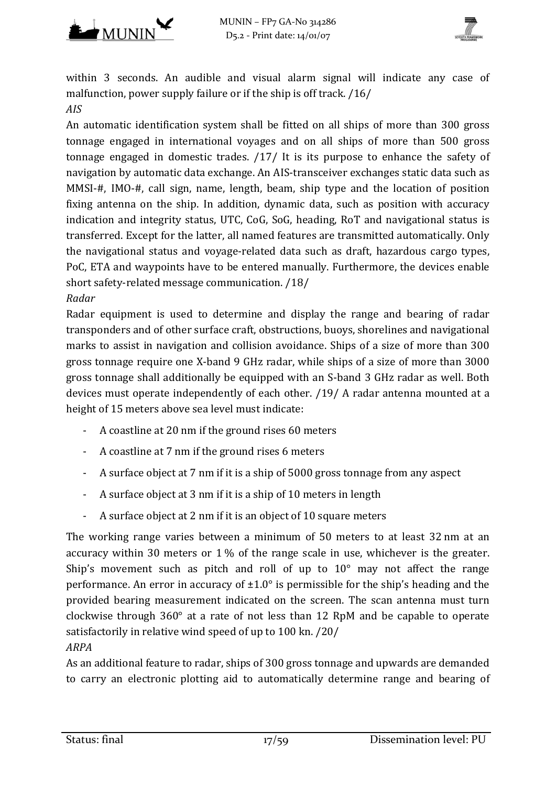



within 3 seconds. An audible and visual alarm signal will indicate any case of malfunction, power supply failure or if the ship is off track.  $/16/$ *AIS*

An automatic identification system shall be fitted on all ships of more than 300 gross tonnage engaged in international voyages and on all ships of more than 500 gross tonnage engaged in domestic trades.  $/17/$  It is its purpose to enhance the safety of navigation by automatic data exchange. An AIS-transceiver exchanges static data such as MMSI-#, IMO-#, call sign, name, length, beam, ship type and the location of position fixing antenna on the ship. In addition, dynamic data, such as position with accuracy indication and integrity status, UTC, CoG, SoG, heading, RoT and navigational status is transferred. Except for the latter, all named features are transmitted automatically. Only the navigational status and voyage-related data such as draft, hazardous cargo types, PoC, ETA and waypoints have to be entered manually. Furthermore, the devices enable short safety-related message communication. /18/

#### *Radar*

Radar equipment is used to determine and display the range and bearing of radar transponders and of other surface craft, obstructions, buoys, shorelines and navigational marks to assist in navigation and collision avoidance. Ships of a size of more than 300 gross tonnage require one X-band 9 GHz radar, while ships of a size of more than 3000 gross tonnage shall additionally be equipped with an S-band 3 GHz radar as well. Both devices must operate independently of each other. /19/ A radar antenna mounted at a height of 15 meters above sea level must indicate:

- A coastline at 20 nm if the ground rises 60 meters
- A coastline at 7 nm if the ground rises 6 meters
- A surface object at 7 nm if it is a ship of 5000 gross tonnage from any aspect
- A surface object at 3 nm if it is a ship of 10 meters in length
- A surface object at 2 nm if it is an object of 10 square meters

The working range varies between a minimum of 50 meters to at least 32 nm at an accuracy within 30 meters or  $1\%$  of the range scale in use, whichever is the greater. Ship's movement such as pitch and roll of up to  $10^{\circ}$  may not affect the range performance. An error in accuracy of  $\pm 1.0^{\circ}$  is permissible for the ship's heading and the provided bearing measurement indicated on the screen. The scan antenna must turn clockwise through  $360^\circ$  at a rate of not less than 12 RpM and be capable to operate satisfactorily in relative wind speed of up to 100 kn. /20/ *ARPA*

As an additional feature to radar, ships of 300 gross tonnage and upwards are demanded to carry an electronic plotting aid to automatically determine range and bearing of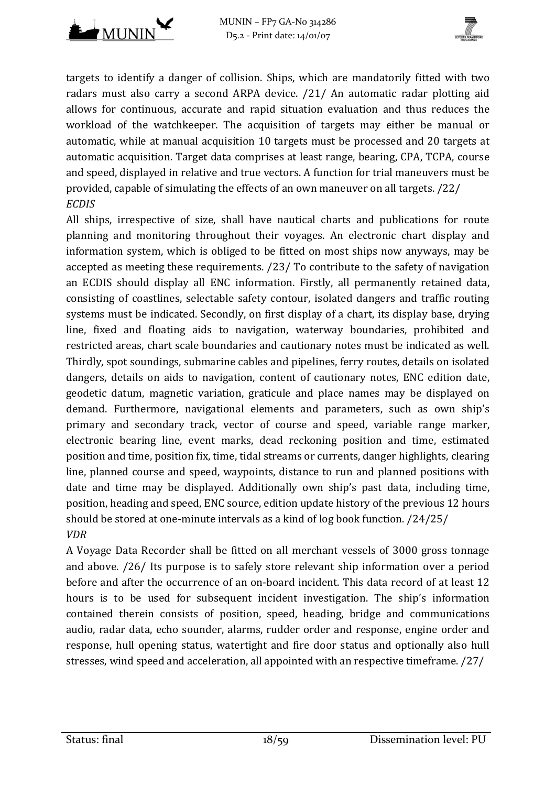



targets to identify a danger of collision. Ships, which are mandatorily fitted with two radars must also carry a second ARPA device. /21/ An automatic radar plotting aid allows for continuous, accurate and rapid situation evaluation and thus reduces the workload of the watchkeeper. The acquisition of targets may either be manual or automatic, while at manual acquisition 10 targets must be processed and 20 targets at automatic acquisition. Target data comprises at least range, bearing, CPA, TCPA, course and speed, displayed in relative and true vectors. A function for trial maneuvers must be provided, capable of simulating the effects of an own maneuver on all targets.  $/22/$ *ECDIS*

All ships, irrespective of size, shall have nautical charts and publications for route planning and monitoring throughout their voyages. An electronic chart display and information system, which is obliged to be fitted on most ships now anyways, may be accepted as meeting these requirements. /23/ To contribute to the safety of navigation an ECDIS should display all ENC information. Firstly, all permanently retained data, consisting of coastlines, selectable safety contour, isolated dangers and traffic routing systems must be indicated. Secondly, on first display of a chart, its display base, drying line, fixed and floating aids to navigation, waterway boundaries, prohibited and restricted areas, chart scale boundaries and cautionary notes must be indicated as well. Thirdly, spot soundings, submarine cables and pipelines, ferry routes, details on isolated dangers, details on aids to navigation, content of cautionary notes, ENC edition date, geodetic datum, magnetic variation, graticule and place names may be displayed on demand. Furthermore, navigational elements and parameters, such as own ship's primary and secondary track, vector of course and speed, variable range marker, electronic bearing line, event marks, dead reckoning position and time, estimated position and time, position fix, time, tidal streams or currents, danger highlights, clearing line, planned course and speed, waypoints, distance to run and planned positions with date and time may be displayed. Additionally own ship's past data, including time, position, heading and speed, ENC source, edition update history of the previous 12 hours should be stored at one-minute intervals as a kind of log book function.  $/24/25/$ *VDR*

A Voyage Data Recorder shall be fitted on all merchant vessels of 3000 gross tonnage and above. /26/ Its purpose is to safely store relevant ship information over a period before and after the occurrence of an on-board incident. This data record of at least 12 hours is to be used for subsequent incident investigation. The ship's information contained therein consists of position, speed, heading, bridge and communications audio, radar data, echo sounder, alarms, rudder order and response, engine order and response, hull opening status, watertight and fire door status and optionally also hull stresses, wind speed and acceleration, all appointed with an respective timeframe.  $/27/$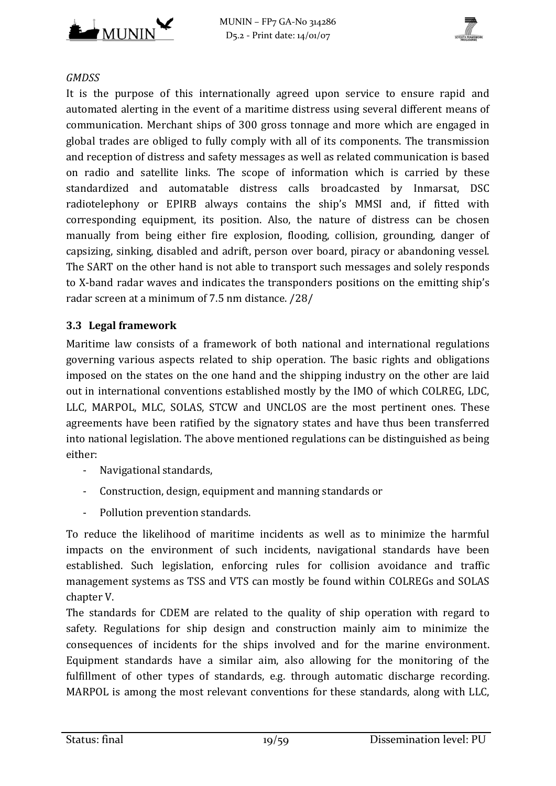



#### *GMDSS*

It is the purpose of this internationally agreed upon service to ensure rapid and automated alerting in the event of a maritime distress using several different means of communication. Merchant ships of 300 gross tonnage and more which are engaged in global trades are obliged to fully comply with all of its components. The transmission and reception of distress and safety messages as well as related communication is based on radio and satellite links. The scope of information which is carried by these standardized and automatable distress calls broadcasted by Inmarsat, DSC radiotelephony or EPIRB always contains the ship's MMSI and, if fitted with corresponding equipment, its position. Also, the nature of distress can be chosen manually from being either fire explosion, flooding, collision, grounding, danger of capsizing, sinking, disabled and adrift, person over board, piracy or abandoning vessel. The SART on the other hand is not able to transport such messages and solely responds to X-band radar waves and indicates the transponders positions on the emitting ship's radar screen at a minimum of 7.5 nm distance. /28/

#### **3.3 Legal framework**

Maritime law consists of a framework of both national and international regulations governing various aspects related to ship operation. The basic rights and obligations imposed on the states on the one hand and the shipping industry on the other are laid out in international conventions established mostly by the IMO of which COLREG, LDC, LLC, MARPOL, MLC, SOLAS, STCW and UNCLOS are the most pertinent ones. These agreements have been ratified by the signatory states and have thus been transferred into national legislation. The above mentioned regulations can be distinguished as being either: 

- Navigational standards,
- Construction, design, equipment and manning standards or
- Pollution prevention standards.

To reduce the likelihood of maritime incidents as well as to minimize the harmful impacts on the environment of such incidents, navigational standards have been established. Such legislation, enforcing rules for collision avoidance and traffic management systems as TSS and VTS can mostly be found within COLREGs and SOLAS chapter V.

The standards for CDEM are related to the quality of ship operation with regard to safety. Regulations for ship design and construction mainly aim to minimize the consequences of incidents for the ships involved and for the marine environment. Equipment standards have a similar aim, also allowing for the monitoring of the fulfillment of other types of standards, e.g. through automatic discharge recording. MARPOL is among the most relevant conventions for these standards, along with LLC,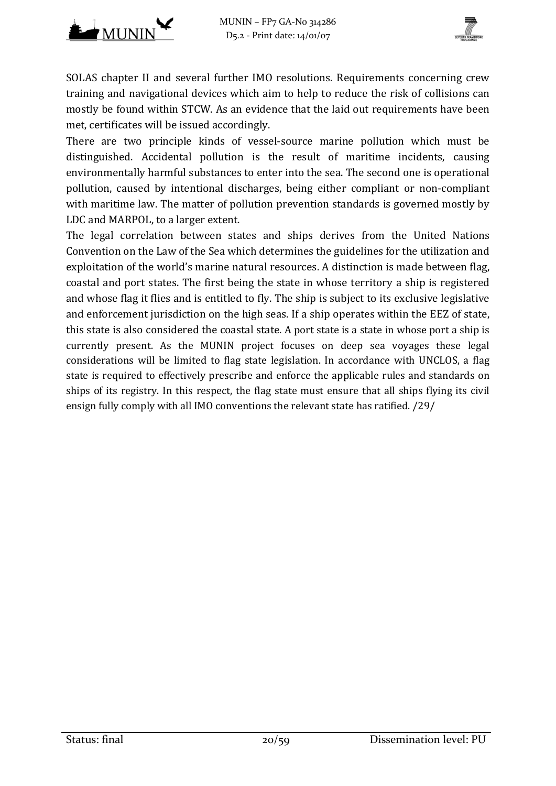



SOLAS chapter II and several further IMO resolutions. Requirements concerning crew training and navigational devices which aim to help to reduce the risk of collisions can mostly be found within STCW. As an evidence that the laid out requirements have been met, certificates will be issued accordingly.

There are two principle kinds of vessel-source marine pollution which must be distinguished. Accidental pollution is the result of maritime incidents, causing environmentally harmful substances to enter into the sea. The second one is operational pollution, caused by intentional discharges, being either compliant or non-compliant with maritime law. The matter of pollution prevention standards is governed mostly by LDC and MARPOL, to a larger extent.

The legal correlation between states and ships derives from the United Nations Convention on the Law of the Sea which determines the guidelines for the utilization and exploitation of the world's marine natural resources. A distinction is made between flag, coastal and port states. The first being the state in whose territory a ship is registered and whose flag it flies and is entitled to fly. The ship is subject to its exclusive legislative and enforcement jurisdiction on the high seas. If a ship operates within the EEZ of state, this state is also considered the coastal state. A port state is a state in whose port a ship is currently present. As the MUNIN project focuses on deep sea voyages these legal considerations will be limited to flag state legislation. In accordance with UNCLOS, a flag state is required to effectively prescribe and enforce the applicable rules and standards on ships of its registry. In this respect, the flag state must ensure that all ships flying its civil ensign fully comply with all IMO conventions the relevant state has ratified.  $/29/$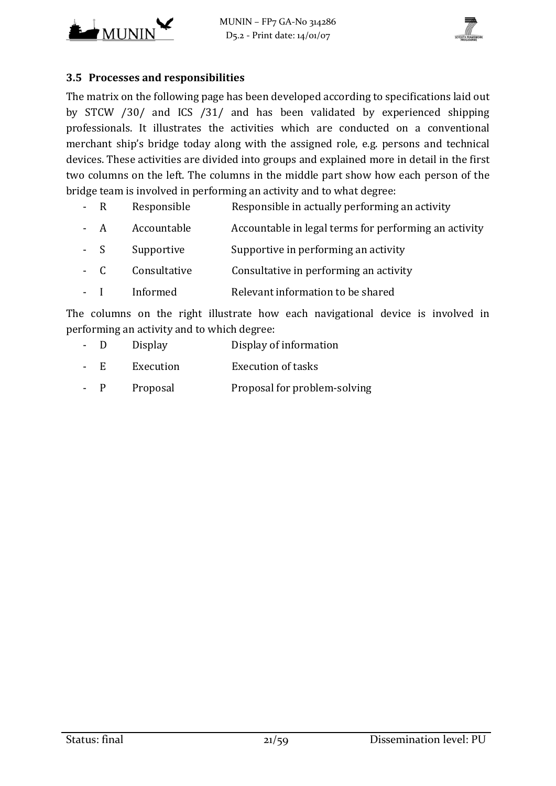



#### **3.5 Processes and responsibilities**

The matrix on the following page has been developed according to specifications laid out by STCW /30/ and ICS /31/ and has been validated by experienced shipping professionals. It illustrates the activities which are conducted on a conventional merchant ship's bridge today along with the assigned role, e.g. persons and technical devices. These activities are divided into groups and explained more in detail in the first two columns on the left. The columns in the middle part show how each person of the bridge team is involved in performing an activity and to what degree:

- R Responsible Responsible in actually performing an activity
- A Accountable Accountable in legal terms for performing an activity
- S Supportive Supportive in performing an activity
- C Consultative Consultative in performing an activity
- I Informed Relevant information to be shared

The columns on the right illustrate how each navigational device is involved in performing an activity and to which degree:

- D Display Display of information E Execution Execution of tasks
- P Proposal Proposal for problem-solving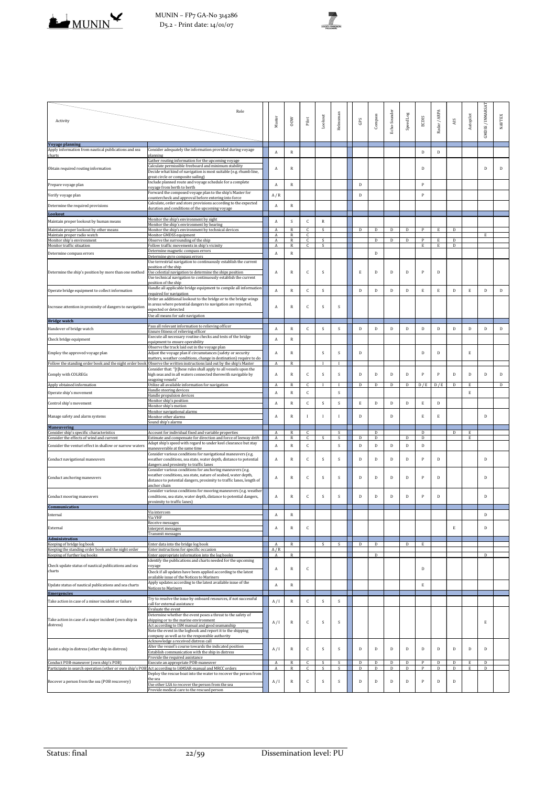



| Activity                                                                                                | Master                                                                                                                                                                                                                                                                                                         | 0OW                     | Pilot                        | Lookout                       | Helmsman       | $\rm{GBS}$ | Compass          | Echo-Sounder | Speed Log   | <b>ECDIS</b> | Radar / ARP A     | AIS              | Autopilot | GMDSS / INMARSAT | <b>NAVTEX</b> |           |
|---------------------------------------------------------------------------------------------------------|----------------------------------------------------------------------------------------------------------------------------------------------------------------------------------------------------------------------------------------------------------------------------------------------------------------|-------------------------|------------------------------|-------------------------------|----------------|------------|------------------|--------------|-------------|--------------|-------------------|------------------|-----------|------------------|---------------|-----------|
| Voyage planning<br>Apply information from nautical publications and sea                                 |                                                                                                                                                                                                                                                                                                                |                         |                              |                               |                |            |                  |              |             |              |                   |                  |           |                  |               |           |
| charts                                                                                                  | Consider adequately the information provided during voyage<br>olanning                                                                                                                                                                                                                                         | A                       | $\mathbb{R}$                 |                               |                |            |                  |              |             |              | D                 | D                |           |                  |               |           |
| Obtain required routing information                                                                     | Gather routing information for the upcoming voyage<br>Calculate permissible freeboard and minimum stability<br>Decide what kind of navigation is most suitable (e.g. rhumb line,<br>great circle or composite sailing)                                                                                         | А                       | $\mathbb{R}$                 |                               |                |            |                  |              |             |              | D                 |                  |           |                  | D             | D         |
| Prepare voyage plan                                                                                     | Include planned route and voyage schedule for a complete<br>oyage from berth to berth                                                                                                                                                                                                                          | A                       | $\mathbb{R}$                 |                               |                |            | D                |              |             |              | $\mathsf{P}$      |                  |           |                  |               |           |
| Verify voyage plan                                                                                      | Forward the composed voyage plan to the ship's Master for<br>countercheck and approval before entering into force                                                                                                                                                                                              | A/R                     |                              |                               |                |            | D                |              |             |              | $\mathbf{P}$      |                  |           |                  |               |           |
| Determine the required provisions                                                                       | Calculate, order and store provisions according to the expected<br>duration and conditions of the upcoming voyage                                                                                                                                                                                              | A                       | $\mathbb{R}$                 |                               |                |            |                  |              |             |              |                   |                  |           |                  |               |           |
| Lookout                                                                                                 |                                                                                                                                                                                                                                                                                                                |                         |                              |                               |                |            |                  |              |             |              |                   |                  |           |                  |               |           |
| Maintain proper lookout by human means                                                                  | Monitor the ship's environment by sight<br>Monitor the ship's environment by hearing                                                                                                                                                                                                                           | A                       | S                            | $\mathsf{C}$                  | $\mathbb{R}$   |            |                  |              |             |              |                   |                  |           |                  |               |           |
| Maintain proper lookout by other means<br>Maintain proper radio watch                                   | Monitor the ship's environment by technical devices<br>Monitor GMDSS equipment                                                                                                                                                                                                                                 | A<br>A                  | $\mathbb{R}$<br>$\mathbb{R}$ | $\mathcal{C}$<br>$\mathsf{C}$ | S              |            | D                | D            | D           | D            | $\mathsf{P}$      | E                | D         |                  | E             |           |
| Monitor ship's environment<br>Monitor traffic situation                                                 | Observe the surrounding of the ship<br>Follow traffic movements in ship's vicinity                                                                                                                                                                                                                             | A<br>A                  | $\mathbb{R}$<br>$\mathbb{R}$ | $\mathsf{C}$<br>$\mathsf{C}$  | S.<br>S        |            |                  | D            | D           | D            | P<br>E            | E<br>E           | D<br>D    |                  |               |           |
| Determine compass errors                                                                                | Determine magnetic compass errors<br>Determine gyro compass errors                                                                                                                                                                                                                                             | A                       | $\mathbb{R}$                 |                               |                |            |                  | $\mathbf D$  |             |              |                   |                  |           |                  |               |           |
|                                                                                                         | Use terrestrial navigation to continuously establish the current                                                                                                                                                                                                                                               |                         |                              |                               |                |            |                  |              |             |              |                   |                  |           |                  |               |           |
| Determine the ship's position by more than one method                                                   | position of the ship<br>Use celestial navigation to determine the ships position<br>Use technical navigation to continuously establish the current<br>position of the ship                                                                                                                                     | А                       | $\mathbb{R}$                 | C                             | S              |            | Ε                | D            | D           | D            | P                 | D                |           |                  |               |           |
| Operate bridge equipment to collect information                                                         | Handle all applicable bridge equipment to compile all information<br>required for navigation                                                                                                                                                                                                                   | A                       | $\mathbb{R}$                 | C                             | S              |            | D                | D            | D           | D            | E                 | E                | D         | E                | D             | D         |
| Increase attention in proximity of dangers to navigation                                                | Order an additional lookout to the bridge or to the bridge wings<br>in areas where potential dangers to navigation are reported,<br>expected or detected                                                                                                                                                       | А                       | $\mathbb{R}$                 | C                             | S              | S          |                  |              |             |              |                   |                  |           |                  |               |           |
| <b>Bridge watch</b>                                                                                     | Use all means for safe navigation                                                                                                                                                                                                                                                                              |                         |                              |                               |                |            |                  |              |             |              |                   |                  |           |                  |               |           |
| Handover of bridge watch                                                                                | Pass all relevant information to relieving officer<br>Insure fitness of relieving officer                                                                                                                                                                                                                      | A                       | $\mathbb{R}$                 | $\mathsf{C}$                  | S              | S          | D                | $\mathbf D$  | D           | D            | D                 | $\mathbf D$      | D         | ${\bf D}$        | D             | ${\rm D}$ |
| Check bridge equipment                                                                                  | Execute all necessary routine checks and tests of the bridge<br>equipment to ensure operability                                                                                                                                                                                                                | А                       | $\mathbb{R}$                 |                               |                |            |                  |              |             |              |                   |                  |           |                  |               |           |
| Employ the approved voyage plan                                                                         | Observe the track laid out in the voyage plan<br>Adjust the voyage plan if circumstances (safety or security<br>matters, weather conditions, change in destination) require to do                                                                                                                              | A                       | $\mathbb{R}$                 |                               | S              | S          | D                |              |             |              | D                 | D                |           | E                |               |           |
| Follow the standing order book and the night order book                                                 | Observe the written instructions laid out by the ship's Master<br>Consider that: "[t]hese rules shall apply to all vessels upon the                                                                                                                                                                            | A                       | $\mathbb{R}$                 |                               |                |            |                  |              |             |              |                   |                  |           |                  |               |           |
| Comply with COLREGs                                                                                     | high seas and in all waters connected therewith navigable by<br>seagoing vessels"                                                                                                                                                                                                                              | A                       | $\mathbb{R}$                 | $\mathsf{C}$                  | S              | S          | D                | D            | D           | D            | P                 | P                | D         | D                | D             | D         |
| Apply obtained information                                                                              | Utilize all available information for navigation<br>Handle steering devices                                                                                                                                                                                                                                    | А                       | $\mathbb{R}$                 | C                             |                |            | D                | D            | D           | D            | D / E             | D / E            | D         | Е                |               | D         |
| Operate ship's movement                                                                                 | Handle propulsion devices                                                                                                                                                                                                                                                                                      | A                       | $\mathbb{R}$                 | $\mathsf{C}$                  |                | S          |                  |              |             |              |                   |                  |           | $\mathbf E$      |               |           |
| Control ship's movement                                                                                 | Monitor ship's position<br>Monitor ship's motion                                                                                                                                                                                                                                                               | А                       | $\mathbb{R}$                 | $\mathsf{C}$                  | S              | S          | E                | D            | D           | D            | E                 | D                |           |                  |               |           |
| Manage safety and alarm systems<br><b>Maneuvering</b>                                                   | Monitor navigational alarms<br>Monitor other alarms<br>ound ship's alarms                                                                                                                                                                                                                                      | А                       | $\mathbb{R}$                 |                               | $\blacksquare$ |            | D                |              | D           |              | E                 | E                |           |                  | D             |           |
| Consider ship's specific characteristics<br>Consider the effects of wind and current                    | Account for individual fixed and variable properties<br>Estimate and compensate for direction and force of leeway drift                                                                                                                                                                                        | A                       | $\mathbb{R}$<br>$\mathbb{R}$ | C<br>$\mathsf{C}$             | S.             | S<br>S     | D                | D<br>D       |             | D            | D<br>D            |                  | D         | Ε<br>E           |               |           |
| Consider the venturi effect in shallow or narrow waters                                                 | Adapt ship's speed with regard to under keel clearance but stay                                                                                                                                                                                                                                                | A<br>A                  | $\mathbb{R}$                 | $\mathsf{C}$                  |                | S          | $\mathbb D$      | D            | $\mathbf D$ | D            | ${\bf D}$         |                  |           |                  |               |           |
|                                                                                                         | naneuverable at the same time<br>Consider various conditions for navigational maneuvers (e.g.                                                                                                                                                                                                                  |                         |                              |                               |                |            |                  |              |             |              |                   |                  |           |                  |               |           |
| Conduct navigational maneuvers                                                                          | weather conditions, sea state, water depth, distance to potential<br>dangers and proximity to traffic lanes<br>Consider various conditions for anchoring maneuvers (e.g.<br>weather conditions, sea state, nature of seabed, water depth,                                                                      | A                       | $\mathbb{R}$                 | $\mathsf{C}$                  | S              | S          | D                | D            | D           | D            | P                 | D                |           |                  | D             |           |
| Conduct anchoring maneuvers                                                                             | distance to potential dangers, proximity to traffic lanes, length of<br>anchor chain<br>Consider various conditions for mooring maneuvers (e.g. weather                                                                                                                                                        | А                       | $\mathbb{R}$                 | C                             | S              | S          | D                | D            | D           | D            | P                 | D                |           |                  | D             |           |
| Conduct mooring maneuvers<br>Communication                                                              | conditions, sea state, water depth, distance to potential dangers,<br>proximity to traffic lanes)                                                                                                                                                                                                              | A                       | $\mathbb{R}$                 | $\mathsf{C}$                  | S              | S          | D                | D            | D           | D            | P                 | D                |           |                  | D             |           |
| Internal                                                                                                | Via intercom<br>Via VHF                                                                                                                                                                                                                                                                                        | A                       | $\mathbb{R}$                 |                               |                |            |                  |              |             |              |                   |                  |           |                  | D             |           |
| External                                                                                                | Receive messages<br>Interpret messages                                                                                                                                                                                                                                                                         | А                       | $\mathbb{R}$                 | $\mathsf{C}$                  |                |            |                  |              |             |              |                   |                  | E         |                  | D             |           |
| <b>Administration</b>                                                                                   | <b>Transmit messages</b>                                                                                                                                                                                                                                                                                       |                         |                              |                               |                |            |                  |              |             |              |                   |                  |           |                  |               |           |
| Keeping of bridge log book                                                                              | Enter data into the bridge log book                                                                                                                                                                                                                                                                            | A                       | $\mathbb{R}$                 |                               | S              | S          | D                | D            |             | D            | E                 |                  |           |                  |               |           |
| Keeping the standing order book and the night order<br>Keeping of further log books                     | Enter instructions for specific occasion<br>Enter appropriate information into the log books                                                                                                                                                                                                                   | A/R<br>A                | $\mathbb{R}$                 |                               |                |            |                  | D            |             |              |                   |                  |           |                  | D             |           |
| Check update status of nautical publications and sea<br>charts                                          | Identify the publications and charts needed for the upcoming<br>voyage<br>Check if all updates have been applied according to the latest<br>available issue of the Notices to Mariners                                                                                                                         | А                       | $\mathbb{R}$                 | C                             |                |            |                  |              |             |              | D                 |                  |           |                  |               |           |
| Update status of nautical publications and sea charts                                                   | Apply updates according to the latest available issue of the<br>Notices to Mariners                                                                                                                                                                                                                            | A                       | $\mathbb{R}$                 |                               |                |            |                  |              |             |              | E                 |                  |           |                  |               |           |
| <b>Emergencies</b>                                                                                      |                                                                                                                                                                                                                                                                                                                |                         |                              |                               |                |            |                  |              |             |              |                   |                  |           |                  |               |           |
| Take action in case of a minor incident or failure                                                      | Try to resolve the issue by onboard resources, if not successful<br>all for external assistance:<br>valuate the event<br>Determine whether the event poses a threat to the safety of                                                                                                                           | A/I                     | $\mathbb{R}$                 | $\mathcal{C}$                 | S              | S          |                  |              |             |              |                   |                  |           |                  |               |           |
| Take action in case of a major incident (own ship in<br>distress)                                       | shipping or to the marine environment<br>Act according to ISM manual and good seamanship<br>Note the event in the logbook and report it to the shipping<br>company as well as to the responsible authority<br>Acknowledge a received distress call<br>Alter the vessel's course towards the indicated position | A/I                     | $\mathbb{R}$                 | C                             | S              | S          |                  |              |             |              |                   |                  |           |                  | E             |           |
| Assist a ship in distress (other ship in distress)<br>Conduct POB-maneuver (own ship's POB)             | Establish communication with the ship in distress<br>Provide the required assistance<br>Execute an appropriate POB-maneuver                                                                                                                                                                                    | A/I<br>A                | $\mathbb{R}$<br>$\mathbb{R}$ | C<br>$\mathcal{C}$            | S<br>S         | S<br>S     | D<br>$\mathbb D$ | D<br>D       | D<br>D      | D<br>D       | D<br>$\mathsf{P}$ | D<br>$\mathbf D$ | D<br>D    | D<br>E           | D<br>D        |           |
| Participate in search operation (other or own ship's POB Act according to IAMSAR-manual and MRCC orders |                                                                                                                                                                                                                                                                                                                | A                       | $\mathbb{R}$                 | $\mathsf{C}$                  | S              | S          | D                | D            | D           | D            | $\mathbf{P}$      | $\mathbf D$      | D         | E                | D             |           |
| Recover a person from the sea (POB rescovery)                                                           | Deploy the rescue boat into the water to recover the person from<br>the sea<br>Use other LSA to recover the person from the sea<br>Provide medical care to the rescued person                                                                                                                                  | A/I                     | R                            | C                             | S              | S          | D                | D            | D           | D            | P                 | D                | D         |                  |               |           |
| Status: final                                                                                           | 22/59                                                                                                                                                                                                                                                                                                          | Dissemination level: PU |                              |                               |                |            |                  |              |             |              |                   |                  |           |                  |               |           |

| <b>Emergencies</b>                                                                                      |                                                                                                  |  |     |  |    |  |   |  |   |   |              |   |  |   |  |
|---------------------------------------------------------------------------------------------------------|--------------------------------------------------------------------------------------------------|--|-----|--|----|--|---|--|---|---|--------------|---|--|---|--|
| Take action in case of a minor incident or failure                                                      | Try to resolve the issue by onboard resources, if not successful<br>call for external assistance |  | A/I |  |    |  |   |  |   |   |              |   |  |   |  |
|                                                                                                         | Evaluate the event                                                                               |  |     |  |    |  |   |  |   |   |              |   |  |   |  |
|                                                                                                         | Determine whether the event poses a threat to the safety of                                      |  | A/I |  |    |  |   |  |   |   |              |   |  |   |  |
| Take action in case of a major incident (own ship in                                                    | shipping or to the marine environment                                                            |  |     |  |    |  |   |  |   |   |              |   |  |   |  |
| distress)                                                                                               | Act according to ISM manual and good seamanship                                                  |  |     |  |    |  |   |  |   |   |              |   |  |   |  |
|                                                                                                         | Note the event in the logbook and report it to the shipping                                      |  |     |  |    |  |   |  |   |   |              |   |  |   |  |
|                                                                                                         | company as well as to the responsible authority                                                  |  |     |  |    |  |   |  |   |   |              |   |  |   |  |
|                                                                                                         | Acknowledge a received distress call                                                             |  |     |  |    |  |   |  | D | D |              |   |  |   |  |
| Assist a ship in distress (other ship in distress)                                                      | Alter the vessel's course towards the indicated position                                         |  | A/I |  | ι. |  | D |  |   |   | $\mathbf{D}$ | D |  | D |  |
|                                                                                                         | Establish communication with the ship in distress                                                |  |     |  |    |  |   |  |   |   |              |   |  |   |  |
|                                                                                                         | Provide the required assistance                                                                  |  |     |  |    |  |   |  |   |   |              |   |  |   |  |
| Conduct POB-maneuver (own ship's POB)                                                                   | Execute an appropriate POB-maneuver                                                              |  |     |  |    |  |   |  |   |   |              |   |  |   |  |
| Participate in search operation (other or own ship's POB Act according to IAMSAR-manual and MRCC orders |                                                                                                  |  |     |  |    |  |   |  |   |   |              |   |  |   |  |
|                                                                                                         | Deploy the rescue boat into the water to recover the person from                                 |  |     |  |    |  |   |  |   |   |              |   |  |   |  |
| Recover a person from the sea (POB rescovery)                                                           | the sea                                                                                          |  | A/I |  |    |  | D |  | D | D | D            | D |  |   |  |
|                                                                                                         | Use other LSA to recover the person from the sea                                                 |  |     |  | ι. |  |   |  |   |   |              |   |  |   |  |
|                                                                                                         | Provide medical care to the rescued person                                                       |  |     |  |    |  |   |  |   |   |              |   |  |   |  |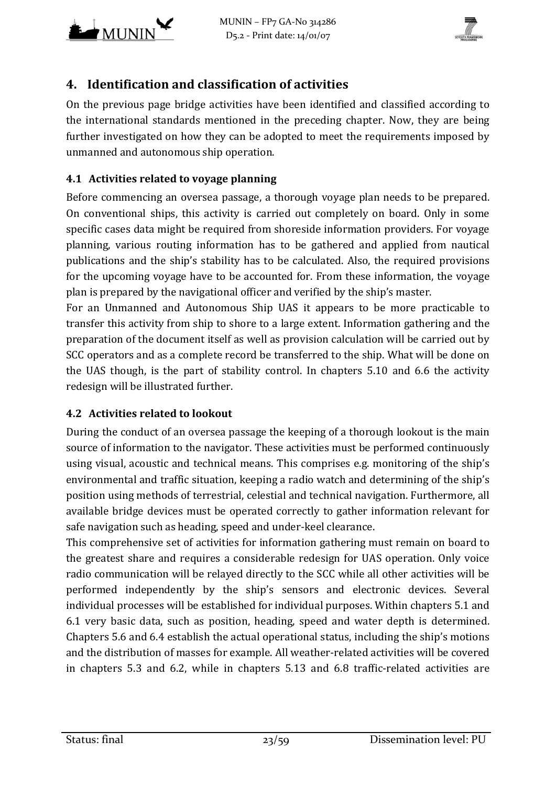



# **4. Identification and classification of activities**

On the previous page bridge activities have been identified and classified according to the international standards mentioned in the preceding chapter. Now, they are being further investigated on how they can be adopted to meet the requirements imposed by unmanned and autonomous ship operation.

## **4.1 Activities related to voyage planning**

Before commencing an oversea passage, a thorough voyage plan needs to be prepared. On conventional ships, this activity is carried out completely on board. Only in some specific cases data might be required from shoreside information providers. For voyage planning, various routing information has to be gathered and applied from nautical publications and the ship's stability has to be calculated. Also, the required provisions for the upcoming voyage have to be accounted for. From these information, the voyage plan is prepared by the navigational officer and verified by the ship's master.

For an Unmanned and Autonomous Ship UAS it appears to be more practicable to transfer this activity from ship to shore to a large extent. Information gathering and the preparation of the document itself as well as provision calculation will be carried out by SCC operators and as a complete record be transferred to the ship. What will be done on the UAS though, is the part of stability control. In chapters 5.10 and 6.6 the activity redesign will be illustrated further.

#### **4.2 Activities related to lookout**

During the conduct of an oversea passage the keeping of a thorough lookout is the main source of information to the navigator. These activities must be performed continuously using visual, acoustic and technical means. This comprises e.g. monitoring of the ship's environmental and traffic situation, keeping a radio watch and determining of the ship's position using methods of terrestrial, celestial and technical navigation. Furthermore, all available bridge devices must be operated correctly to gather information relevant for safe navigation such as heading, speed and under-keel clearance.

This comprehensive set of activities for information gathering must remain on board to the greatest share and requires a considerable redesign for UAS operation. Only voice radio communication will be relayed directly to the SCC while all other activities will be performed independently by the ship's sensors and electronic devices. Several individual processes will be established for individual purposes. Within chapters 5.1 and 6.1 very basic data, such as position, heading, speed and water depth is determined. Chapters 5.6 and 6.4 establish the actual operational status, including the ship's motions and the distribution of masses for example. All weather-related activities will be covered in chapters 5.3 and 6.2, while in chapters 5.13 and 6.8 traffic-related activities are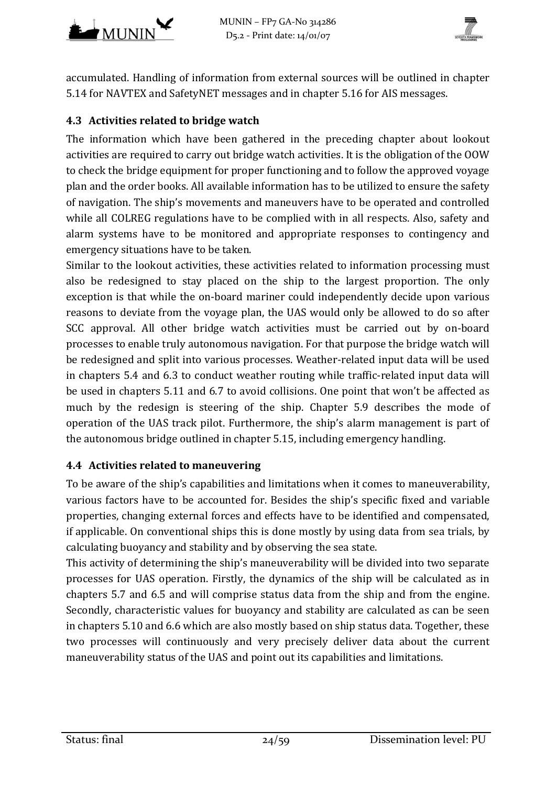



accumulated. Handling of information from external sources will be outlined in chapter 5.14 for NAVTEX and SafetyNET messages and in chapter 5.16 for AIS messages.

## **4.3 Activities related to bridge watch**

The information which have been gathered in the preceding chapter about lookout activities are required to carry out bridge watch activities. It is the obligation of the OOW to check the bridge equipment for proper functioning and to follow the approved voyage plan and the order books. All available information has to be utilized to ensure the safety of navigation. The ship's movements and maneuvers have to be operated and controlled while all COLREG regulations have to be complied with in all respects. Also, safety and alarm systems have to be monitored and appropriate responses to contingency and emergency situations have to be taken.

Similar to the lookout activities, these activities related to information processing must also be redesigned to stay placed on the ship to the largest proportion. The only exception is that while the on-board mariner could independently decide upon various reasons to deviate from the voyage plan, the UAS would only be allowed to do so after SCC approval. All other bridge watch activities must be carried out by on-board processes to enable truly autonomous navigation. For that purpose the bridge watch will be redesigned and split into various processes. Weather-related input data will be used in chapters 5.4 and 6.3 to conduct weather routing while traffic-related input data will be used in chapters 5.11 and 6.7 to avoid collisions. One point that won't be affected as much by the redesign is steering of the ship. Chapter 5.9 describes the mode of operation of the UAS track pilot. Furthermore, the ship's alarm management is part of the autonomous bridge outlined in chapter 5.15, including emergency handling.

#### **4.4 Activities related to maneuvering**

To be aware of the ship's capabilities and limitations when it comes to maneuverability, various factors have to be accounted for. Besides the ship's specific fixed and variable properties, changing external forces and effects have to be identified and compensated, if applicable. On conventional ships this is done mostly by using data from sea trials, by calculating buoyancy and stability and by observing the sea state.

This activity of determining the ship's maneuverability will be divided into two separate processes for UAS operation. Firstly, the dynamics of the ship will be calculated as in chapters 5.7 and 6.5 and will comprise status data from the ship and from the engine. Secondly, characteristic values for buoyancy and stability are calculated as can be seen in chapters 5.10 and 6.6 which are also mostly based on ship status data. Together, these two processes will continuously and very precisely deliver data about the current maneuverability status of the UAS and point out its capabilities and limitations.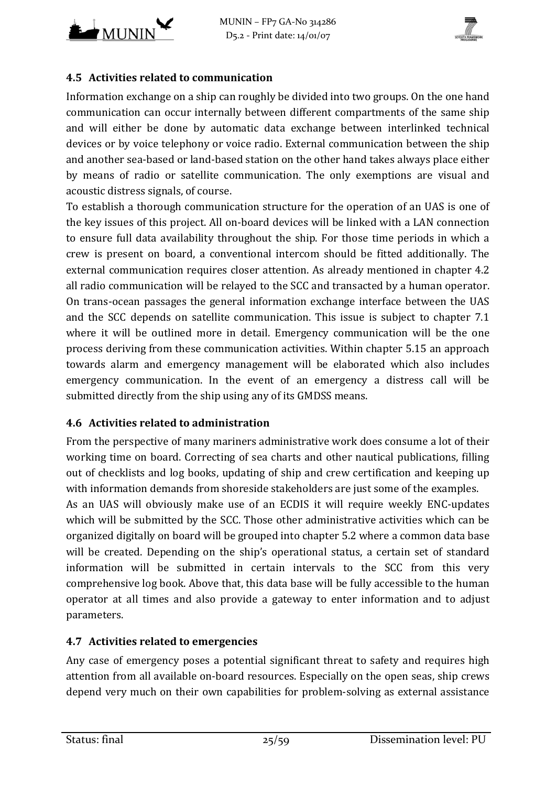



#### **4.5 Activities related to communication**

Information exchange on a ship can roughly be divided into two groups. On the one hand communication can occur internally between different compartments of the same ship and will either be done by automatic data exchange between interlinked technical devices or by voice telephony or voice radio. External communication between the ship and another sea-based or land-based station on the other hand takes always place either by means of radio or satellite communication. The only exemptions are visual and acoustic distress signals, of course.

To establish a thorough communication structure for the operation of an UAS is one of the key issues of this project. All on-board devices will be linked with a LAN connection to ensure full data availability throughout the ship. For those time periods in which a crew is present on board, a conventional intercom should be fitted additionally. The external communication requires closer attention. As already mentioned in chapter 4.2 all radio communication will be relayed to the SCC and transacted by a human operator. On trans-ocean passages the general information exchange interface between the UAS and the SCC depends on satellite communication. This issue is subject to chapter 7.1 where it will be outlined more in detail. Emergency communication will be the one process deriving from these communication activities. Within chapter 5.15 an approach towards alarm and emergency management will be elaborated which also includes emergency communication. In the event of an emergency a distress call will be submitted directly from the ship using any of its GMDSS means.

## **4.6 Activities related to administration**

From the perspective of many mariners administrative work does consume a lot of their working time on board. Correcting of sea charts and other nautical publications, filling out of checklists and log books, updating of ship and crew certification and keeping up with information demands from shoreside stakeholders are just some of the examples.

As an UAS will obviously make use of an ECDIS it will require weekly ENC-updates which will be submitted by the SCC. Those other administrative activities which can be organized digitally on board will be grouped into chapter 5.2 where a common data base will be created. Depending on the ship's operational status, a certain set of standard information will be submitted in certain intervals to the SCC from this very comprehensive log book. Above that, this data base will be fully accessible to the human operator at all times and also provide a gateway to enter information and to adjust parameters. 

## **4.7 Activities related to emergencies**

Any case of emergency poses a potential significant threat to safety and requires high attention from all available on-board resources. Especially on the open seas, ship crews depend very much on their own capabilities for problem-solving as external assistance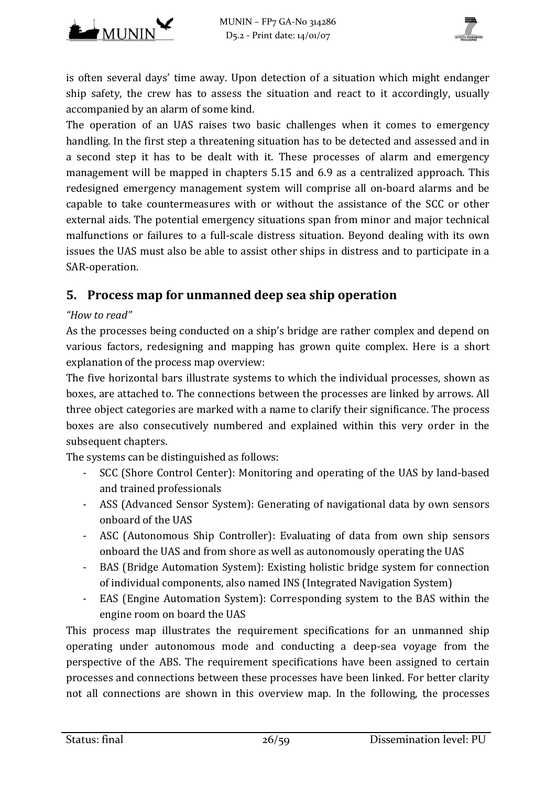



is often several days' time away. Upon detection of a situation which might endanger ship safety, the crew has to assess the situation and react to it accordingly, usually accompanied by an alarm of some kind.

The operation of an UAS raises two basic challenges when it comes to emergency handling. In the first step a threatening situation has to be detected and assessed and in a second step it has to be dealt with it. These processes of alarm and emergency management will be mapped in chapters 5.15 and 6.9 as a centralized approach. This redesigned emergency management system will comprise all on-board alarms and be capable to take countermeasures with or without the assistance of the SCC or other external aids. The potential emergency situations span from minor and major technical malfunctions or failures to a full-scale distress situation. Beyond dealing with its own issues the UAS must also be able to assist other ships in distress and to participate in a SAR‐operation. 

# **5. Process map for unmanned deep sea ship operation**

#### *"How to read"*

As the processes being conducted on a ship's bridge are rather complex and depend on various factors, redesigning and mapping has grown quite complex. Here is a short explanation of the process map overview:

The five horizontal bars illustrate systems to which the individual processes, shown as boxes, are attached to. The connections between the processes are linked by arrows. All three object categories are marked with a name to clarify their significance. The process boxes are also consecutively numbered and explained within this very order in the subsequent chapters.

The systems can be distinguished as follows:

- SCC (Shore Control Center): Monitoring and operating of the UAS by land-based and trained professionals
- ASS (Advanced Sensor System): Generating of navigational data by own sensors onboard of the UAS
- ASC (Autonomous Ship Controller): Evaluating of data from own ship sensors onboard the UAS and from shore as well as autonomously operating the UAS
- BAS (Bridge Automation System): Existing holistic bridge system for connection of individual components, also named INS (Integrated Navigation System)
- EAS (Engine Automation System): Corresponding system to the BAS within the engine room on board the UAS

This process map illustrates the requirement specifications for an unmanned ship operating under autonomous mode and conducting a deep-sea voyage from the perspective of the ABS. The requirement specifications have been assigned to certain processes and connections between these processes have been linked. For better clarity not all connections are shown in this overview map. In the following, the processes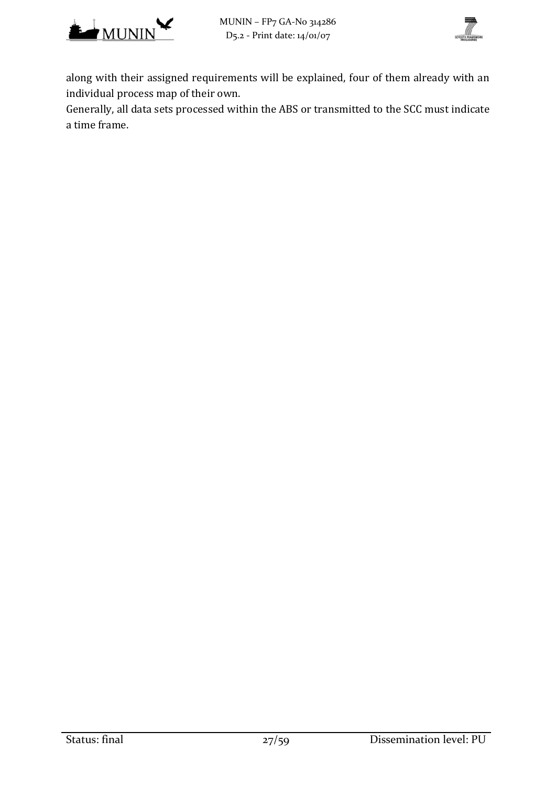



along with their assigned requirements will be explained, four of them already with an individual process map of their own.

Generally, all data sets processed within the ABS or transmitted to the SCC must indicate a time frame.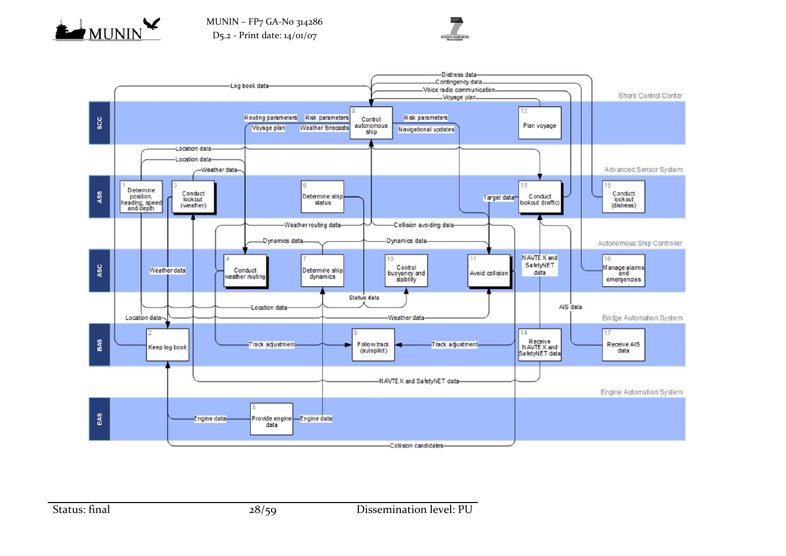



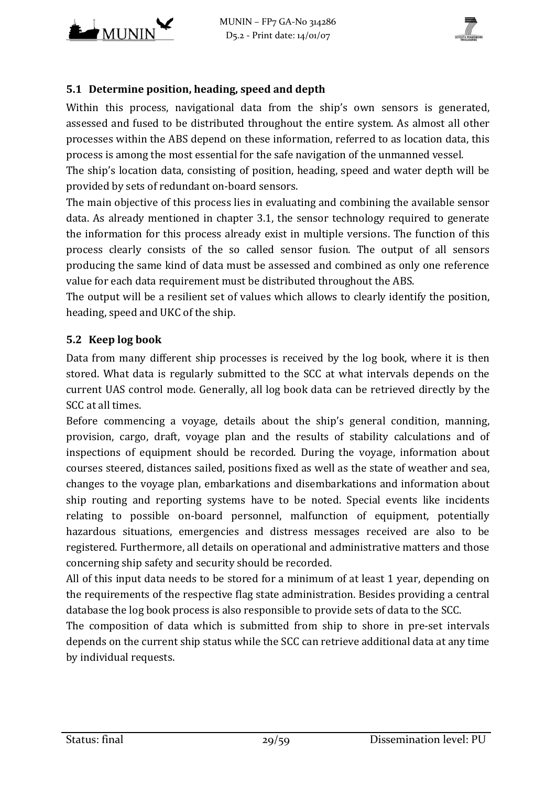



#### **5.1 Determine position, heading, speed and depth**

Within this process, navigational data from the ship's own sensors is generated, assessed and fused to be distributed throughout the entire system. As almost all other processes within the ABS depend on these information, referred to as location data, this process is among the most essential for the safe navigation of the unmanned vessel.

The ship's location data, consisting of position, heading, speed and water depth will be provided by sets of redundant on-board sensors.

The main objective of this process lies in evaluating and combining the available sensor data. As already mentioned in chapter 3.1, the sensor technology required to generate the information for this process already exist in multiple versions. The function of this process clearly consists of the so called sensor fusion. The output of all sensors producing the same kind of data must be assessed and combined as only one reference value for each data requirement must be distributed throughout the ABS.

The output will be a resilient set of values which allows to clearly identify the position, heading, speed and UKC of the ship.

#### **5.2 Keep log book**

Data from many different ship processes is received by the log book, where it is then stored. What data is regularly submitted to the SCC at what intervals depends on the current UAS control mode. Generally, all log book data can be retrieved directly by the SCC at all times.

Before commencing a voyage, details about the ship's general condition, manning, provision, cargo, draft, voyage plan and the results of stability calculations and of inspections of equipment should be recorded. During the voyage, information about courses steered, distances sailed, positions fixed as well as the state of weather and sea, changes to the voyage plan, embarkations and disembarkations and information about ship routing and reporting systems have to be noted. Special events like incidents relating to possible on-board personnel, malfunction of equipment, potentially hazardous situations, emergencies and distress messages received are also to be registered. Furthermore, all details on operational and administrative matters and those concerning ship safety and security should be recorded.

All of this input data needs to be stored for a minimum of at least 1 year, depending on the requirements of the respective flag state administration. Besides providing a central database the log book process is also responsible to provide sets of data to the SCC.

The composition of data which is submitted from ship to shore in pre-set intervals depends on the current ship status while the SCC can retrieve additional data at any time by individual requests.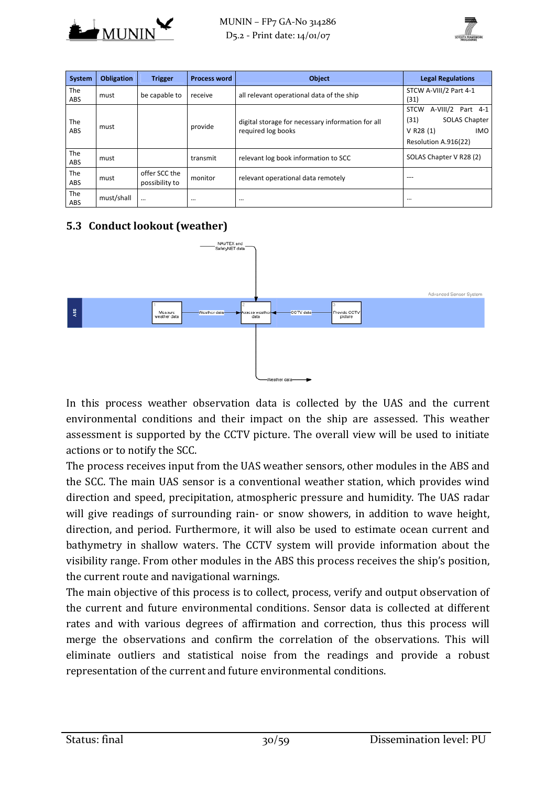



| System                   | <b>Obligation</b> | <b>Trigger</b>                  | <b>Process word</b> | <b>Object</b>                                                           | <b>Legal Regulations</b>                                                                                              |
|--------------------------|-------------------|---------------------------------|---------------------|-------------------------------------------------------------------------|-----------------------------------------------------------------------------------------------------------------------|
| <b>The</b><br>ABS        | must              | be capable to                   | receive             | all relevant operational data of the ship                               | STCW A-VIII/2 Part 4-1<br>(31)                                                                                        |
| <b>The</b><br><b>ABS</b> | must              |                                 | provide             | digital storage for necessary information for all<br>required log books | A-VIII/2 Part 4-1<br><b>STCW</b><br><b>SOLAS Chapter</b><br>(31)<br>$V$ R28 (1)<br><b>IMO</b><br>Resolution A.916(22) |
| The<br><b>ABS</b>        | must              |                                 | transmit            | relevant log book information to SCC                                    | SOLAS Chapter V R28 (2)                                                                                               |
| <b>The</b><br><b>ABS</b> | must              | offer SCC the<br>possibility to | monitor             | relevant operational data remotely                                      |                                                                                                                       |
| <b>The</b><br>ABS        | must/shall        | $\cdots$                        | $\cdots$            |                                                                         | $\cdots$                                                                                                              |

#### **5.3 Conduct lookout (weather)**



In this process weather observation data is collected by the UAS and the current environmental conditions and their impact on the ship are assessed. This weather assessment is supported by the CCTV picture. The overall view will be used to initiate actions or to notify the SCC.

The process receives input from the UAS weather sensors, other modules in the ABS and the SCC. The main UAS sensor is a conventional weather station, which provides wind direction and speed, precipitation, atmospheric pressure and humidity. The UAS radar will give readings of surrounding rain- or snow showers, in addition to wave height, direction, and period. Furthermore, it will also be used to estimate ocean current and bathymetry in shallow waters. The CCTV system will provide information about the visibility range. From other modules in the ABS this process receives the ship's position, the current route and navigational warnings.

The main objective of this process is to collect, process, verify and output observation of the current and future environmental conditions. Sensor data is collected at different rates and with various degrees of affirmation and correction, thus this process will merge the observations and confirm the correlation of the observations. This will eliminate outliers and statistical noise from the readings and provide a robust representation of the current and future environmental conditions.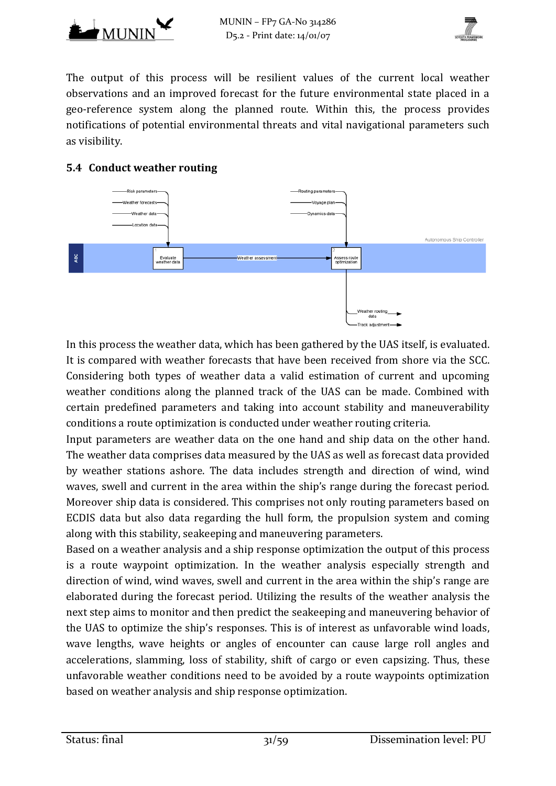



The output of this process will be resilient values of the current local weather observations and an improved forecast for the future environmental state placed in a geo-reference system along the planned route. Within this, the process provides notifications of potential environmental threats and vital navigational parameters such as visibility.

#### **5.4 Conduct weather routing**



In this process the weather data, which has been gathered by the UAS itself, is evaluated. It is compared with weather forecasts that have been received from shore via the SCC. Considering both types of weather data a valid estimation of current and upcoming weather conditions along the planned track of the UAS can be made. Combined with certain predefined parameters and taking into account stability and maneuverability conditions a route optimization is conducted under weather routing criteria.

Input parameters are weather data on the one hand and ship data on the other hand. The weather data comprises data measured by the UAS as well as forecast data provided by weather stations ashore. The data includes strength and direction of wind, wind waves, swell and current in the area within the ship's range during the forecast period. Moreover ship data is considered. This comprises not only routing parameters based on ECDIS data but also data regarding the hull form, the propulsion system and coming along with this stability, seakeeping and maneuvering parameters.

Based on a weather analysis and a ship response optimization the output of this process is a route waypoint optimization. In the weather analysis especially strength and direction of wind, wind waves, swell and current in the area within the ship's range are elaborated during the forecast period. Utilizing the results of the weather analysis the next step aims to monitor and then predict the seakeeping and maneuvering behavior of the UAS to optimize the ship's responses. This is of interest as unfavorable wind loads, wave lengths, wave heights or angles of encounter can cause large roll angles and accelerations, slamming, loss of stability, shift of cargo or even capsizing. Thus, these unfavorable weather conditions need to be avoided by a route waypoints optimization based on weather analysis and ship response optimization.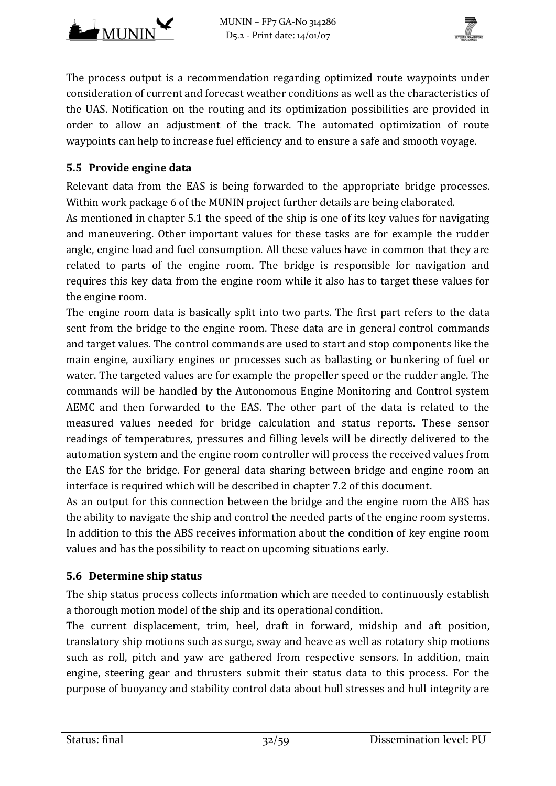



The process output is a recommendation regarding optimized route waypoints under consideration of current and forecast weather conditions as well as the characteristics of the UAS. Notification on the routing and its optimization possibilities are provided in order to allow an adjustment of the track. The automated optimization of route waypoints can help to increase fuel efficiency and to ensure a safe and smooth voyage.

#### **5.5 Provide engine data**

Relevant data from the EAS is being forwarded to the appropriate bridge processes. Within work package 6 of the MUNIN project further details are being elaborated.

As mentioned in chapter 5.1 the speed of the ship is one of its key values for navigating and maneuvering. Other important values for these tasks are for example the rudder angle, engine load and fuel consumption. All these values have in common that they are related to parts of the engine room. The bridge is responsible for navigation and requires this key data from the engine room while it also has to target these values for the engine room.

The engine room data is basically split into two parts. The first part refers to the data sent from the bridge to the engine room. These data are in general control commands and target values. The control commands are used to start and stop components like the main engine, auxiliary engines or processes such as ballasting or bunkering of fuel or water. The targeted values are for example the propeller speed or the rudder angle. The commands will be handled by the Autonomous Engine Monitoring and Control system AEMC and then forwarded to the EAS. The other part of the data is related to the measured values needed for bridge calculation and status reports. These sensor readings of temperatures, pressures and filling levels will be directly delivered to the automation system and the engine room controller will process the received values from the EAS for the bridge. For general data sharing between bridge and engine room an interface is required which will be described in chapter 7.2 of this document.

As an output for this connection between the bridge and the engine room the ABS has the ability to navigate the ship and control the needed parts of the engine room systems. In addition to this the ABS receives information about the condition of key engine room values and has the possibility to react on upcoming situations early.

#### **5.6 Determine ship status**

The ship status process collects information which are needed to continuously establish a thorough motion model of the ship and its operational condition.

The current displacement, trim, heel, draft in forward, midship and aft position, translatory ship motions such as surge, sway and heave as well as rotatory ship motions such as roll, pitch and yaw are gathered from respective sensors. In addition, main engine, steering gear and thrusters submit their status data to this process. For the purpose of buoyancy and stability control data about hull stresses and hull integrity are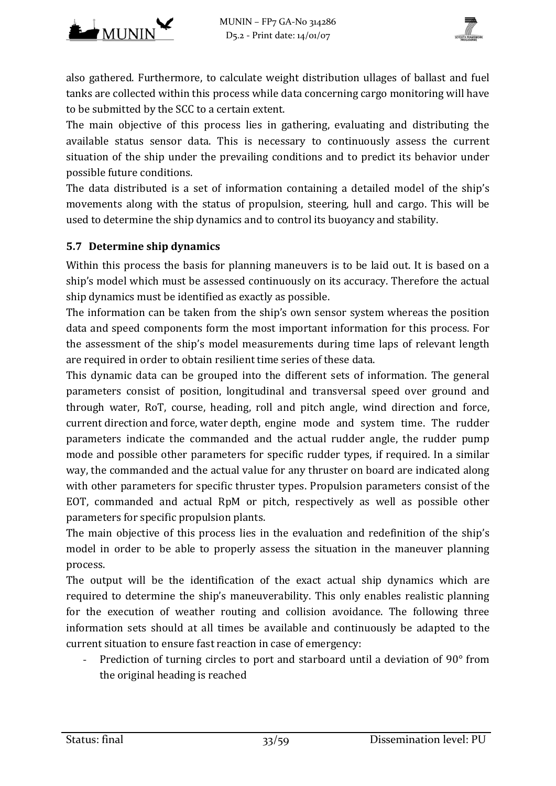



also gathered. Furthermore, to calculate weight distribution ullages of ballast and fuel tanks are collected within this process while data concerning cargo monitoring will have to be submitted by the SCC to a certain extent.

The main objective of this process lies in gathering, evaluating and distributing the available status sensor data. This is necessary to continuously assess the current situation of the ship under the prevailing conditions and to predict its behavior under possible future conditions.

The data distributed is a set of information containing a detailed model of the ship's movements along with the status of propulsion, steering, hull and cargo. This will be used to determine the ship dynamics and to control its buoyancy and stability.

#### **5.7 Determine ship dynamics**

Within this process the basis for planning maneuvers is to be laid out. It is based on a ship's model which must be assessed continuously on its accuracy. Therefore the actual ship dynamics must be identified as exactly as possible.

The information can be taken from the ship's own sensor system whereas the position data and speed components form the most important information for this process. For the assessment of the ship's model measurements during time laps of relevant length are required in order to obtain resilient time series of these data.

This dynamic data can be grouped into the different sets of information. The general parameters consist of position, longitudinal and transversal speed over ground and through water, RoT, course, heading, roll and pitch angle, wind direction and force, current direction and force, water depth, engine mode and system time. The rudder parameters indicate the commanded and the actual rudder angle, the rudder pump mode and possible other parameters for specific rudder types, if required. In a similar way, the commanded and the actual value for any thruster on board are indicated along with other parameters for specific thruster types. Propulsion parameters consist of the EOT, commanded and actual RpM or pitch, respectively as well as possible other parameters for specific propulsion plants.

The main objective of this process lies in the evaluation and redefinition of the ship's model in order to be able to properly assess the situation in the maneuver planning process. 

The output will be the identification of the exact actual ship dynamics which are required to determine the ship's maneuverability. This only enables realistic planning for the execution of weather routing and collision avoidance. The following three information sets should at all times be available and continuously be adapted to the current situation to ensure fast reaction in case of emergency:

Prediction of turning circles to port and starboard until a deviation of 90° from the original heading is reached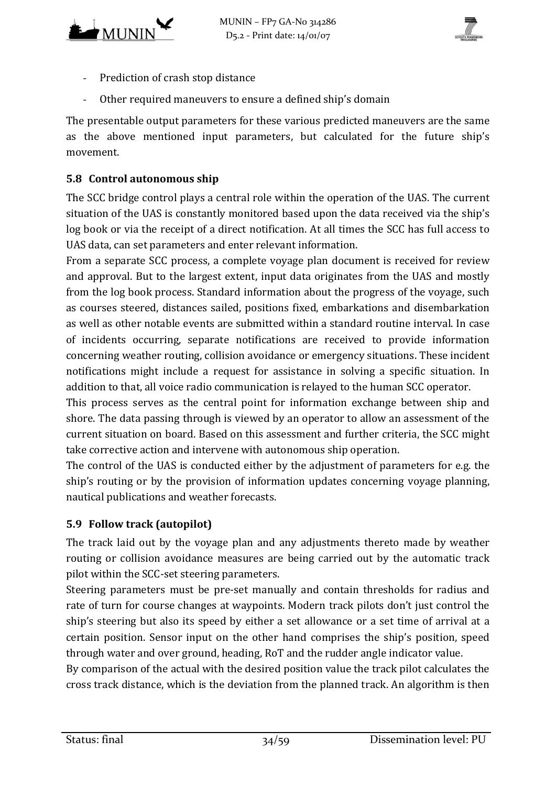



- Prediction of crash stop distance
- Other required maneuvers to ensure a defined ship's domain

The presentable output parameters for these various predicted maneuvers are the same as the above mentioned input parameters, but calculated for the future ship's movement. 

#### **5.8 Control autonomous ship**

The SCC bridge control plays a central role within the operation of the UAS. The current situation of the UAS is constantly monitored based upon the data received via the ship's log book or via the receipt of a direct notification. At all times the SCC has full access to UAS data, can set parameters and enter relevant information.

From a separate SCC process, a complete voyage plan document is received for review and approval. But to the largest extent, input data originates from the UAS and mostly from the log book process. Standard information about the progress of the voyage, such as courses steered, distances sailed, positions fixed, embarkations and disembarkation as well as other notable events are submitted within a standard routine interval. In case of incidents occurring, separate notifications are received to provide information concerning weather routing, collision avoidance or emergency situations. These incident notifications might include a request for assistance in solving a specific situation. In addition to that, all voice radio communication is relayed to the human SCC operator.

This process serves as the central point for information exchange between ship and shore. The data passing through is viewed by an operator to allow an assessment of the current situation on board. Based on this assessment and further criteria, the SCC might take corrective action and intervene with autonomous ship operation.

The control of the UAS is conducted either by the adjustment of parameters for e.g. the ship's routing or by the provision of information updates concerning voyage planning, nautical publications and weather forecasts.

#### **5.9 Follow track (autopilot)**

The track laid out by the voyage plan and any adjustments thereto made by weather routing or collision avoidance measures are being carried out by the automatic track pilot within the SCC-set steering parameters.

Steering parameters must be pre-set manually and contain thresholds for radius and rate of turn for course changes at waypoints. Modern track pilots don't just control the ship's steering but also its speed by either a set allowance or a set time of arrival at a certain position. Sensor input on the other hand comprises the ship's position, speed through water and over ground, heading, RoT and the rudder angle indicator value.

By comparison of the actual with the desired position value the track pilot calculates the cross track distance, which is the deviation from the planned track. An algorithm is then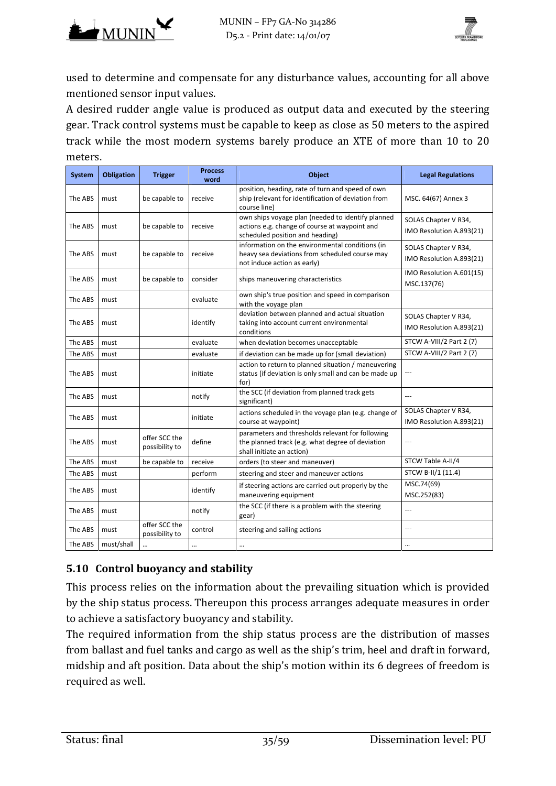

used to determine and compensate for any disturbance values, accounting for all above mentioned sensor input values.

A desired rudder angle value is produced as output data and executed by the steering gear. Track control systems must be capable to keep as close as 50 meters to the aspired track while the most modern systems barely produce an XTE of more than 10 to 20 meters. 

| <b>System</b> | <b>Obligation</b> | <b>Trigger</b>                  | <b>Process</b><br>word | <b>Object</b>                                                                                                                         | <b>Legal Regulations</b>                         |
|---------------|-------------------|---------------------------------|------------------------|---------------------------------------------------------------------------------------------------------------------------------------|--------------------------------------------------|
| The ABS       | must              | be capable to                   | receive                | position, heading, rate of turn and speed of own<br>ship (relevant for identification of deviation from<br>course line)               | MSC. 64(67) Annex 3                              |
| The ABS       | must              | be capable to                   | receive                | own ships voyage plan (needed to identify planned<br>actions e.g. change of course at waypoint and<br>scheduled position and heading) | SOLAS Chapter V R34,<br>IMO Resolution A.893(21) |
| The ABS       | must              | be capable to                   | receive                | information on the environmental conditions (in<br>heavy sea deviations from scheduled course may<br>not induce action as early)      | SOLAS Chapter V R34,<br>IMO Resolution A.893(21) |
| The ABS       | must              | be capable to                   | consider               | ships maneuvering characteristics                                                                                                     | IMO Resolution A.601(15)<br>MSC.137(76)          |
| The ABS       | must              |                                 | evaluate               | own ship's true position and speed in comparison<br>with the voyage plan                                                              |                                                  |
| The ABS       | must              |                                 | identify               | deviation between planned and actual situation<br>taking into account current environmental<br>conditions                             | SOLAS Chapter V R34,<br>IMO Resolution A.893(21) |
| The ABS       | must              |                                 | evaluate               | when deviation becomes unacceptable                                                                                                   | STCW A-VIII/2 Part 2 (7)                         |
| The ABS       | must              |                                 | evaluate               | if deviation can be made up for (small deviation)                                                                                     | STCW A-VIII/2 Part 2 (7)                         |
| The ABS       | must              |                                 | initiate               | action to return to planned situation / maneuvering<br>status (if deviation is only small and can be made up<br>for)                  |                                                  |
| The ABS       | must              |                                 | notify                 | the SCC (if deviation from planned track gets<br>significant)                                                                         | ---                                              |
| The ABS       | must              |                                 | initiate               | actions scheduled in the voyage plan (e.g. change of<br>course at waypoint)                                                           | SOLAS Chapter V R34,<br>IMO Resolution A.893(21) |
| The ABS       | must              | offer SCC the<br>possibility to | define                 | parameters and thresholds relevant for following<br>the planned track (e.g. what degree of deviation<br>shall initiate an action)     | ---                                              |
| The ABS       | must              | be capable to                   | receive                | orders (to steer and maneuver)                                                                                                        | STCW Table A-II/4                                |
| The ABS       | must              |                                 | perform                | steering and steer and maneuver actions                                                                                               | STCW B-II/1 (11.4)                               |
| The ABS       | must              |                                 | identify               | if steering actions are carried out properly by the<br>maneuvering equipment                                                          | MSC.74(69)<br>MSC.252(83)                        |
| The ABS       | must              |                                 | notify                 | the SCC (if there is a problem with the steering<br>gear)                                                                             | $-$                                              |
| The ABS       | must              | offer SCC the<br>possibility to | control                | steering and sailing actions                                                                                                          | $\overline{a}$                                   |
| The ABS       | must/shall        |                                 |                        |                                                                                                                                       |                                                  |

## **5.10 Control buoyancy and stability**

This process relies on the information about the prevailing situation which is provided by the ship status process. Thereupon this process arranges adequate measures in order to achieve a satisfactory buoyancy and stability.

The required information from the ship status process are the distribution of masses from ballast and fuel tanks and cargo as well as the ship's trim, heel and draft in forward, midship and aft position. Data about the ship's motion within its 6 degrees of freedom is required as well.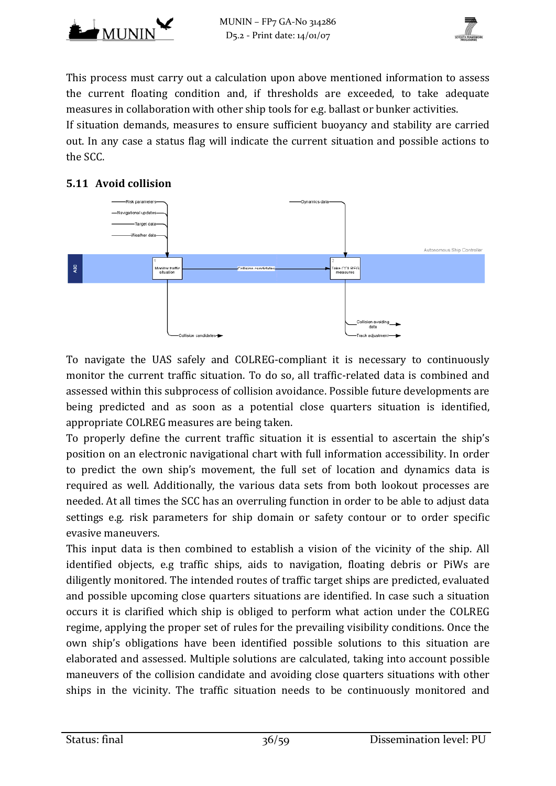



This process must carry out a calculation upon above mentioned information to assess the current floating condition and, if thresholds are exceeded, to take adequate measures in collaboration with other ship tools for e.g. ballast or bunker activities.

If situation demands, measures to ensure sufficient buoyancy and stability are carried out. In any case a status flag will indicate the current situation and possible actions to the SCC.

#### **5.11 Avoid collision**



To navigate the UAS safely and COLREG-compliant it is necessary to continuously monitor the current traffic situation. To do so, all traffic-related data is combined and assessed within this subprocess of collision avoidance. Possible future developments are being predicted and as soon as a potential close quarters situation is identified, appropriate COLREG measures are being taken.

To properly define the current traffic situation it is essential to ascertain the ship's position on an electronic navigational chart with full information accessibility. In order to predict the own ship's movement, the full set of location and dynamics data is required as well. Additionally, the various data sets from both lookout processes are needed. At all times the SCC has an overruling function in order to be able to adjust data settings e.g. risk parameters for ship domain or safety contour or to order specific evasive maneuvers.

This input data is then combined to establish a vision of the vicinity of the ship. All identified objects, e.g traffic ships, aids to navigation, floating debris or PiWs are diligently monitored. The intended routes of traffic target ships are predicted, evaluated and possible upcoming close quarters situations are identified. In case such a situation occurs it is clarified which ship is obliged to perform what action under the COLREG regime, applying the proper set of rules for the prevailing visibility conditions. Once the own ship's obligations have been identified possible solutions to this situation are elaborated and assessed. Multiple solutions are calculated, taking into account possible maneuvers of the collision candidate and avoiding close quarters situations with other ships in the vicinity. The traffic situation needs to be continuously monitored and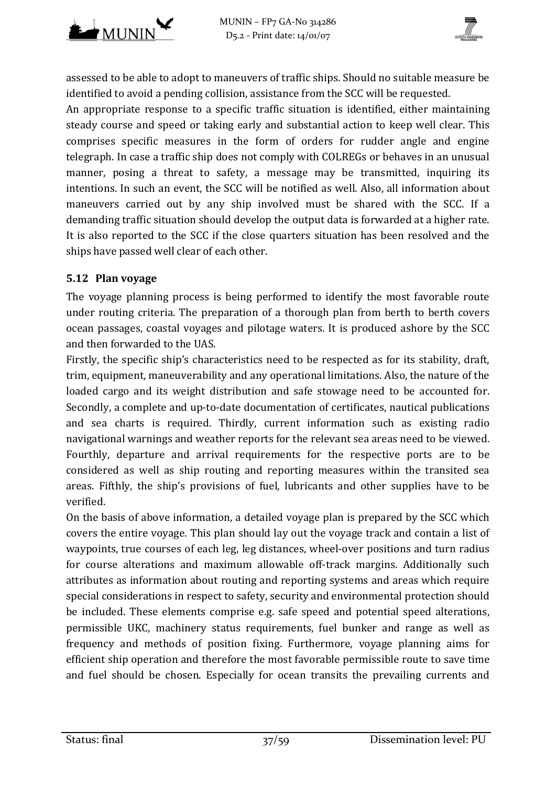



assessed to be able to adopt to maneuvers of traffic ships. Should no suitable measure be identified to avoid a pending collision, assistance from the SCC will be requested.

An appropriate response to a specific traffic situation is identified, either maintaining steady course and speed or taking early and substantial action to keep well clear. This comprises specific measures in the form of orders for rudder angle and engine telegraph. In case a traffic ship does not comply with COLREGs or behaves in an unusual manner, posing a threat to safety, a message may be transmitted, inquiring its intentions. In such an event, the SCC will be notified as well. Also, all information about maneuvers carried out by any ship involved must be shared with the SCC. If a demanding traffic situation should develop the output data is forwarded at a higher rate. It is also reported to the SCC if the close quarters situation has been resolved and the ships have passed well clear of each other.

#### **5.12 Plan voyage**

The voyage planning process is being performed to identify the most favorable route under routing criteria. The preparation of a thorough plan from berth to berth covers ocean passages, coastal voyages and pilotage waters. It is produced ashore by the SCC and then forwarded to the UAS.

Firstly, the specific ship's characteristics need to be respected as for its stability, draft, trim, equipment, maneuverability and any operational limitations. Also, the nature of the loaded cargo and its weight distribution and safe stowage need to be accounted for. Secondly, a complete and up-to-date documentation of certificates, nautical publications and sea charts is required. Thirdly, current information such as existing radio navigational warnings and weather reports for the relevant sea areas need to be viewed. Fourthly, departure and arrival requirements for the respective ports are to be considered as well as ship routing and reporting measures within the transited sea areas. Fifthly, the ship's provisions of fuel, lubricants and other supplies have to be verified. 

On the basis of above information, a detailed voyage plan is prepared by the SCC which covers the entire voyage. This plan should lay out the voyage track and contain a list of waypoints, true courses of each leg, leg distances, wheel-over positions and turn radius for course alterations and maximum allowable off-track margins. Additionally such attributes as information about routing and reporting systems and areas which require special considerations in respect to safety, security and environmental protection should be included. These elements comprise e.g. safe speed and potential speed alterations, permissible UKC, machinery status requirements, fuel bunker and range as well as frequency and methods of position fixing. Furthermore, voyage planning aims for efficient ship operation and therefore the most favorable permissible route to save time and fuel should be chosen. Especially for ocean transits the prevailing currents and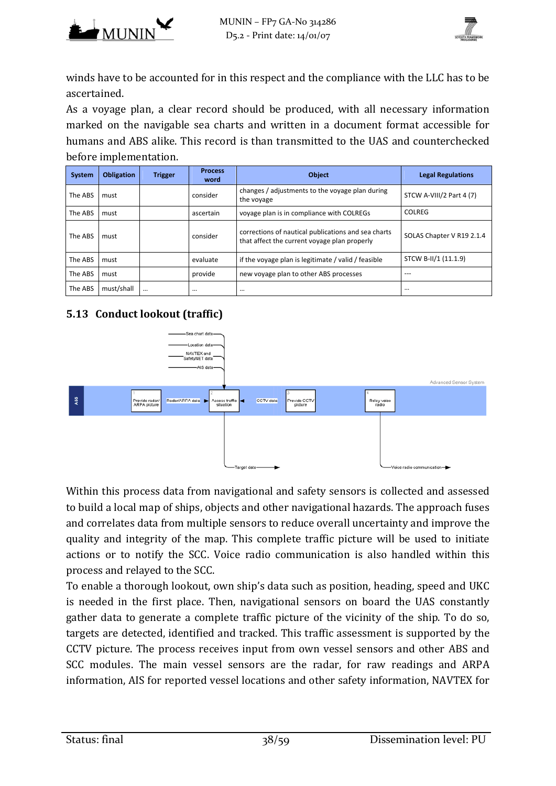



winds have to be accounted for in this respect and the compliance with the LLC has to be ascertained. 

As a voyage plan, a clear record should be produced, with all necessary information marked on the navigable sea charts and written in a document format accessible for humans and ABS alike. This record is than transmitted to the UAS and counterchecked before implementation.

| <b>System</b> | <b>Obligation</b> | <b>Trigger</b> | <b>Process</b><br>word | <b>Object</b>                                                                                       | <b>Legal Regulations</b>  |
|---------------|-------------------|----------------|------------------------|-----------------------------------------------------------------------------------------------------|---------------------------|
| The ABS       | must              |                | consider               | changes / adjustments to the voyage plan during<br>the voyage                                       | STCW A-VIII/2 Part 4 (7)  |
| The ABS       | must              |                | ascertain              | voyage plan is in compliance with COLREGs                                                           | <b>COLREG</b>             |
| The ABS       | must              |                | consider               | corrections of nautical publications and sea charts<br>that affect the current voyage plan properly | SOLAS Chapter V R19 2.1.4 |
| The ABS       | must              |                | evaluate               | if the voyage plan is legitimate / valid / feasible                                                 | STCW B-II/1 (11.1.9)      |
| The ABS       | must              |                | provide                | new voyage plan to other ABS processes                                                              | ---                       |
| The ABS       | must/shall        | $\cdots$       |                        |                                                                                                     | $\cdots$                  |

## **5.13 Conduct lookout (traffic)**



Within this process data from navigational and safety sensors is collected and assessed to build a local map of ships, objects and other navigational hazards. The approach fuses and correlates data from multiple sensors to reduce overall uncertainty and improve the quality and integrity of the map. This complete traffic picture will be used to initiate actions or to notify the SCC. Voice radio communication is also handled within this process and relayed to the SCC.

To enable a thorough lookout, own ship's data such as position, heading, speed and UKC is needed in the first place. Then, navigational sensors on board the UAS constantly gather data to generate a complete traffic picture of the vicinity of the ship. To do so, targets are detected, identified and tracked. This traffic assessment is supported by the CCTV picture. The process receives input from own vessel sensors and other ABS and SCC modules. The main vessel sensors are the radar, for raw readings and ARPA information, AIS for reported vessel locations and other safety information, NAVTEX for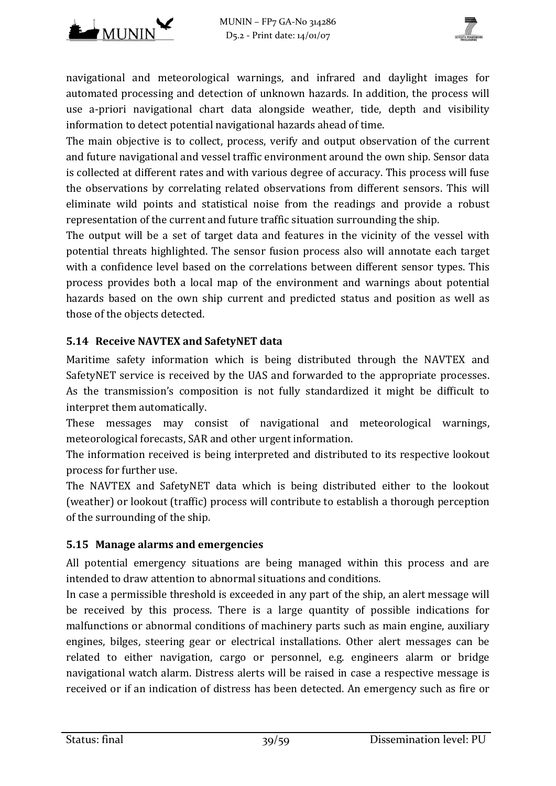



navigational and meteorological warnings, and infrared and daylight images for automated processing and detection of unknown hazards. In addition, the process will use a-priori navigational chart data alongside weather, tide, depth and visibility information to detect potential navigational hazards ahead of time.

The main objective is to collect, process, verify and output observation of the current and future navigational and vessel traffic environment around the own ship. Sensor data is collected at different rates and with various degree of accuracy. This process will fuse the observations by correlating related observations from different sensors. This will eliminate wild points and statistical noise from the readings and provide a robust representation of the current and future traffic situation surrounding the ship.

The output will be a set of target data and features in the vicinity of the vessel with potential threats highlighted. The sensor fusion process also will annotate each target with a confidence level based on the correlations between different sensor types. This process provides both a local map of the environment and warnings about potential hazards based on the own ship current and predicted status and position as well as those of the objects detected.

#### **5.14 Receive NAVTEX and SafetyNET data**

Maritime safety information which is being distributed through the NAVTEX and SafetyNET service is received by the UAS and forwarded to the appropriate processes. As the transmission's composition is not fully standardized it might be difficult to interpret them automatically.

These messages may consist of navigational and meteorological warnings, meteorological forecasts, SAR and other urgent information.

The information received is being interpreted and distributed to its respective lookout process for further use.

The NAVTEX and SafetyNET data which is being distributed either to the lookout (weather) or lookout (traffic) process will contribute to establish a thorough perception of the surrounding of the ship.

#### **5.15 Manage alarms and emergencies**

All potential emergency situations are being managed within this process and are intended to draw attention to abnormal situations and conditions.

In case a permissible threshold is exceeded in any part of the ship, an alert message will be received by this process. There is a large quantity of possible indications for malfunctions or abnormal conditions of machinery parts such as main engine, auxiliary engines, bilges, steering gear or electrical installations. Other alert messages can be related to either navigation, cargo or personnel, e.g. engineers alarm or bridge navigational watch alarm. Distress alerts will be raised in case a respective message is received or if an indication of distress has been detected. An emergency such as fire or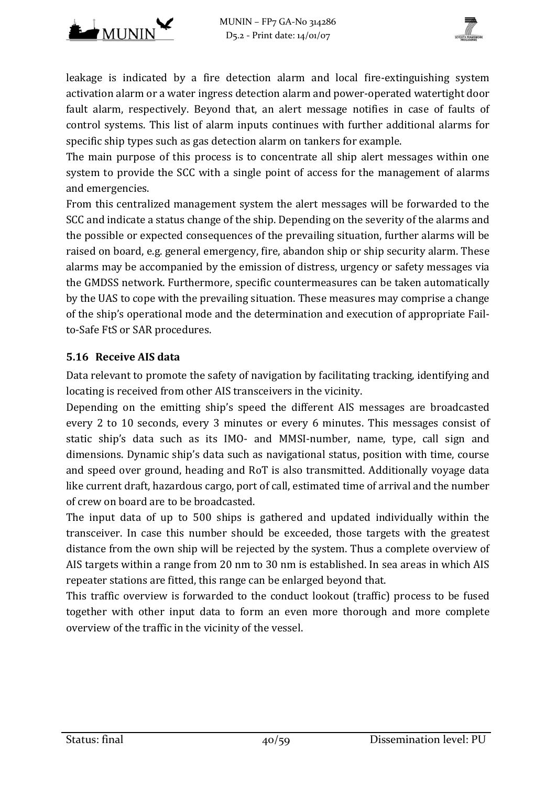

leakage is indicated by a fire detection alarm and local fire-extinguishing system activation alarm or a water ingress detection alarm and power-operated watertight door fault alarm, respectively. Beyond that, an alert message notifies in case of faults of control systems. This list of alarm inputs continues with further additional alarms for specific ship types such as gas detection alarm on tankers for example.

The main purpose of this process is to concentrate all ship alert messages within one system to provide the SCC with a single point of access for the management of alarms and emergencies.

From this centralized management system the alert messages will be forwarded to the SCC and indicate a status change of the ship. Depending on the severity of the alarms and the possible or expected consequences of the prevailing situation, further alarms will be raised on board, e.g. general emergency, fire, abandon ship or ship security alarm. These alarms may be accompanied by the emission of distress, urgency or safety messages via the GMDSS network. Furthermore, specific countermeasures can be taken automatically by the UAS to cope with the prevailing situation. These measures may comprise a change of the ship's operational mode and the determination and execution of appropriate Failto-Safe FtS or SAR procedures.

#### **5.16 Receive AIS data**

Data relevant to promote the safety of navigation by facilitating tracking, identifying and locating is received from other AIS transceivers in the vicinity.

Depending on the emitting ship's speed the different AIS messages are broadcasted every 2 to 10 seconds, every 3 minutes or every 6 minutes. This messages consist of static ship's data such as its IMO- and MMSI-number, name, type, call sign and dimensions. Dynamic ship's data such as navigational status, position with time, course and speed over ground, heading and RoT is also transmitted. Additionally voyage data like current draft, hazardous cargo, port of call, estimated time of arrival and the number of crew on board are to be broadcasted.

The input data of up to 500 ships is gathered and updated individually within the transceiver. In case this number should be exceeded, those targets with the greatest distance from the own ship will be rejected by the system. Thus a complete overview of AIS targets within a range from 20 nm to 30 nm is established. In sea areas in which AIS repeater stations are fitted, this range can be enlarged beyond that.

This traffic overview is forwarded to the conduct lookout (traffic) process to be fused together with other input data to form an even more thorough and more complete overview of the traffic in the vicinity of the vessel.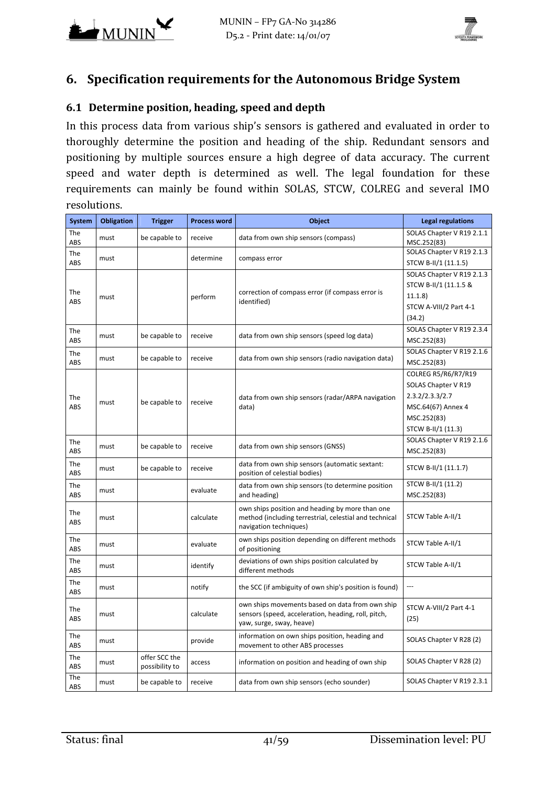

# **6. Specification requirements for the Autonomous Bridge System**

#### **6.1 Determine position, heading, speed and depth**

In this process data from various ship's sensors is gathered and evaluated in order to thoroughly determine the position and heading of the ship. Redundant sensors and positioning by multiple sources ensure a high degree of data accuracy. The current speed and water depth is determined as well. The legal foundation for these requirements can mainly be found within SOLAS, STCW, COLREG and several IMO resolutions.

| <b>System</b> | Obligation | <b>Trigger</b>                  | <b>Process word</b> | <b>Object</b>                                                                                                                       | <b>Legal regulations</b>                        |
|---------------|------------|---------------------------------|---------------------|-------------------------------------------------------------------------------------------------------------------------------------|-------------------------------------------------|
| The<br>ABS    | must       | be capable to                   | receive             | data from own ship sensors (compass)                                                                                                | SOLAS Chapter V R19 2.1.1<br>MSC.252(83)        |
| The           | must       |                                 | determine           | compass error                                                                                                                       | SOLAS Chapter V R19 2.1.3                       |
| ABS           |            |                                 |                     |                                                                                                                                     | STCW B-II/1 (11.1.5)                            |
|               |            |                                 |                     |                                                                                                                                     | SOLAS Chapter V R19 2.1.3                       |
| The           |            |                                 |                     | correction of compass error (if compass error is                                                                                    | STCW B-II/1 (11.1.5 &                           |
| ABS           | must       |                                 | perform             | identified)                                                                                                                         | 11.1.8                                          |
|               |            |                                 |                     |                                                                                                                                     | STCW A-VIII/2 Part 4-1                          |
|               |            |                                 |                     |                                                                                                                                     | (34.2)                                          |
| The           | must       | be capable to                   | receive             | data from own ship sensors (speed log data)                                                                                         | SOLAS Chapter V R19 2.3.4                       |
| ABS           |            |                                 |                     |                                                                                                                                     | MSC.252(83)                                     |
| The           | must       | be capable to                   | receive             | data from own ship sensors (radio navigation data)                                                                                  | SOLAS Chapter V R19 2.1.6                       |
| ABS           |            |                                 |                     |                                                                                                                                     | MSC.252(83)                                     |
|               |            |                                 |                     |                                                                                                                                     | COLREG R5/R6/R7/R19                             |
|               |            |                                 |                     |                                                                                                                                     | SOLAS Chapter V R19                             |
| The           | must       | be capable to                   | receive             | data from own ship sensors (radar/ARPA navigation                                                                                   | 2.3.2/2.3.3/2.7                                 |
| <b>ABS</b>    |            |                                 |                     | data)                                                                                                                               | MSC.64(67) Annex 4                              |
|               |            |                                 |                     |                                                                                                                                     | MSC.252(83)                                     |
|               |            |                                 |                     |                                                                                                                                     | STCW B-II/1 (11.3)<br>SOLAS Chapter V R19 2.1.6 |
| The<br>ABS    | must       | be capable to                   | receive             | data from own ship sensors (GNSS)                                                                                                   | MSC.252(83)                                     |
|               |            |                                 |                     |                                                                                                                                     |                                                 |
| The<br>ABS    | must       | be capable to                   | receive             | data from own ship sensors (automatic sextant:<br>position of celestial bodies)                                                     | STCW B-II/1 (11.1.7)                            |
| The<br>ABS    | must       |                                 | evaluate            | data from own ship sensors (to determine position<br>and heading)                                                                   | STCW B-II/1 (11.2)<br>MSC.252(83)               |
|               |            |                                 |                     |                                                                                                                                     |                                                 |
| The<br>ABS    | must       |                                 | calculate           | own ships position and heading by more than one<br>method (including terrestrial, celestial and technical<br>navigation techniques) | STCW Table A-II/1                               |
| The<br>ABS    | must       |                                 | evaluate            | own ships position depending on different methods<br>of positioning                                                                 | STCW Table A-II/1                               |
| The<br>ABS    | must       |                                 | identify            | deviations of own ships position calculated by<br>different methods                                                                 | STCW Table A-II/1                               |
| The<br>ABS    | must       |                                 | notify              | the SCC (if ambiguity of own ship's position is found)                                                                              | ---                                             |
| The<br>ABS    | must       |                                 | calculate           | own ships movements based on data from own ship<br>sensors (speed, acceleration, heading, roll, pitch,<br>yaw, surge, sway, heave)  | STCW A-VIII/2 Part 4-1<br>(25)                  |
| The<br>ABS    | must       |                                 | provide             | information on own ships position, heading and<br>movement to other ABS processes                                                   | SOLAS Chapter V R28 (2)                         |
| The<br>ABS    | must       | offer SCC the<br>possibility to | access              | information on position and heading of own ship                                                                                     | SOLAS Chapter V R28 (2)                         |
| The<br>ABS    | must       | be capable to                   | receive             | data from own ship sensors (echo sounder)                                                                                           | SOLAS Chapter V R19 2.3.1                       |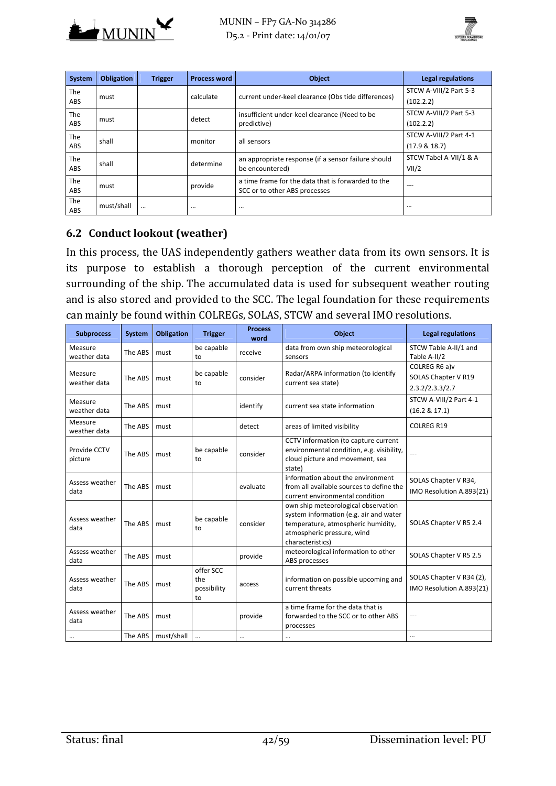



| System     | <b>Obligation</b> | <b>Trigger</b> | <b>Process word</b> | <b>Object</b>                                       | <b>Legal regulations</b> |
|------------|-------------------|----------------|---------------------|-----------------------------------------------------|--------------------------|
| <b>The</b> |                   |                | calculate           | current under-keel clearance (Obs tide differences) | STCW A-VIII/2 Part 5-3   |
| <b>ABS</b> | must              |                |                     |                                                     | (102.2.2)                |
| <b>The</b> |                   |                |                     | insufficient under-keel clearance (Need to be       | STCW A-VIII/2 Part 5-3   |
| <b>ABS</b> | must              |                | detect              | predictive)                                         | (102.2.2)                |
| <b>The</b> |                   |                |                     |                                                     | STCW A-VIII/2 Part 4-1   |
| <b>ABS</b> | shall             |                | monitor             | all sensors                                         | (17.9 & 18.7)            |
| <b>The</b> |                   |                |                     | an appropriate response (if a sensor failure should | STCW Tabel A-VII/1 & A-  |
| <b>ABS</b> | shall             |                | determine           | be encountered)                                     | VII/2                    |
| <b>The</b> | must              |                | provide             | a time frame for the data that is forwarded to the  | $---$                    |
| <b>ABS</b> |                   |                |                     | SCC or to other ABS processes                       |                          |
| The        | must/shall        | $\cdots$       | $\cdots$            | $\cdots$                                            |                          |
| ABS        |                   |                |                     |                                                     |                          |

#### **6.2 Conduct lookout (weather)**

In this process, the UAS independently gathers weather data from its own sensors. It is its purpose to establish a thorough perception of the current environmental surrounding of the ship. The accumulated data is used for subsequent weather routing and is also stored and provided to the SCC. The legal foundation for these requirements can mainly be found within COLREGs, SOLAS, STCW and several IMO resolutions.

| <b>Subprocess</b>       | <b>System</b> | <b>Obligation</b> | <b>Trigger</b>                        | <b>Process</b><br>word | <b>Object</b>                                                                                                                                                         | <b>Legal regulations</b>                                |
|-------------------------|---------------|-------------------|---------------------------------------|------------------------|-----------------------------------------------------------------------------------------------------------------------------------------------------------------------|---------------------------------------------------------|
| Measure<br>weather data | The ABS       | must              | be capable<br>to                      | receive                | data from own ship meteorological<br>sensors                                                                                                                          | STCW Table A-II/1 and<br>Table A-II/2                   |
| Measure<br>weather data | The ABS       | must              | be capable<br>to                      | consider               | Radar/ARPA information (to identify<br>current sea state)                                                                                                             | COLREG R6 a)v<br>SOLAS Chapter V R19<br>2.3.2/2.3.3/2.7 |
| Measure<br>weather data | The ABS       | must              |                                       | identify               | current sea state information                                                                                                                                         | STCW A-VIII/2 Part 4-1<br>(16.2 & 17.1)                 |
| Measure<br>weather data | The ABS       | must              |                                       | detect                 | areas of limited visibility                                                                                                                                           | <b>COLREG R19</b>                                       |
| Provide CCTV<br>picture | The ABS       | must              | be capable<br>to                      | consider               | CCTV information (to capture current<br>environmental condition, e.g. visibility,<br>cloud picture and movement, sea<br>state)                                        |                                                         |
| Assess weather<br>data  | The ABS       | must              |                                       | evaluate               | information about the environment<br>from all available sources to define the<br>current environmental condition                                                      | SOLAS Chapter V R34,<br>IMO Resolution A.893(21)        |
| Assess weather<br>data  | The ABS       | must              | be capable<br>to                      | consider               | own ship meteorological observation<br>system information (e.g. air and water<br>temperature, atmospheric humidity,<br>atmospheric pressure, wind<br>characteristics) | SOLAS Chapter V R5 2.4                                  |
| Assess weather<br>data  | The ABS       | must              |                                       | provide                | meteorological information to other<br>ABS processes                                                                                                                  | SOLAS Chapter V R5 2.5                                  |
| Assess weather<br>data  | The ABS       | must              | offer SCC<br>the<br>possibility<br>to | access                 | information on possible upcoming and<br>current threats                                                                                                               | SOLAS Chapter V R34 (2),<br>IMO Resolution A.893(21)    |
| Assess weather<br>data  | The ABS       | must              |                                       | provide                | a time frame for the data that is<br>forwarded to the SCC or to other ABS<br>processes                                                                                |                                                         |
| $\cdots$                | The ABS       | must/shall        | $\ddotsc$                             |                        |                                                                                                                                                                       | $\cdots$                                                |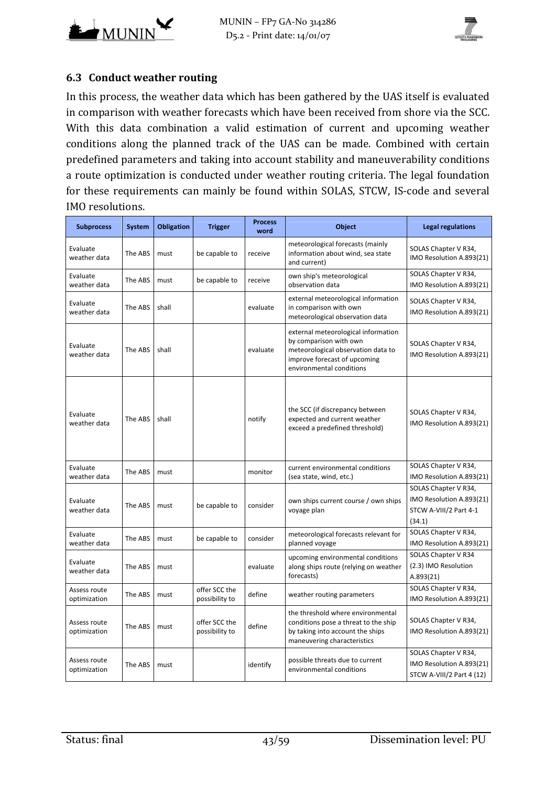



#### **6.3 Conduct weather routing**

In this process, the weather data which has been gathered by the UAS itself is evaluated in comparison with weather forecasts which have been received from shore via the SCC. With this data combination a valid estimation of current and upcoming weather conditions along the planned track of the UAS can be made. Combined with certain predefined parameters and taking into account stability and maneuverability conditions a route optimization is conducted under weather routing criteria. The legal foundation for these requirements can mainly be found within SOLAS, STCW, IS-code and several IMO resolutions.

| <b>Subprocess</b>            | <b>System</b> | <b>Obligation</b> | <b>Trigger</b>                  | <b>Process</b><br>word | <b>Object</b>                                                                                                                                                   | <b>Legal regulations</b>                                                             |
|------------------------------|---------------|-------------------|---------------------------------|------------------------|-----------------------------------------------------------------------------------------------------------------------------------------------------------------|--------------------------------------------------------------------------------------|
| Evaluate<br>weather data     | The ABS       | must              | be capable to                   | receive                | meteorological forecasts (mainly<br>information about wind, sea state<br>and current)                                                                           | SOLAS Chapter V R34,<br>IMO Resolution A.893(21)                                     |
| Evaluate<br>weather data     | The ABS       | must              | be capable to                   | receive                | own ship's meteorological<br>observation data                                                                                                                   | SOLAS Chapter V R34,<br>IMO Resolution A.893(21)                                     |
| Evaluate<br>weather data     | The ABS       | shall             |                                 | evaluate               | external meteorological information<br>in comparison with own<br>meteorological observation data                                                                | SOLAS Chapter V R34,<br>IMO Resolution A.893(21)                                     |
| Evaluate<br>weather data     | The ABS       | shall             |                                 | evaluate               | external meteorological information<br>by comparison with own<br>meteorological observation data to<br>improve forecast of upcoming<br>environmental conditions | SOLAS Chapter V R34,<br>IMO Resolution A.893(21)                                     |
| Evaluate<br>weather data     | The ABS       | shall             |                                 | notify                 | the SCC (if discrepancy between<br>expected and current weather<br>exceed a predefined threshold)                                                               | SOLAS Chapter V R34,<br>IMO Resolution A.893(21)                                     |
| Evaluate<br>weather data     | The ABS       | must              |                                 | monitor                | current environmental conditions<br>(sea state, wind, etc.)                                                                                                     | SOLAS Chapter V R34,<br>IMO Resolution A.893(21)                                     |
| Evaluate<br>weather data     | The ABS       | must              | be capable to                   | consider               | own ships current course / own ships<br>voyage plan                                                                                                             | SOLAS Chapter V R34,<br>IMO Resolution A.893(21)<br>STCW A-VIII/2 Part 4-1<br>(34.1) |
| Evaluate<br>weather data     | The ABS       | must              | be capable to                   | consider               | meteorological forecasts relevant for<br>planned voyage                                                                                                         | SOLAS Chapter V R34,<br>IMO Resolution A.893(21)                                     |
| Evaluate<br>weather data     | The ABS       | must              |                                 | evaluate               | upcoming environmental conditions<br>along ships route (relying on weather<br>forecasts)                                                                        | SOLAS Chapter V R34<br>(2.3) IMO Resolution<br>A.893(21)                             |
| Assess route<br>optimization | The ABS       | must              | offer SCC the<br>possibility to | define                 | weather routing parameters                                                                                                                                      | SOLAS Chapter V R34,<br>IMO Resolution A.893(21)                                     |
| Assess route<br>optimization | The ABS       | must              | offer SCC the<br>possibility to | define                 | the threshold where environmental<br>conditions pose a threat to the ship<br>by taking into account the ships<br>maneuvering characteristics                    | SOLAS Chapter V R34,<br>IMO Resolution A.893(21)                                     |
| Assess route<br>optimization | The ABS       | must              |                                 | identify               | possible threats due to current<br>environmental conditions                                                                                                     | SOLAS Chapter V R34,<br>IMO Resolution A.893(21)<br>STCW A-VIII/2 Part 4 (12)        |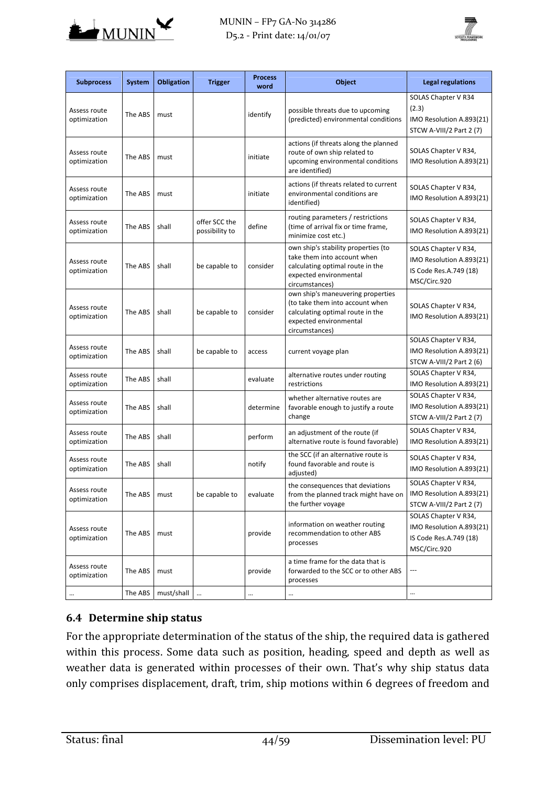



| <b>Subprocess</b>            | <b>System</b> | <b>Obligation</b> | <b>Trigger</b>                  | <b>Process</b><br>word | Object                                                                                                                                               | <b>Legal regulations</b>                                                                    |
|------------------------------|---------------|-------------------|---------------------------------|------------------------|------------------------------------------------------------------------------------------------------------------------------------------------------|---------------------------------------------------------------------------------------------|
| Assess route<br>optimization | The ABS       | must              |                                 | identify               | possible threats due to upcoming<br>(predicted) environmental conditions                                                                             | <b>SOLAS Chapter V R34</b><br>(2.3)<br>IMO Resolution A.893(21)<br>STCW A-VIII/2 Part 2 (7) |
| Assess route<br>optimization | The ABS       | must              |                                 | initiate               | actions (if threats along the planned<br>route of own ship related to<br>upcoming environmental conditions<br>are identified)                        | SOLAS Chapter V R34,<br>IMO Resolution A.893(21)                                            |
| Assess route<br>optimization | The ABS       | must              |                                 | initiate               | actions (if threats related to current<br>environmental conditions are<br>identified)                                                                | SOLAS Chapter V R34,<br>IMO Resolution A.893(21)                                            |
| Assess route<br>optimization | The ABS       | shall             | offer SCC the<br>possibility to | define                 | routing parameters / restrictions<br>(time of arrival fix or time frame,<br>minimize cost etc.)                                                      | SOLAS Chapter V R34,<br>IMO Resolution A.893(21)                                            |
| Assess route<br>optimization | The ABS       | shall             | be capable to                   | consider               | own ship's stability properties (to<br>take them into account when<br>calculating optimal route in the<br>expected environmental<br>circumstances)   | SOLAS Chapter V R34,<br>IMO Resolution A.893(21)<br>IS Code Res.A.749 (18)<br>MSC/Circ.920  |
| Assess route<br>optimization | The ABS       | shall             | be capable to                   | consider               | own ship's maneuvering properties<br>(to take them into account when<br>calculating optimal route in the<br>expected environmental<br>circumstances) | SOLAS Chapter V R34,<br>IMO Resolution A.893(21)                                            |
| Assess route<br>optimization | The ABS       | shall             | be capable to                   | access                 | current voyage plan                                                                                                                                  | SOLAS Chapter V R34,<br>IMO Resolution A.893(21)<br>STCW A-VIII/2 Part 2 (6)                |
| Assess route<br>optimization | The ABS       | shall             |                                 | evaluate               | alternative routes under routing<br>restrictions                                                                                                     | SOLAS Chapter V R34,<br>IMO Resolution A.893(21)                                            |
| Assess route<br>optimization | The ABS       | shall             |                                 | determine              | whether alternative routes are<br>favorable enough to justify a route<br>change                                                                      | SOLAS Chapter V R34,<br>IMO Resolution A.893(21)<br>STCW A-VIII/2 Part 2 (7)                |
| Assess route<br>optimization | The ABS       | shall             |                                 | perform                | an adjustment of the route (if<br>alternative route is found favorable)                                                                              | SOLAS Chapter V R34,<br>IMO Resolution A.893(21)                                            |
| Assess route<br>optimization | The ABS       | shall             |                                 | notify                 | the SCC (if an alternative route is<br>found favorable and route is<br>adjusted)                                                                     | SOLAS Chapter V R34,<br>IMO Resolution A.893(21)                                            |
| Assess route<br>optimization | The ABS       | must              | be capable to                   | evaluate               | the consequences that deviations<br>from the planned track might have on<br>the further voyage                                                       | SOLAS Chapter V R34,<br>IMO Resolution A.893(21)<br>STCW A-VIII/2 Part 2 (7)                |
| Assess route<br>optimization | The ABS       | must              |                                 | provide                | information on weather routing<br>recommendation to other ABS<br>processes                                                                           | SOLAS Chapter V R34,<br>IMO Resolution A.893(21)<br>IS Code Res.A.749 (18)<br>MSC/Circ.920  |
| Assess route<br>optimization | The ABS       | must              |                                 | provide                | a time frame for the data that is<br>forwarded to the SCC or to other ABS<br>processes                                                               | ---                                                                                         |
| $\cdots$                     | The ABS       | must/shall        | $\cdots$                        |                        |                                                                                                                                                      |                                                                                             |

## **6.4 Determine ship status**

For the appropriate determination of the status of the ship, the required data is gathered within this process. Some data such as position, heading, speed and depth as well as weather data is generated within processes of their own. That's why ship status data only comprises displacement, draft, trim, ship motions within 6 degrees of freedom and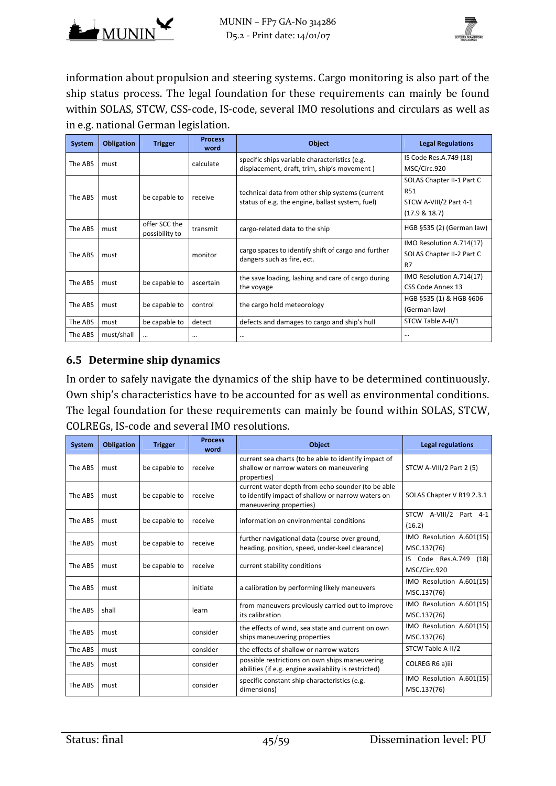



information about propulsion and steering systems. Cargo monitoring is also part of the ship status process. The legal foundation for these requirements can mainly be found within SOLAS, STCW, CSS-code, IS-code, several IMO resolutions and circulars as well as in e.g. national German legislation.

| System  | <b>Obligation</b> | <b>Trigger</b>                  | <b>Process</b><br>word | Object                                                                            | <b>Legal Regulations</b>  |
|---------|-------------------|---------------------------------|------------------------|-----------------------------------------------------------------------------------|---------------------------|
| The ABS | must              |                                 | calculate              | specific ships variable characteristics (e.g.                                     | IS Code Res.A.749 (18)    |
|         |                   |                                 |                        | displacement, draft, trim, ship's movement)                                       | MSC/Circ.920              |
|         |                   |                                 |                        |                                                                                   | SOLAS Chapter II-1 Part C |
| The ABS | must              | be capable to                   | receive                | technical data from other ship systems (current                                   | <b>R51</b>                |
|         |                   |                                 |                        | status of e.g. the engine, ballast system, fuel)                                  | STCW A-VIII/2 Part 4-1    |
|         |                   |                                 |                        |                                                                                   | (17.9 & 18.7)             |
| The ABS | must              | offer SCC the<br>possibility to | transmit               | cargo-related data to the ship                                                    | HGB §535 (2) (German law) |
|         |                   |                                 |                        |                                                                                   | IMO Resolution A.714(17)  |
| The ABS | must              |                                 | monitor                | cargo spaces to identify shift of cargo and further<br>dangers such as fire, ect. | SOLAS Chapter II-2 Part C |
|         |                   |                                 |                        |                                                                                   | R7                        |
|         |                   |                                 |                        | the save loading, lashing and care of cargo during                                | IMO Resolution A.714(17)  |
| The ABS | must              | be capable to                   | ascertain              | the voyage                                                                        | CSS Code Annex 13         |
|         |                   |                                 |                        |                                                                                   | HGB §535 (1) & HGB §606   |
| The ABS | must              | be capable to                   | control                | the cargo hold meteorology                                                        | (German law)              |
| The ABS | must              | be capable to                   | detect                 | defects and damages to cargo and ship's hull                                      | STCW Table A-II/1         |
| The ABS | must/shall        |                                 | $\cdots$               | $\cdots$                                                                          | $\cdots$                  |

## **6.5 Determine ship dynamics**

In order to safely navigate the dynamics of the ship have to be determined continuously. Own ship's characteristics have to be accounted for as well as environmental conditions. The legal foundation for these requirements can mainly be found within SOLAS, STCW, COLREGs, IS-code and several IMO resolutions.

| System  | <b>Obligation</b> | <b>Trigger</b> | <b>Process</b><br>word | Object                                                                                                                            | <b>Legal regulations</b>                  |
|---------|-------------------|----------------|------------------------|-----------------------------------------------------------------------------------------------------------------------------------|-------------------------------------------|
| The ABS | must              | be capable to  | receive                | current sea charts (to be able to identify impact of<br>shallow or narrow waters on maneuvering<br>properties)                    | STCW A-VIII/2 Part 2 (5)                  |
| The ABS | must              | be capable to  | receive                | current water depth from echo sounder (to be able<br>to identify impact of shallow or narrow waters on<br>maneuvering properties) | SOLAS Chapter V R19 2.3.1                 |
| The ABS | must              | be capable to  | receive                | information on environmental conditions                                                                                           | STCW A-VIII/2<br>Part 4-1<br>(16.2)       |
| The ABS | must              | be capable to  | receive                | further navigational data (course over ground,<br>heading, position, speed, under-keel clearance)                                 | IMO Resolution A.601(15)<br>MSC.137(76)   |
| The ABS | must              | be capable to  | receive                | current stability conditions                                                                                                      | IS Code Res.A.749<br>(18)<br>MSC/Circ.920 |
| The ABS | must              |                | initiate               | a calibration by performing likely maneuvers                                                                                      | IMO Resolution A.601(15)<br>MSC.137(76)   |
| The ABS | shall             |                | learn                  | from maneuvers previously carried out to improve<br>its calibration                                                               | IMO Resolution A.601(15)<br>MSC.137(76)   |
| The ABS | must              |                | consider               | the effects of wind, sea state and current on own<br>ships maneuvering properties                                                 | IMO Resolution A.601(15)<br>MSC.137(76)   |
| The ABS | must              |                | consider               | the effects of shallow or narrow waters                                                                                           | STCW Table A-II/2                         |
| The ABS | must              |                | consider               | possible restrictions on own ships maneuvering<br>abilities (if e.g. engine availability is restricted)                           | COLREG R6 a)iii                           |
| The ABS | must              |                | consider               | specific constant ship characteristics (e.g.<br>dimensions)                                                                       | IMO Resolution A.601(15)<br>MSC.137(76)   |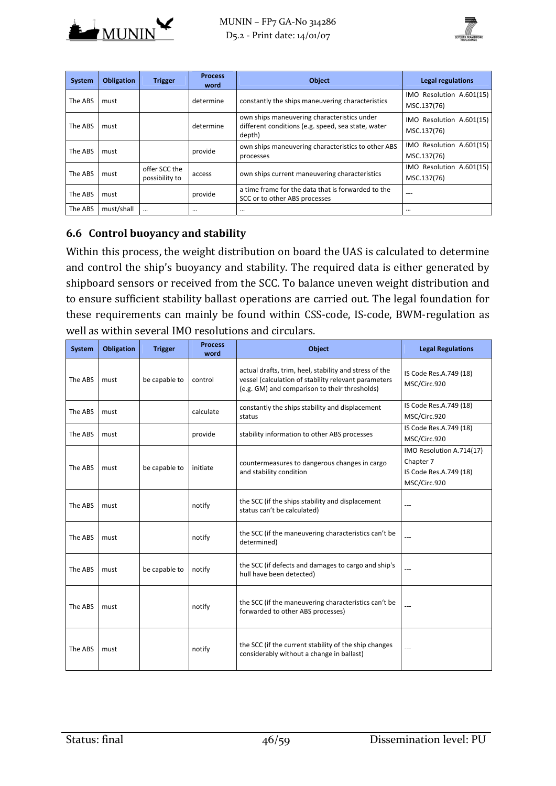



| System  | <b>Obligation</b> | <b>Trigger</b>                  | <b>Process</b><br>word | <b>Object</b>                                                                                               | Legal regulations                           |
|---------|-------------------|---------------------------------|------------------------|-------------------------------------------------------------------------------------------------------------|---------------------------------------------|
| The ABS | must              |                                 | determine              | constantly the ships maneuvering characteristics                                                            | IMO Resolution A.601(15)<br>MSC.137(76)     |
| The ABS | must              |                                 | determine              | own ships maneuvering characteristics under<br>different conditions (e.g. speed, sea state, water<br>depth) | IMO Resolution A.601(15)<br>MSC.137(76)     |
| The ABS | must              |                                 | provide                | own ships maneuvering characteristics to other ABS<br>processes                                             | IMO Resolution A.601(15)<br>MSC.137(76)     |
| The ABS | must              | offer SCC the<br>possibility to | access                 | own ships current maneuvering characteristics                                                               | Resolution A.601(15)<br>IMO.<br>MSC.137(76) |
| The ABS | must              |                                 | provide                | a time frame for the data that is forwarded to the<br>SCC or to other ABS processes                         | $---$                                       |
| The ABS | must/shall        | $\cdots$                        | $\cdots$               |                                                                                                             |                                             |

#### **6.6 Control buoyancy and stability**

Within this process, the weight distribution on board the UAS is calculated to determine and control the ship's buoyancy and stability. The required data is either generated by shipboard sensors or received from the SCC. To balance uneven weight distribution and to ensure sufficient stability ballast operations are carried out. The legal foundation for these requirements can mainly be found within CSS-code, IS-code, BWM-regulation as well as within several IMO resolutions and circulars.

| System  | <b>Obligation</b> | <b>Trigger</b> | <b>Process</b><br>word | Object                                                                                                                                                          | <b>Legal Regulations</b>                                                        |
|---------|-------------------|----------------|------------------------|-----------------------------------------------------------------------------------------------------------------------------------------------------------------|---------------------------------------------------------------------------------|
| The ABS | must              | be capable to  | control                | actual drafts, trim, heel, stability and stress of the<br>vessel (calculation of stability relevant parameters<br>(e.g. GM) and comparison to their thresholds) | IS Code Res.A.749 (18)<br>MSC/Circ.920                                          |
| The ABS | must              |                | calculate              | constantly the ships stability and displacement<br>status                                                                                                       | IS Code Res.A.749 (18)<br>MSC/Circ.920                                          |
| The ABS | must              |                | provide                | stability information to other ABS processes                                                                                                                    | IS Code Res.A.749 (18)<br>MSC/Circ.920                                          |
| The ABS | must              | be capable to  | initiate               | countermeasures to dangerous changes in cargo<br>and stability condition                                                                                        | IMO Resolution A.714(17)<br>Chapter 7<br>IS Code Res.A.749 (18)<br>MSC/Circ.920 |
| The ABS | must              |                | notify                 | the SCC (if the ships stability and displacement<br>status can't be calculated)                                                                                 | ---                                                                             |
| The ABS | must              |                | notify                 | the SCC (if the maneuvering characteristics can't be<br>determined)                                                                                             | ---                                                                             |
| The ABS | must              | be capable to  | notify                 | the SCC (if defects and damages to cargo and ship's<br>hull have been detected)                                                                                 |                                                                                 |
| The ABS | must              |                | notify                 | the SCC (if the maneuvering characteristics can't be<br>forwarded to other ABS processes)                                                                       |                                                                                 |
| The ABS | must              |                | notify                 | the SCC (if the current stability of the ship changes<br>considerably without a change in ballast)                                                              | ---                                                                             |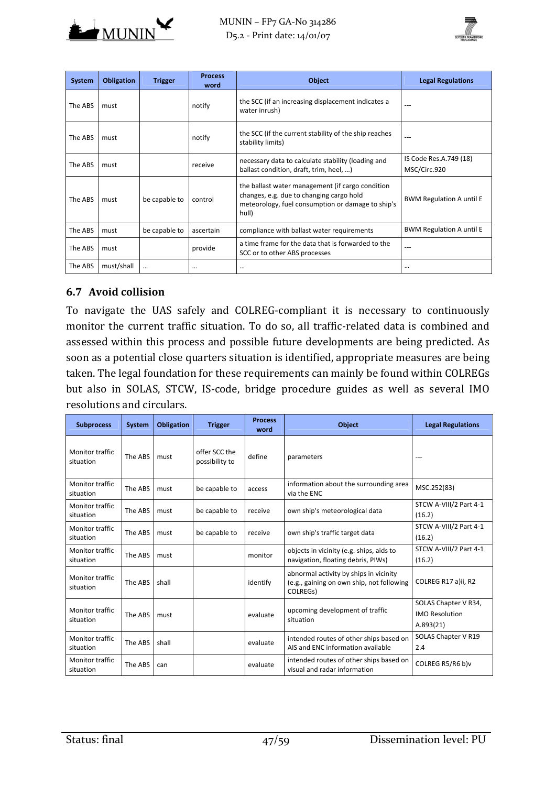



| System  | <b>Obligation</b> | <b>Trigger</b> | <b>Process</b><br>word | <b>Object</b>                                                                                                                                              | <b>Legal Regulations</b>               |
|---------|-------------------|----------------|------------------------|------------------------------------------------------------------------------------------------------------------------------------------------------------|----------------------------------------|
| The ABS | must              |                | notify                 | the SCC (if an increasing displacement indicates a<br>water inrush)                                                                                        |                                        |
| The ABS | must              |                | notify                 | the SCC (if the current stability of the ship reaches<br>stability limits)                                                                                 |                                        |
| The ABS | must              |                | receive                | necessary data to calculate stability (loading and<br>ballast condition, draft, trim, heel, )                                                              | IS Code Res.A.749 (18)<br>MSC/Circ.920 |
| The ABS | must              | be capable to  | control                | the ballast water management (if cargo condition<br>changes, e.g. due to changing cargo hold<br>meteorology, fuel consumption or damage to ship's<br>hull) | <b>BWM Regulation A until E</b>        |
| The ABS | must              | be capable to  | ascertain              | compliance with ballast water requirements                                                                                                                 | <b>BWM Regulation A until E</b>        |
| The ABS | must              |                | provide                | a time frame for the data that is forwarded to the<br>SCC or to other ABS processes                                                                        | ---                                    |
| The ABS | must/shall        | $\cdots$       | $\cdots$               | $\cdots$                                                                                                                                                   |                                        |

#### **6.7 Avoid collision**

To navigate the UAS safely and COLREG-compliant it is necessary to continuously monitor the current traffic situation. To do so, all traffic-related data is combined and assessed within this process and possible future developments are being predicted. As soon as a potential close quarters situation is identified, appropriate measures are being taken. The legal foundation for these requirements can mainly be found within COLREGs but also in SOLAS, STCW, IS-code, bridge procedure guides as well as several IMO resolutions and circulars.

| <b>Subprocess</b>                   | <b>System</b> | <b>Obligation</b> | <b>Trigger</b>                  | <b>Process</b><br>word | <b>Object</b>                                                                                   | <b>Legal Regulations</b>                                   |
|-------------------------------------|---------------|-------------------|---------------------------------|------------------------|-------------------------------------------------------------------------------------------------|------------------------------------------------------------|
| Monitor traffic<br>situation        | The ABS       | must              | offer SCC the<br>possibility to | define                 | parameters                                                                                      |                                                            |
| Monitor traffic<br>situation        | The ABS       | must              | be capable to                   | access                 | information about the surrounding area<br>via the ENC                                           | MSC.252(83)                                                |
| <b>Monitor traffic</b><br>situation | The ABS       | must              | be capable to                   | receive                | own ship's meteorological data                                                                  | STCW A-VIII/2 Part 4-1<br>(16.2)                           |
| <b>Monitor traffic</b><br>situation | The ABS       | must              | be capable to                   | receive                | own ship's traffic target data                                                                  | STCW A-VIII/2 Part 4-1<br>(16.2)                           |
| Monitor traffic<br>situation        | The ABS       | must              |                                 | monitor                | objects in vicinity (e.g. ships, aids to<br>navigation, floating debris, PIWs)                  | STCW A-VIII/2 Part 4-1<br>(16.2)                           |
| <b>Monitor traffic</b><br>situation | The ABS       | shall             |                                 | identify               | abnormal activity by ships in vicinity<br>(e.g., gaining on own ship, not following<br>COLREGS) | COLREG R17 a)ii, R2                                        |
| Monitor traffic<br>situation        | The ABS       | must              |                                 | evaluate               | upcoming development of traffic<br>situation                                                    | SOLAS Chapter V R34,<br><b>IMO Resolution</b><br>A.893(21) |
| Monitor traffic<br>situation        | The ABS       | shall             |                                 | evaluate               | intended routes of other ships based on<br>AIS and ENC information available                    | SOLAS Chapter V R19<br>2.4                                 |
| <b>Monitor traffic</b><br>situation | The ABS       | can               |                                 | evaluate               | intended routes of other ships based on<br>visual and radar information                         | COLREG R5/R6 blv                                           |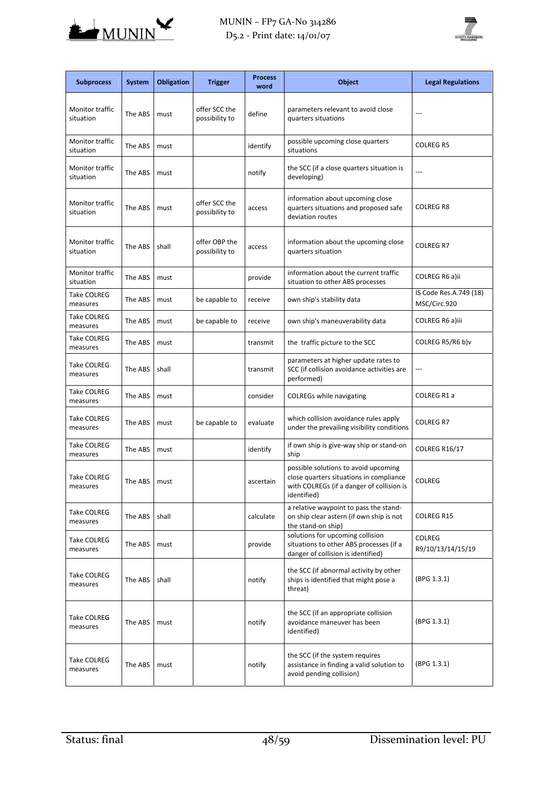



| <b>Subprocess</b>            | <b>System</b> | <b>Obligation</b> | <b>Trigger</b>                  | <b>Process</b><br>word | Object                                                                                                                                      | <b>Legal Regulations</b>               |
|------------------------------|---------------|-------------------|---------------------------------|------------------------|---------------------------------------------------------------------------------------------------------------------------------------------|----------------------------------------|
| Monitor traffic<br>situation | The ABS       | must              | offer SCC the<br>possibility to | define                 | parameters relevant to avoid close<br>quarters situations                                                                                   |                                        |
| Monitor traffic<br>situation | The ABS       | must              |                                 | identify               | possible upcoming close quarters<br>situations                                                                                              | COLREG R5                              |
| Monitor traffic<br>situation | The ABS       | must              |                                 | notify                 | the SCC (if a close quarters situation is<br>developing)                                                                                    | ---                                    |
| Monitor traffic<br>situation | The ABS       | must              | offer SCC the<br>possibility to | access                 | information about upcoming close<br>quarters situations and proposed safe<br>deviation routes                                               | COLREG R8                              |
| Monitor traffic<br>situation | The ABS       | shall             | offer OBP the<br>possibility to | access                 | information about the upcoming close<br>quarters situation                                                                                  | <b>COLREG R7</b>                       |
| Monitor traffic<br>situation | The ABS       | must              |                                 | provide                | information about the current traffic<br>situation to other ABS processes                                                                   | COLREG R6 a)ii                         |
| Take COLREG<br>measures      | The ABS       | must              | be capable to                   | receive                | own ship's stability data                                                                                                                   | IS Code Res.A.749 (18)<br>MSC/Circ.920 |
| Take COLREG<br>measures      | The ABS       | must              | be capable to                   | receive                | own ship's maneuverability data                                                                                                             | COLREG R6 a)iii                        |
| Take COLREG<br>measures      | The ABS       | must              |                                 | transmit               | the traffic picture to the SCC                                                                                                              | COLREG R5/R6 b)v                       |
| Take COLREG<br>measures      | The ABS       | shall             |                                 | transmit               | parameters at higher update rates to<br>SCC (if collision avoidance activities are<br>performed)                                            | ---                                    |
| Take COLREG<br>measures      | The ABS       | must              |                                 | consider               | <b>COLREGs while navigating</b>                                                                                                             | COLREG R1 a                            |
| Take COLREG<br>measures      | The ABS       | must              | be capable to                   | evaluate               | which collision avoidance rules apply<br>under the prevailing visibility conditions                                                         | COLREG R7                              |
| Take COLREG<br>measures      | The ABS       | must              |                                 | identify               | if own ship is give-way ship or stand-on<br>ship                                                                                            | COLREG R16/17                          |
| Take COLREG<br>measures      | The ABS       | must              |                                 | ascertain              | possible solutions to avoid upcoming<br>close quarters situations in compliance<br>with COLREGs (if a danger of collision is<br>identified) | <b>COLREG</b>                          |
| Take COLREG<br>measures      | The ABS       | shall             |                                 | calculate              | a relative waypoint to pass the stand-<br>on ship clear astern (if own ship is not<br>the stand-on ship)                                    | COLREG R15                             |
| Take COLREG<br>measures      | The ABS       | must              |                                 | provide                | solutions for upcoming collision<br>situations to other ABS processes (if a<br>danger of collision is identified)                           | <b>COLREG</b><br>R9/10/13/14/15/19     |
| Take COLREG<br>measures      | The ABS       | shall             |                                 | notify                 | the SCC (if abnormal activity by other<br>ships is identified that might pose a<br>threat)                                                  | (BPG 1.3.1)                            |
| Take COLREG<br>measures      | The ABS       | must              |                                 | notify                 | the SCC (if an appropriate collision<br>avoidance maneuver has been<br>identified)                                                          | (BPG 1.3.1)                            |
| Take COLREG<br>measures      | The ABS       | must              |                                 | notify                 | the SCC (if the system requires<br>assistance in finding a valid solution to<br>avoid pending collision)                                    | (BPG 1.3.1)                            |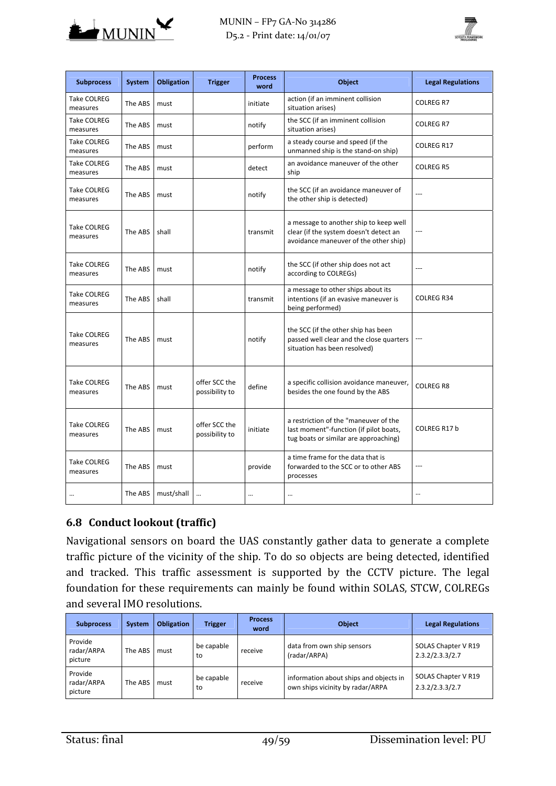



| <b>Subprocess</b>              | System  | <b>Obligation</b> | <b>Trigger</b>                  | <b>Process</b><br>word | <b>Object</b>                                                                                                             | <b>Legal Regulations</b> |
|--------------------------------|---------|-------------------|---------------------------------|------------------------|---------------------------------------------------------------------------------------------------------------------------|--------------------------|
| <b>Take COLREG</b><br>measures | The ABS | must              |                                 | initiate               | action (if an imminent collision<br>situation arises)                                                                     | <b>COLREG R7</b>         |
| <b>Take COLREG</b><br>measures | The ABS | must              |                                 | notify                 | the SCC (if an imminent collision<br>situation arises)                                                                    | <b>COLREG R7</b>         |
| <b>Take COLREG</b><br>measures | The ABS | must              |                                 | perform                | a steady course and speed (if the<br>unmanned ship is the stand-on ship)                                                  | COLREG R17               |
| <b>Take COLREG</b><br>measures | The ABS | must              |                                 | detect                 | an avoidance maneuver of the other<br>ship                                                                                | <b>COLREG R5</b>         |
| <b>Take COLREG</b><br>measures | The ABS | must              |                                 | notify                 | the SCC (if an avoidance maneuver of<br>the other ship is detected)                                                       |                          |
| <b>Take COLREG</b><br>measures | The ABS | shall             |                                 | transmit               | a message to another ship to keep well<br>clear (if the system doesn't detect an<br>avoidance maneuver of the other ship) |                          |
| <b>Take COLREG</b><br>measures | The ABS | must              |                                 | notify                 | the SCC (if other ship does not act<br>according to COLREGs)                                                              |                          |
| <b>Take COLREG</b><br>measures | The ABS | shall             |                                 | transmit               | a message to other ships about its<br>intentions (if an evasive maneuver is<br>being performed)                           | <b>COLREG R34</b>        |
| <b>Take COLREG</b><br>measures | The ABS | must              |                                 | notify                 | the SCC (if the other ship has been<br>passed well clear and the close quarters<br>situation has been resolved)           |                          |
| <b>Take COLREG</b><br>measures | The ABS | must              | offer SCC the<br>possibility to | define                 | a specific collision avoidance maneuver,<br>besides the one found by the ABS                                              | <b>COLREG R8</b>         |
| <b>Take COLREG</b><br>measures | The ABS | must              | offer SCC the<br>possibility to | initiate               | a restriction of the "maneuver of the<br>last moment"-function (if pilot boats,<br>tug boats or similar are approaching)  | COLREG R17 b             |
| <b>Take COLREG</b><br>measures | The ABS | must              |                                 | provide                | a time frame for the data that is<br>forwarded to the SCC or to other ABS<br>processes                                    |                          |
|                                | The ABS | must/shall        |                                 | $\ddotsc$              |                                                                                                                           |                          |

## **6.8 Conduct lookout (traffic)**

Navigational sensors on board the UAS constantly gather data to generate a complete traffic picture of the vicinity of the ship. To do so objects are being detected, identified and tracked. This traffic assessment is supported by the CCTV picture. The legal foundation for these requirements can mainly be found within SOLAS, STCW, COLREGs and several IMO resolutions.

| <b>Subprocess</b>                | <b>System</b> | <b>Obligation</b> | Trigger          | <b>Process</b><br>word | <b>Object</b>                                                              | <b>Legal Regulations</b>               |
|----------------------------------|---------------|-------------------|------------------|------------------------|----------------------------------------------------------------------------|----------------------------------------|
| Provide<br>radar/ARPA<br>picture | The ABS       | must              | be capable<br>to | receive                | data from own ship sensors<br>(radar/ARPA)                                 | SOLAS Chapter V R19<br>2.3.2/2.3.3/2.7 |
| Provide<br>radar/ARPA<br>picture | The ABS       | must              | be capable<br>to | receive                | information about ships and objects in<br>own ships vicinity by radar/ARPA | SOLAS Chapter V R19<br>2.3.2/2.3.3/2.7 |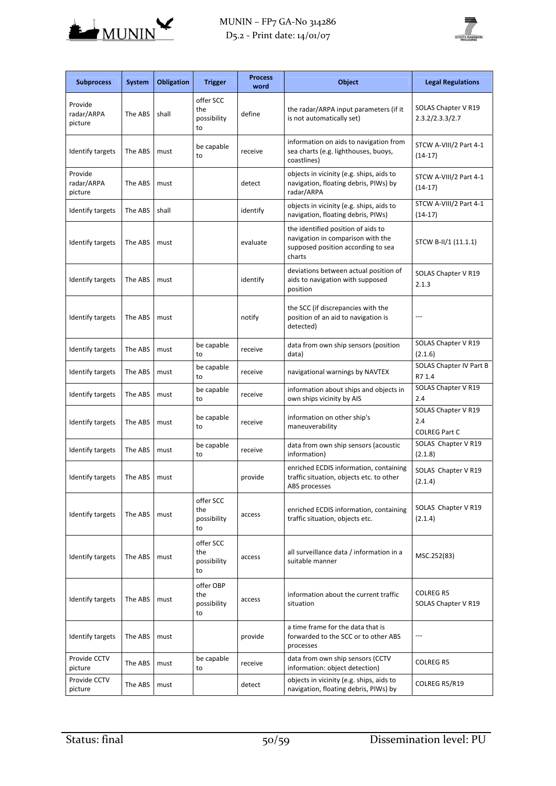



| <b>Subprocess</b>                | <b>System</b> | <b>Obligation</b> | <b>Trigger</b>                        | <b>Process</b><br>word | Object                                                                                                                  | <b>Legal Regulations</b>                           |
|----------------------------------|---------------|-------------------|---------------------------------------|------------------------|-------------------------------------------------------------------------------------------------------------------------|----------------------------------------------------|
| Provide<br>radar/ARPA<br>picture | The ABS       | shall             | offer SCC<br>the<br>possibility<br>to | define                 | the radar/ARPA input parameters (if it<br>is not automatically set)                                                     | SOLAS Chapter V R19<br>2.3.2/2.3.3/2.7             |
| <b>Identify targets</b>          | The ABS       | must              | be capable<br>to                      | receive                | information on aids to navigation from<br>sea charts (e.g. lighthouses, buoys,<br>coastlines)                           | STCW A-VIII/2 Part 4-1<br>$(14-17)$                |
| Provide<br>radar/ARPA<br>picture | The ABS       | must              |                                       | detect                 | objects in vicinity (e.g. ships, aids to<br>navigation, floating debris, PIWs) by<br>radar/ARPA                         | STCW A-VIII/2 Part 4-1<br>$(14-17)$                |
| <b>Identify targets</b>          | The ABS       | shall             |                                       | identify               | objects in vicinity (e.g. ships, aids to<br>navigation, floating debris, PIWs)                                          | STCW A-VIII/2 Part 4-1<br>$(14-17)$                |
| <b>Identify targets</b>          | The ABS       | must              |                                       | evaluate               | the identified position of aids to<br>navigation in comparison with the<br>supposed position according to sea<br>charts | STCW B-II/1 (11.1.1)                               |
| Identify targets                 | The ABS       | must              |                                       | identify               | deviations between actual position of<br>aids to navigation with supposed<br>position                                   | SOLAS Chapter V R19<br>2.1.3                       |
| <b>Identify targets</b>          | The ABS       | must              |                                       | notify                 | the SCC (if discrepancies with the<br>position of an aid to navigation is<br>detected)                                  |                                                    |
| <b>Identify targets</b>          | The ABS       | must              | be capable<br>to                      | receive                | data from own ship sensors (position<br>data)                                                                           | SOLAS Chapter V R19<br>(2.1.6)                     |
| Identify targets                 | The ABS       | must              | be capable<br>to                      | receive                | navigational warnings by NAVTEX                                                                                         | SOLAS Chapter IV Part B<br>R7 1.4                  |
| <b>Identify targets</b>          | The ABS       | must              | be capable<br>to                      | receive                | information about ships and objects in<br>own ships vicinity by AIS                                                     | SOLAS Chapter V R19<br>2.4                         |
| Identify targets                 | The ABS       | must              | be capable<br>to                      | receive                | information on other ship's<br>maneuverability                                                                          | SOLAS Chapter V R19<br>2.4<br><b>COLREG Part C</b> |
| Identify targets                 | The ABS       | must              | be capable<br>to                      | receive                | data from own ship sensors (acoustic<br>information)                                                                    | SOLAS Chapter V R19<br>(2.1.8)                     |
| Identify targets                 | The ABS       | must              |                                       | provide                | enriched ECDIS information, containing<br>traffic situation, objects etc. to other<br>ABS processes                     | SOLAS Chapter V R19<br>(2.1.4)                     |
| Identify targets                 | The ABS       | must              | offer SCC<br>the<br>possibility<br>to | access                 | enriched ECDIS information, containing<br>traffic situation, objects etc.                                               | SOLAS Chapter V R19<br>(2.1.4)                     |
| Identify targets                 | The ABS       | must              | offer SCC<br>the<br>possibility<br>to | access                 | all surveillance data / information in a<br>suitable manner                                                             | MSC.252(83)                                        |
| Identify targets                 | The ABS       | must              | offer OBP<br>the<br>possibility<br>to | access                 | information about the current traffic<br>situation                                                                      | <b>COLREG R5</b><br>SOLAS Chapter V R19            |
| Identify targets                 | The ABS       | must              |                                       | provide                | a time frame for the data that is<br>forwarded to the SCC or to other ABS<br>processes                                  | ---                                                |
| Provide CCTV<br>picture          | The ABS       | must              | be capable<br>to                      | receive                | data from own ship sensors (CCTV<br>information: object detection)                                                      | COLREG R5                                          |
| Provide CCTV<br>picture          | The ABS       | must              |                                       | detect                 | objects in vicinity (e.g. ships, aids to<br>navigation, floating debris, PIWs) by                                       | COLREG R5/R19                                      |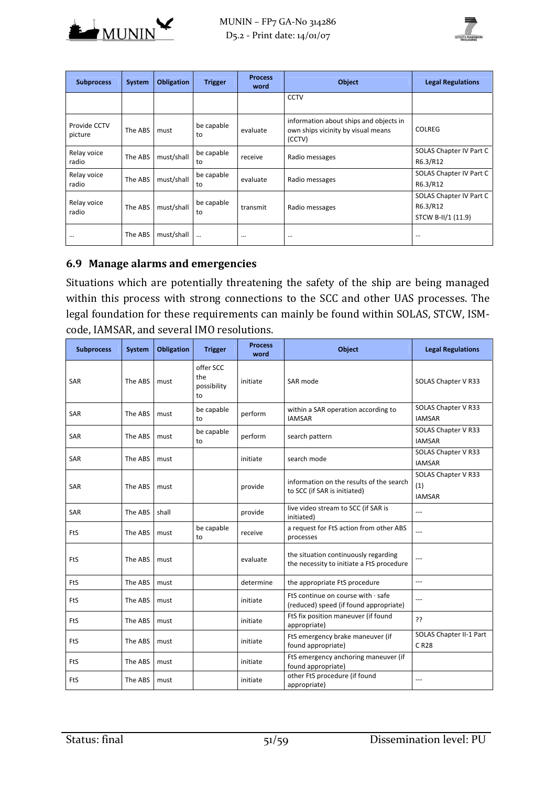



| <b>Subprocess</b>       | <b>System</b> | <b>Obligation</b> | <b>Trigger</b>   | <b>Process</b><br>word | <b>Object</b>                                                                          | <b>Legal Regulations</b>                                  |
|-------------------------|---------------|-------------------|------------------|------------------------|----------------------------------------------------------------------------------------|-----------------------------------------------------------|
|                         |               |                   |                  |                        | <b>CCTV</b>                                                                            |                                                           |
| Provide CCTV<br>picture | The ABS       | must              | be capable<br>to | evaluate               | information about ships and objects in<br>own ships vicinity by visual means<br>(CCTV) | <b>COLREG</b>                                             |
| Relay voice<br>radio    | The ABS       | must/shall        | be capable<br>to | receive                | Radio messages                                                                         | SOLAS Chapter IV Part C<br>R6.3/R12                       |
| Relay voice<br>radio    | The ABS       | must/shall        | be capable<br>to | evaluate               | Radio messages                                                                         | SOLAS Chapter IV Part C<br>R6.3/R12                       |
| Relay voice<br>radio    | The ABS       | must/shall        | be capable<br>to | transmit               | Radio messages                                                                         | SOLAS Chapter IV Part C<br>R6.3/R12<br>STCW B-II/1 (11.9) |
| $\cdots$                | The ABS       | must/shall        | $\cdots$         | $\cdots$               | $\cdots$                                                                               | $\cdots$                                                  |

#### **6.9 Manage alarms and emergencies**

Situations which are potentially threatening the safety of the ship are being managed within this process with strong connections to the SCC and other UAS processes. The legal foundation for these requirements can mainly be found within SOLAS, STCW, ISMcode, IAMSAR, and several IMO resolutions.

| <b>Subprocess</b> | System  | <b>Obligation</b> | <b>Trigger</b>                        | <b>Process</b><br>word | <b>Object</b>                                                                      | <b>Legal Regulations</b>                    |
|-------------------|---------|-------------------|---------------------------------------|------------------------|------------------------------------------------------------------------------------|---------------------------------------------|
| SAR               | The ABS | must              | offer SCC<br>the<br>possibility<br>to | initiate               | SAR mode                                                                           | SOLAS Chapter V R33                         |
| SAR               | The ABS | must              | be capable<br>to                      | perform                | within a SAR operation according to<br><b>IAMSAR</b>                               | SOLAS Chapter V R33<br><b>IAMSAR</b>        |
| SAR               | The ABS | must              | be capable<br>to                      | perform                | search pattern                                                                     | SOLAS Chapter V R33<br><b>IAMSAR</b>        |
| SAR               | The ABS | must              |                                       | initiate               | search mode                                                                        | SOLAS Chapter V R33<br><b>IAMSAR</b>        |
| SAR               | The ABS | must              |                                       | provide                | information on the results of the search<br>to SCC (if SAR is initiated)           | SOLAS Chapter V R33<br>(1)<br><b>IAMSAR</b> |
| SAR               | The ABS | shall             |                                       | provide                | live video stream to SCC (if SAR is<br>initiated)                                  | $\overline{a}$                              |
| FtS               | The ABS | must              | be capable<br>to                      | receive                | a request for FtS action from other ABS<br>processes                               |                                             |
| FtS               | The ABS | must              |                                       | evaluate               | the situation continuously regarding<br>the necessity to initiate a FtS procedure  |                                             |
| FtS               | The ABS | must              |                                       | determine              | the appropriate FtS procedure                                                      | $\overline{a}$                              |
| FtS               | The ABS | must              |                                       | initiate               | FtS continue on course with $\cdot$ safe<br>(reduced) speed (if found appropriate) | $\overline{a}$                              |
| FtS               | The ABS | must              |                                       | initiate               | FtS fix position maneuver (if found<br>appropriate)                                | 25                                          |
| FtS               | The ABS | must              |                                       | initiate               | FtS emergency brake maneuver (if<br>found appropriate)                             | SOLAS Chapter II-1 Part<br>C R28            |
| FtS               | The ABS | must              |                                       | initiate               | FtS emergency anchoring maneuver (if<br>found appropriate)                         |                                             |
| FtS               | The ABS | must              |                                       | initiate               | other FtS procedure (if found<br>appropriate)                                      | $---$                                       |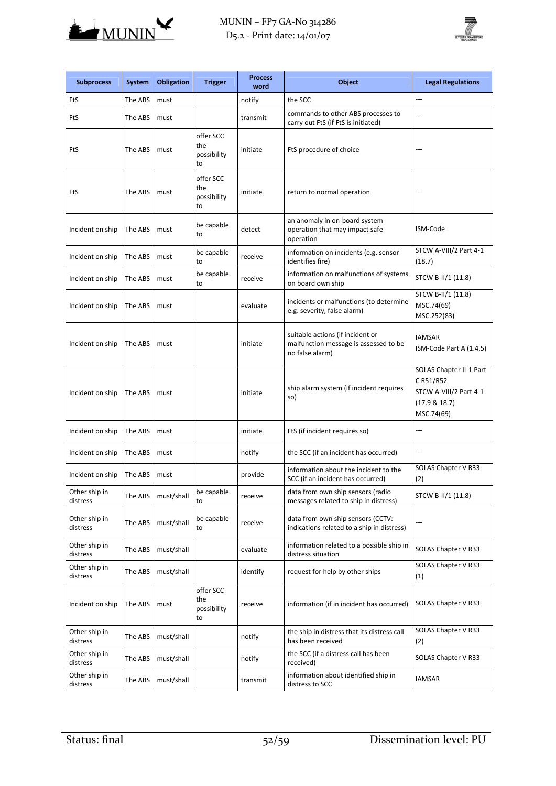



| <b>Subprocess</b>         | <b>System</b> | <b>Obligation</b> | <b>Trigger</b>                        | <b>Process</b><br>word | <b>Object</b>                                                                                | <b>Legal Regulations</b>                                                                      |
|---------------------------|---------------|-------------------|---------------------------------------|------------------------|----------------------------------------------------------------------------------------------|-----------------------------------------------------------------------------------------------|
| FtS                       | The ABS       | must              |                                       | notify                 | the SCC                                                                                      | ---                                                                                           |
| FtS                       | The ABS       | must              |                                       | transmit               | commands to other ABS processes to<br>carry out FtS (if FtS is initiated)                    |                                                                                               |
| FtS                       | The ABS       | must              | offer SCC<br>the<br>possibility<br>to | initiate               | FtS procedure of choice                                                                      |                                                                                               |
| FtS                       | The ABS       | must              | offer SCC<br>the<br>possibility<br>to | initiate               | return to normal operation                                                                   |                                                                                               |
| Incident on ship          | The ABS       | must              | be capable<br>to                      | detect                 | an anomaly in on-board system<br>operation that may impact safe<br>operation                 | ISM-Code                                                                                      |
| Incident on ship          | The ABS       | must              | be capable<br>to                      | receive                | information on incidents (e.g. sensor<br>identifies fire)                                    | STCW A-VIII/2 Part 4-1<br>(18.7)                                                              |
| Incident on ship          | The ABS       | must              | be capable<br>to                      | receive                | information on malfunctions of systems<br>on board own ship                                  | STCW B-II/1 (11.8)                                                                            |
| Incident on ship          | The ABS       | must              |                                       | evaluate               | incidents or malfunctions (to determine<br>e.g. severity, false alarm)                       | STCW B-II/1 (11.8)<br>MSC.74(69)<br>MSC.252(83)                                               |
| Incident on ship          | The ABS       | must              |                                       | initiate               | suitable actions (if incident or<br>malfunction message is assessed to be<br>no false alarm) | <b>IAMSAR</b><br>ISM-Code Part A (1.4.5)                                                      |
| Incident on ship          | The ABS       | must              |                                       | initiate               | ship alarm system (if incident requires<br>so)                                               | SOLAS Chapter II-1 Part<br>C R51/R52<br>STCW A-VIII/2 Part 4-1<br>(17.9 & 18.7)<br>MSC.74(69) |
| Incident on ship          | The ABS       | must              |                                       | initiate               | FtS (if incident requires so)                                                                | $-$                                                                                           |
| Incident on ship          | The ABS       | must              |                                       | notify                 | the SCC (if an incident has occurred)                                                        | $---$                                                                                         |
| Incident on ship          | The ABS       | must              |                                       | provide                | information about the incident to the<br>SCC (if an incident has occurred)                   | SOLAS Chapter V R33<br>(2)                                                                    |
| Other ship in<br>distress | The ABS       | must/shall        | be capable<br>to                      | receive                | data from own ship sensors (radio<br>messages related to ship in distress)                   | STCW B-II/1 (11.8)                                                                            |
| Other ship in<br>distress | The ABS       | must/shall        | be capable<br>to                      | receive                | data from own ship sensors (CCTV:<br>indications related to a ship in distress)              |                                                                                               |
| Other ship in<br>distress | The ABS       | must/shall        |                                       | evaluate               | information related to a possible ship in<br>distress situation                              | SOLAS Chapter V R33                                                                           |
| Other ship in<br>distress | The ABS       | must/shall        |                                       | identify               | request for help by other ships                                                              | SOLAS Chapter V R33<br>(1)                                                                    |
| Incident on ship          | The ABS       | must              | offer SCC<br>the<br>possibility<br>to | receive                | information (if in incident has occurred)                                                    | SOLAS Chapter V R33                                                                           |
| Other ship in<br>distress | The ABS       | must/shall        |                                       | notify                 | the ship in distress that its distress call<br>has been received                             | SOLAS Chapter V R33<br>(2)                                                                    |
| Other ship in<br>distress | The ABS       | must/shall        |                                       | notify                 | the SCC (if a distress call has been<br>received)                                            | SOLAS Chapter V R33                                                                           |
| Other ship in<br>distress | The ABS       | must/shall        |                                       | transmit               | information about identified ship in<br>distress to SCC                                      | IAMSAR                                                                                        |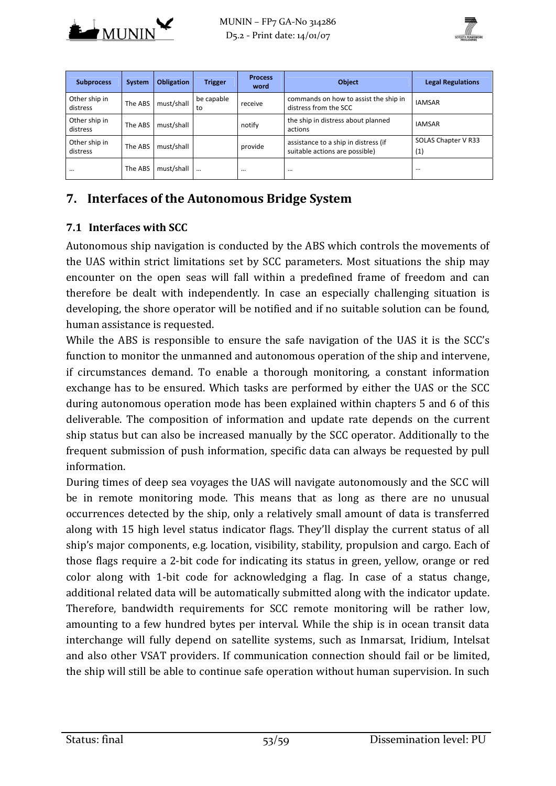



| <b>Subprocess</b>         | <b>System</b> | <b>Obligation</b> | <b>Trigger</b>   | <b>Process</b><br>word | <b>Object</b>                                                          | <b>Legal Regulations</b>                 |
|---------------------------|---------------|-------------------|------------------|------------------------|------------------------------------------------------------------------|------------------------------------------|
| Other ship in<br>distress | The ABS       | must/shall        | be capable<br>to | receive                | commands on how to assist the ship in<br>distress from the SCC         | <b>IAMSAR</b>                            |
| Other ship in<br>distress | The ABS       | must/shall        |                  | notify                 | the ship in distress about planned<br>actions                          | <b>IAMSAR</b>                            |
| Other ship in<br>distress | The ABS       | must/shall        |                  | provide                | assistance to a ship in distress (if<br>suitable actions are possible) | SOLAS Chapter V R33<br>$\left( 1\right)$ |
|                           | The ABS       | must/shall        | $\cdots$         | $\cdots$               | $\cdots$                                                               | $\cdots$                                 |

# **7. Interfaces of the Autonomous Bridge System**

#### **7.1 Interfaces with SCC**

Autonomous ship navigation is conducted by the ABS which controls the movements of the UAS within strict limitations set by SCC parameters. Most situations the ship may encounter on the open seas will fall within a predefined frame of freedom and can therefore be dealt with independently. In case an especially challenging situation is developing, the shore operator will be notified and if no suitable solution can be found, human assistance is requested.

While the ABS is responsible to ensure the safe navigation of the UAS it is the SCC's function to monitor the unmanned and autonomous operation of the ship and intervene, if circumstances demand. To enable a thorough monitoring, a constant information exchange has to be ensured. Which tasks are performed by either the UAS or the SCC during autonomous operation mode has been explained within chapters 5 and 6 of this deliverable. The composition of information and update rate depends on the current ship status but can also be increased manually by the SCC operator. Additionally to the frequent submission of push information, specific data can always be requested by pull information. 

During times of deep sea voyages the UAS will navigate autonomously and the SCC will be in remote monitoring mode. This means that as long as there are no unusual occurrences detected by the ship, only a relatively small amount of data is transferred along with 15 high level status indicator flags. They'll display the current status of all ship's major components, e.g. location, visibility, stability, propulsion and cargo. Each of those flags require a 2-bit code for indicating its status in green, yellow, orange or red color along with 1-bit code for acknowledging a flag. In case of a status change, additional related data will be automatically submitted along with the indicator update. Therefore, bandwidth requirements for SCC remote monitoring will be rather low, amounting to a few hundred bytes per interval. While the ship is in ocean transit data interchange will fully depend on satellite systems, such as Inmarsat, Iridium, Intelsat and also other VSAT providers. If communication connection should fail or be limited, the ship will still be able to continue safe operation without human supervision. In such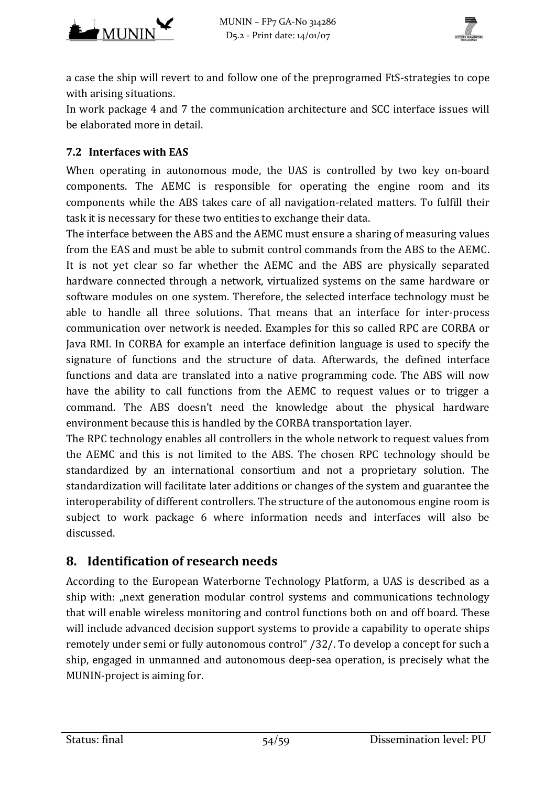



a case the ship will revert to and follow one of the preprogramed FtS-strategies to cope with arising situations.

In work package 4 and 7 the communication architecture and SCC interface issues will be elaborated more in detail.

#### **7.2 Interfaces with EAS**

When operating in autonomous mode, the UAS is controlled by two key on-board components. The AEMC is responsible for operating the engine room and its components while the ABS takes care of all navigation-related matters. To fulfill their task it is necessary for these two entities to exchange their data.

The interface between the ABS and the AEMC must ensure a sharing of measuring values from the EAS and must be able to submit control commands from the ABS to the AEMC. It is not vet clear so far whether the AEMC and the ABS are physically separated hardware connected through a network, virtualized systems on the same hardware or software modules on one system. Therefore, the selected interface technology must be able to handle all three solutions. That means that an interface for inter-process communication over network is needed. Examples for this so called RPC are CORBA or Java RMI. In CORBA for example an interface definition language is used to specify the signature of functions and the structure of data. Afterwards, the defined interface functions and data are translated into a native programming code. The ABS will now have the ability to call functions from the AEMC to request values or to trigger a command. The ABS doesn't need the knowledge about the physical hardware environment because this is handled by the CORBA transportation layer.

The RPC technology enables all controllers in the whole network to request values from the AEMC and this is not limited to the ABS. The chosen RPC technology should be standardized by an international consortium and not a proprietary solution. The standardization will facilitate later additions or changes of the system and guarantee the interoperability of different controllers. The structure of the autonomous engine room is subject to work package 6 where information needs and interfaces will also be discussed. 

# **8. Identification of research needs**

According to the European Waterborne Technology Platform, a UAS is described as a ship with: "next generation modular control systems and communications technology that will enable wireless monitoring and control functions both on and off board. These will include advanced decision support systems to provide a capability to operate ships remotely under semi or fully autonomous control" /32/. To develop a concept for such a ship, engaged in unmanned and autonomous deep-sea operation, is precisely what the MUNIN-project is aiming for.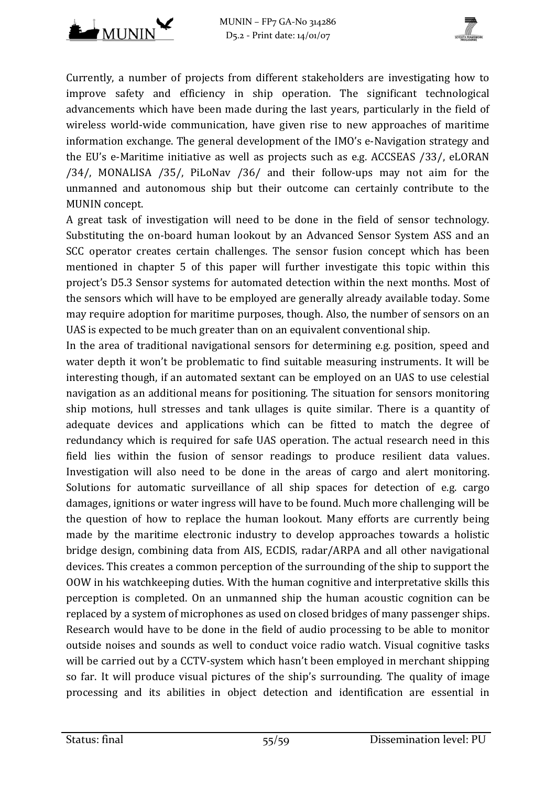



Currently, a number of projects from different stakeholders are investigating how to improve safety and efficiency in ship operation. The significant technological advancements which have been made during the last years, particularly in the field of wireless world-wide communication, have given rise to new approaches of maritime information exchange. The general development of the IMO's e-Navigation strategy and the EU's e-Maritime initiative as well as projects such as e.g. ACCSEAS /33/, eLORAN /34/, MONALISA /35/, PiLoNav /36/ and their follow-ups may not aim for the unmanned and autonomous ship but their outcome can certainly contribute to the MUNIN concept.

A great task of investigation will need to be done in the field of sensor technology. Substituting the on-board human lookout by an Advanced Sensor System ASS and an SCC operator creates certain challenges. The sensor fusion concept which has been mentioned in chapter 5 of this paper will further investigate this topic within this project's D5.3 Sensor systems for automated detection within the next months. Most of the sensors which will have to be employed are generally already available today. Some may require adoption for maritime purposes, though. Also, the number of sensors on an UAS is expected to be much greater than on an equivalent conventional ship.

In the area of traditional navigational sensors for determining e.g. position, speed and water depth it won't be problematic to find suitable measuring instruments. It will be interesting though, if an automated sextant can be employed on an UAS to use celestial navigation as an additional means for positioning. The situation for sensors monitoring ship motions, hull stresses and tank ullages is quite similar. There is a quantity of adequate devices and applications which can be fitted to match the degree of redundancy which is required for safe UAS operation. The actual research need in this field lies within the fusion of sensor readings to produce resilient data values. Investigation will also need to be done in the areas of cargo and alert monitoring. Solutions for automatic surveillance of all ship spaces for detection of e.g. cargo damages, ignitions or water ingress will have to be found. Much more challenging will be the question of how to replace the human lookout. Many efforts are currently being made by the maritime electronic industry to develop approaches towards a holistic bridge design, combining data from AIS, ECDIS, radar/ARPA and all other navigational devices. This creates a common perception of the surrounding of the ship to support the OOW in his watchkeeping duties. With the human cognitive and interpretative skills this perception is completed. On an unmanned ship the human acoustic cognition can be replaced by a system of microphones as used on closed bridges of many passenger ships. Research would have to be done in the field of audio processing to be able to monitor outside noises and sounds as well to conduct voice radio watch. Visual cognitive tasks will be carried out by a CCTV-system which hasn't been employed in merchant shipping so far. It will produce visual pictures of the ship's surrounding. The quality of image processing and its abilities in object detection and identification are essential in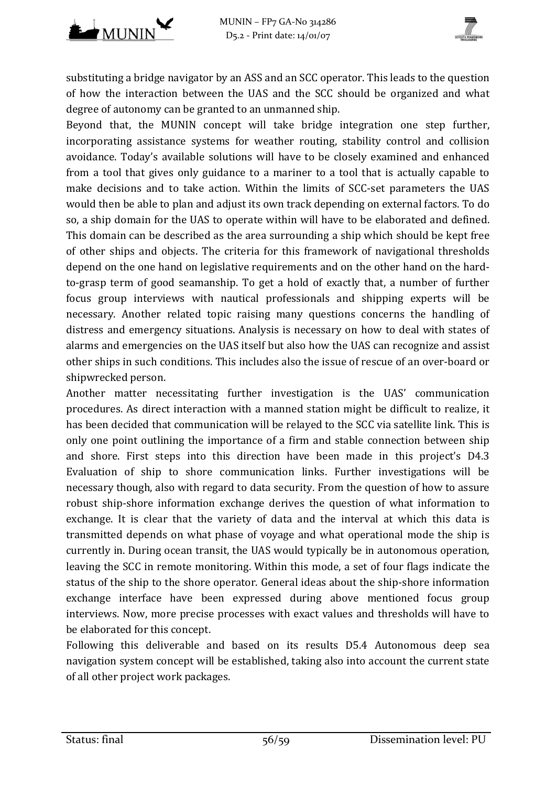

substituting a bridge navigator by an ASS and an SCC operator. This leads to the question of how the interaction between the UAS and the SCC should be organized and what degree of autonomy can be granted to an unmanned ship.

Beyond that, the MUNIN concept will take bridge integration one step further, incorporating assistance systems for weather routing, stability control and collision avoidance. Today's available solutions will have to be closely examined and enhanced from a tool that gives only guidance to a mariner to a tool that is actually capable to make decisions and to take action. Within the limits of SCC-set parameters the UAS would then be able to plan and adjust its own track depending on external factors. To do so, a ship domain for the UAS to operate within will have to be elaborated and defined. This domain can be described as the area surrounding a ship which should be kept free of other ships and objects. The criteria for this framework of navigational thresholds depend on the one hand on legislative requirements and on the other hand on the hardto-grasp term of good seamanship. To get a hold of exactly that, a number of further focus group interviews with nautical professionals and shipping experts will be necessary. Another related topic raising many questions concerns the handling of distress and emergency situations. Analysis is necessary on how to deal with states of alarms and emergencies on the UAS itself but also how the UAS can recognize and assist other ships in such conditions. This includes also the issue of rescue of an over-board or shipwrecked person.

Another matter necessitating further investigation is the UAS' communication procedures. As direct interaction with a manned station might be difficult to realize, it has been decided that communication will be relayed to the SCC via satellite link. This is only one point outlining the importance of a firm and stable connection between ship and shore. First steps into this direction have been made in this project's D4.3 Evaluation of ship to shore communication links. Further investigations will be necessary though, also with regard to data security. From the question of how to assure robust ship-shore information exchange derives the question of what information to exchange. It is clear that the variety of data and the interval at which this data is transmitted depends on what phase of voyage and what operational mode the ship is currently in. During ocean transit, the UAS would typically be in autonomous operation, leaving the SCC in remote monitoring. Within this mode, a set of four flags indicate the status of the ship to the shore operator. General ideas about the ship-shore information exchange interface have been expressed during above mentioned focus group interviews. Now, more precise processes with exact values and thresholds will have to be elaborated for this concept.

Following this deliverable and based on its results D5.4 Autonomous deep sea navigation system concept will be established, taking also into account the current state of all other project work packages.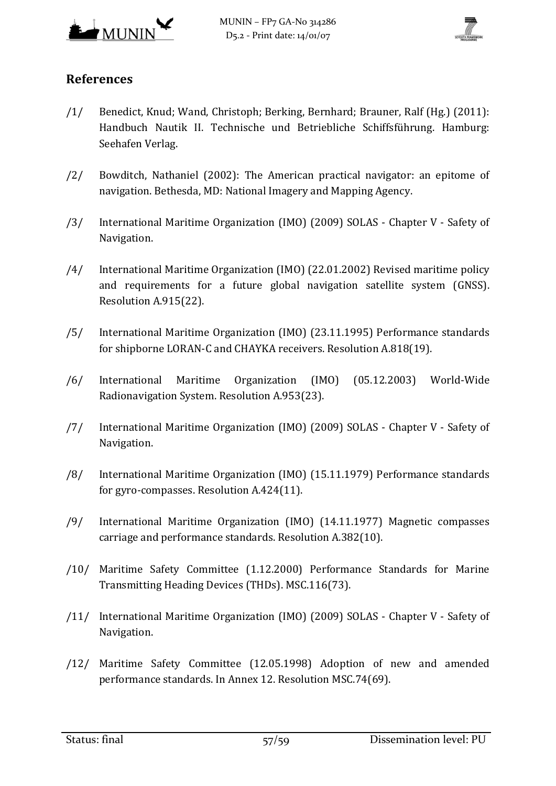



# **References**

- /1/ Benedict, Knud; Wand, Christoph; Berking, Bernhard; Brauner, Ralf (Hg.) (2011): Handbuch Nautik II. Technische und Betriebliche Schiffsführung. Hamburg: Seehafen Verlag.
- /2/ Bowditch, Nathaniel (2002): The American practical navigator: an epitome of navigation. Bethesda, MD: National Imagery and Mapping Agency.
- /3/ International Maritime Organization (IMO) (2009) SOLAS Chapter V Safety of Navigation.
- /4/ International Maritime Organization (IMO) (22.01.2002) Revised maritime policy and requirements for a future global navigation satellite system (GNSS). Resolution A.915(22).
- /5/ International Maritime Organization (IMO) (23.11.1995) Performance standards for shipborne LORAN-C and CHAYKA receivers. Resolution A.818(19).
- /6/ International Maritime Organization (IMO) (05.12.2003) World‐Wide Radionavigation System. Resolution A.953(23).
- /7/ International Maritime Organization (IMO) (2009) SOLAS Chapter V Safety of Navigation.
- /8/ International Maritime Organization (IMO) (15.11.1979) Performance standards for gyro-compasses. Resolution A.424(11).
- /9/ International Maritime Organization (IMO) (14.11.1977) Magnetic compasses carriage and performance standards. Resolution A.382(10).
- /10/ Maritime Safety Committee (1.12.2000) Performance Standards for Marine Transmitting Heading Devices (THDs). MSC.116(73).
- /11/ International Maritime Organization (IMO) (2009) SOLAS Chapter V Safety of Navigation.
- /12/ Maritime Safety Committee (12.05.1998) Adoption of new and amended performance standards. In Annex 12. Resolution MSC.74(69).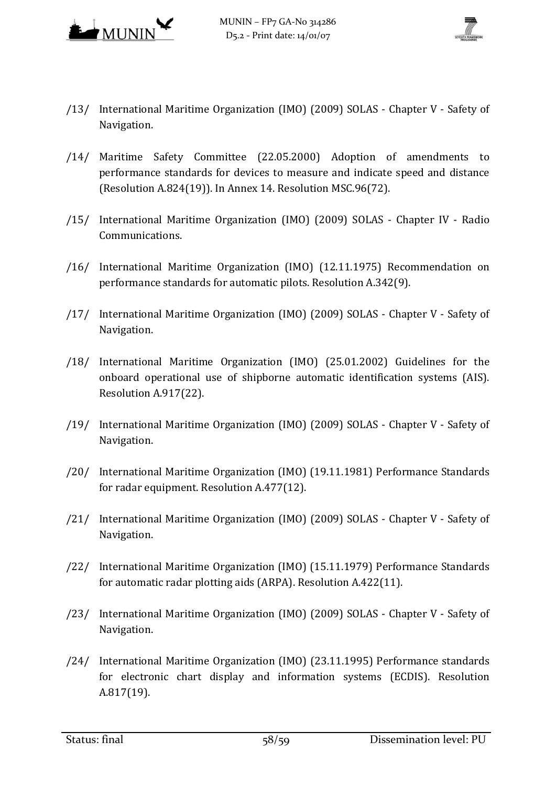



- /13/ International Maritime Organization (IMO) (2009) SOLAS Chapter V Safety of Navigation.
- /14/ Maritime Safety Committee (22.05.2000) Adoption of amendments to performance standards for devices to measure and indicate speed and distance (Resolution A.824(19)). In Annex 14. Resolution MSC.96(72).
- /15/ International Maritime Organization (IMO) (2009) SOLAS ‐ Chapter IV ‐ Radio Communications.
- /16/ International Maritime Organization (IMO) (12.11.1975) Recommendation on performance standards for automatic pilots. Resolution A.342(9).
- /17/ International Maritime Organization (IMO) (2009) SOLAS Chapter V Safety of Navigation.
- /18/ International Maritime Organization (IMO) (25.01.2002) Guidelines for the onboard operational use of shipborne automatic identification systems (AIS). Resolution A.917(22).
- /19/ International Maritime Organization (IMO) (2009) SOLAS Chapter V Safety of Navigation.
- /20/ International Maritime Organization (IMO) (19.11.1981) Performance Standards for radar equipment. Resolution  $A.477(12)$ .
- /21/ International Maritime Organization (IMO) (2009) SOLAS Chapter V Safety of Navigation.
- /22/ International Maritime Organization (IMO) (15.11.1979) Performance Standards for automatic radar plotting aids (ARPA). Resolution  $A.422(11)$ .
- /23/ International Maritime Organization (IMO) (2009) SOLAS Chapter V Safety of Navigation.
- /24/ International Maritime Organization (IMO) (23.11.1995) Performance standards for electronic chart display and information systems (ECDIS). Resolution A.817(19).